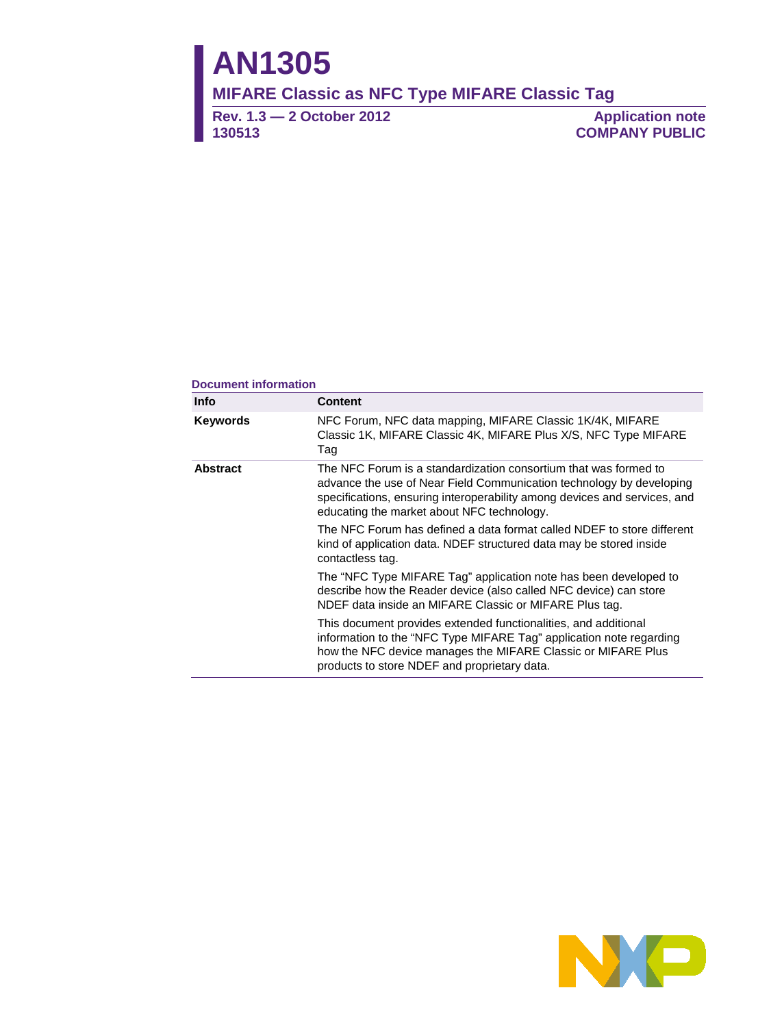# **AN1305**

**MIFARE Classic as NFC Type MIFARE Classic Tag** 

**Rev. 1.3 — 2 October 2012 130513**

**Application note COMPANY PUBLIC**

#### **Document information**

| Info                                                                                                                                                                                                                                                                                   | <b>Content</b>                                                                                                                                                                                                                                         |  |  |  |  |  |
|----------------------------------------------------------------------------------------------------------------------------------------------------------------------------------------------------------------------------------------------------------------------------------------|--------------------------------------------------------------------------------------------------------------------------------------------------------------------------------------------------------------------------------------------------------|--|--|--|--|--|
| <b>Keywords</b>                                                                                                                                                                                                                                                                        | NFC Forum, NFC data mapping, MIFARE Classic 1K/4K, MIFARE<br>Classic 1K, MIFARE Classic 4K, MIFARE Plus X/S, NFC Type MIFARE<br>Tag                                                                                                                    |  |  |  |  |  |
| <b>Abstract</b><br>The NFC Forum is a standardization consortium that was formed to<br>advance the use of Near Field Communication technology by developing<br>specifications, ensuring interoperability among devices and services, and<br>educating the market about NFC technology. |                                                                                                                                                                                                                                                        |  |  |  |  |  |
|                                                                                                                                                                                                                                                                                        | The NFC Forum has defined a data format called NDEF to store different<br>kind of application data. NDEF structured data may be stored inside<br>contactless tag.                                                                                      |  |  |  |  |  |
|                                                                                                                                                                                                                                                                                        | The "NFC Type MIFARE Tag" application note has been developed to<br>describe how the Reader device (also called NFC device) can store<br>NDEF data inside an MIFARE Classic or MIFARE Plus tag.                                                        |  |  |  |  |  |
|                                                                                                                                                                                                                                                                                        | This document provides extended functionalities, and additional<br>information to the "NFC Type MIFARE Tag" application note regarding<br>how the NFC device manages the MIFARE Classic or MIFARE Plus<br>products to store NDEF and proprietary data. |  |  |  |  |  |

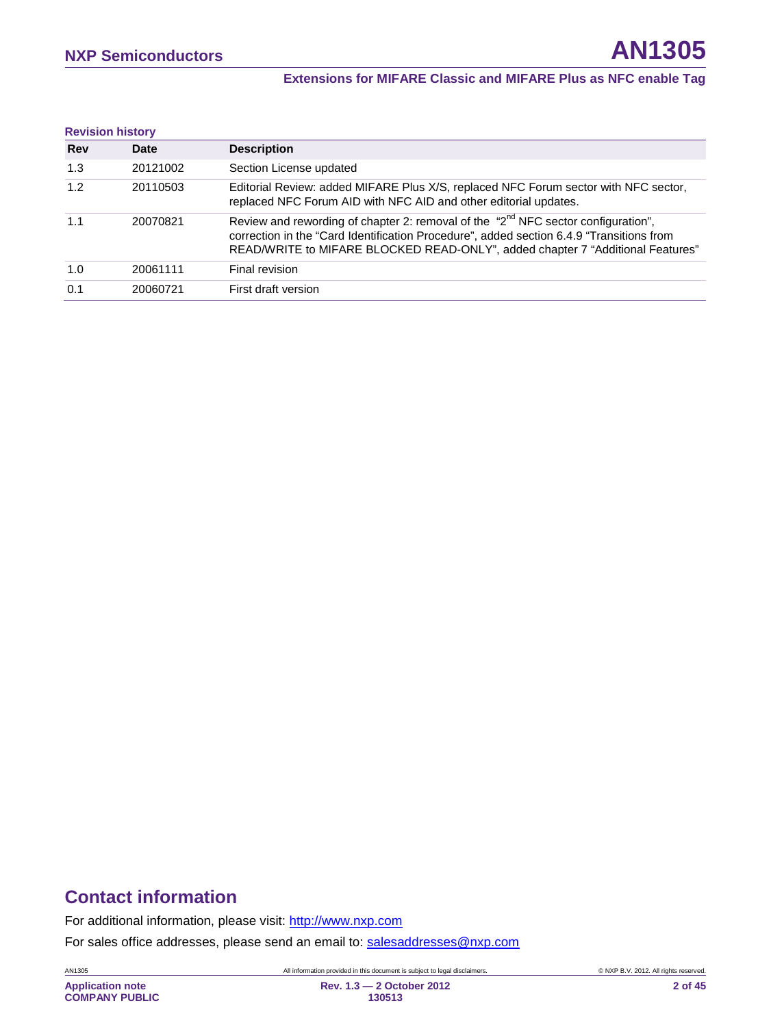#### **Extensions for MIFARE Classic and MIFARE Plus as NFC enable Tag**

| <b>Revision history</b> |          |                                                                                                                                                                                                                                                                             |
|-------------------------|----------|-----------------------------------------------------------------------------------------------------------------------------------------------------------------------------------------------------------------------------------------------------------------------------|
| <b>Rev</b>              | Date     | <b>Description</b>                                                                                                                                                                                                                                                          |
| 1.3                     | 20121002 | Section License updated                                                                                                                                                                                                                                                     |
| 1.2                     | 20110503 | Editorial Review: added MIFARE Plus X/S, replaced NFC Forum sector with NFC sector,<br>replaced NFC Forum AID with NFC AID and other editorial updates.                                                                                                                     |
| 1.1                     | 20070821 | Review and rewording of chapter 2: removal of the "2 <sup>nd</sup> NFC sector configuration",<br>correction in the "Card Identification Procedure", added section 6.4.9 "Transitions from<br>READ/WRITE to MIFARE BLOCKED READ-ONLY", added chapter 7 "Additional Features" |
| 1.0                     | 20061111 | Final revision                                                                                                                                                                                                                                                              |
| 0.1                     | 20060721 | First draft version                                                                                                                                                                                                                                                         |

# **Contact information**

For additional information, please visit: [http://www.nxp.com](http://www.nxp.com/)

For sales office addresses, please send an email to: [salesaddresses@nxp.com](mailto:salesaddresses@nxp.com)

AN1305 All information provided in this document is subject to legal disclaimers. © NXP B.V. 2012. All rights reserved.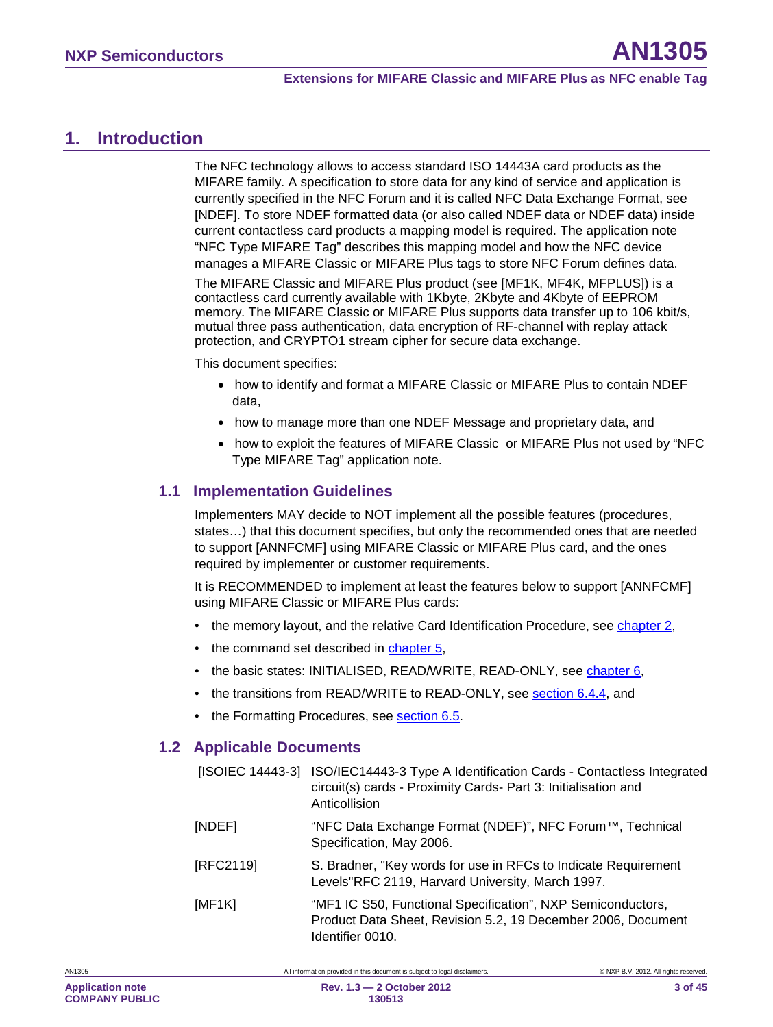<span id="page-2-0"></span>The NFC technology allows to access standard ISO 14443A card products as the MIFARE family. A specification to store data for any kind of service and application is currently specified in the NFC Forum and it is called NFC Data Exchange Format, see [NDEF]. To store NDEF formatted data (or also called NDEF data or NDEF data) inside current contactless card products a mapping model is required. The application note "NFC Type MIFARE Tag" describes this mapping model and how the NFC device manages a MIFARE Classic or MIFARE Plus tags to store NFC Forum defines data.

The MIFARE Classic and MIFARE Plus product (see [MF1K, MF4K, MFPLUS]) is a contactless card currently available with 1Kbyte, 2Kbyte and 4Kbyte of EEPROM memory. The MIFARE Classic or MIFARE Plus supports data transfer up to 106 kbit/s, mutual three pass authentication, data encryption of RF-channel with replay attack protection, and CRYPTO1 stream cipher for secure data exchange.

This document specifies:

- how to identify and format a MIFARE Classic or MIFARE Plus to contain NDEF data,
- how to manage more than one NDEF Message and proprietary data, and
- how to exploit the features of MIFARE Classic or MIFARE Plus not used by "NFC Type MIFARE Tag" application note.

### <span id="page-2-1"></span>**1.1 Implementation Guidelines**

Implementers MAY decide to NOT implement all the possible features (procedures, states…) that this document specifies, but only the recommended ones that are needed to support [ANNFCMF] using MIFARE Classic or MIFARE Plus card, and the ones required by implementer or customer requirements.

It is RECOMMENDED to implement at least the features below to support [ANNFCMF] using MIFARE Classic or MIFARE Plus cards:

- the memory layout, and the relative Card Identification Procedure, see <u>chapter [2](#page-5-0),</u>
- the command set described in chapter [5](#page-14-0),
- the basic states: INITIALISED, READ/WRITE, READ-ONLY, see <u>chapter [6](#page-14-1)</u>,
- the transitions from READ/WRITE to READ-ONLY, see <u>section [6.4.4](#page-27-0)</u>, and
- <span id="page-2-2"></span>• the Formatting Procedures, see **section [6.5](#page-30-0)**.

### **1.2 Applicable Documents**

|           | [ISOIEC 14443-3] ISO/IEC14443-3 Type A Identification Cards - Contactless Integrated<br>circuit(s) cards - Proximity Cards- Part 3: Initialisation and<br>Anticollision |
|-----------|-------------------------------------------------------------------------------------------------------------------------------------------------------------------------|
| [NDEF]    | "NFC Data Exchange Format (NDEF)", NFC Forum™, Technical<br>Specification, May 2006.                                                                                    |
| [RFC2119] | S. Bradner, "Key words for use in RFCs to Indicate Requirement<br>Levels"RFC 2119, Harvard University, March 1997.                                                      |
| [MF1K]    | "MF1 IC S50, Functional Specification", NXP Semiconductors,<br>Product Data Sheet, Revision 5.2, 19 December 2006, Document<br>Identifier 0010.                         |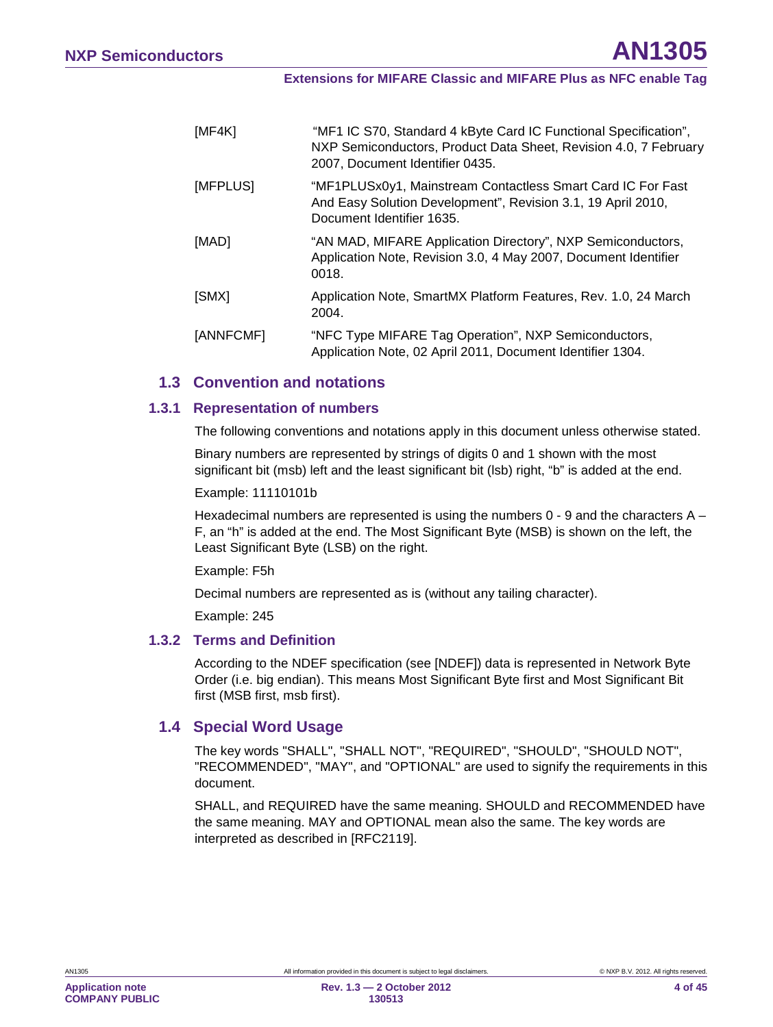| [MF4K]    | "MF1 IC S70, Standard 4 kByte Card IC Functional Specification",<br>NXP Semiconductors, Product Data Sheet, Revision 4.0, 7 February<br>2007, Document Identifier 0435. |
|-----------|-------------------------------------------------------------------------------------------------------------------------------------------------------------------------|
| [MFPLUS]  | "MF1PLUSx0y1, Mainstream Contactless Smart Card IC For Fast<br>And Easy Solution Development", Revision 3.1, 19 April 2010,<br>Document Identifier 1635.                |
| [MAD]     | "AN MAD, MIFARE Application Directory", NXP Semiconductors,<br>Application Note, Revision 3.0, 4 May 2007, Document Identifier<br>0018.                                 |
| [SMX]     | Application Note, SmartMX Platform Features, Rev. 1.0, 24 March<br>2004.                                                                                                |
| [ANNFCMF] | "NFC Type MIFARE Tag Operation", NXP Semiconductors,<br>Application Note, 02 April 2011, Document Identifier 1304.                                                      |

### <span id="page-3-0"></span>**1.3 Convention and notations**

#### **1.3.1 Representation of numbers**

<span id="page-3-1"></span>The following conventions and notations apply in this document unless otherwise stated.

Binary numbers are represented by strings of digits 0 and 1 shown with the most significant bit (msb) left and the least significant bit (lsb) right, "b" is added at the end.

#### Example: 11110101b

Hexadecimal numbers are represented is using the numbers  $0 - 9$  and the characters  $A -$ F, an "h" is added at the end. The Most Significant Byte (MSB) is shown on the left, the Least Significant Byte (LSB) on the right.

#### Example: F5h

Decimal numbers are represented as is (without any tailing character).

<span id="page-3-2"></span>Example: 245

### **1.3.2 Terms and Definition**

According to the NDEF specification (see [NDEF]) data is represented in Network Byte Order (i.e. big endian). This means Most Significant Byte first and Most Significant Bit first (MSB first, msb first).

#### <span id="page-3-3"></span>**1.4 Special Word Usage**

The key words "SHALL", "SHALL NOT", "REQUIRED", "SHOULD", "SHOULD NOT", "RECOMMENDED", "MAY", and "OPTIONAL" are used to signify the requirements in this document.

SHALL, and REQUIRED have the same meaning. SHOULD and RECOMMENDED have the same meaning. MAY and OPTIONAL mean also the same. The key words are interpreted as described in [RFC2119].

**Application note COMPANY PUBLIC**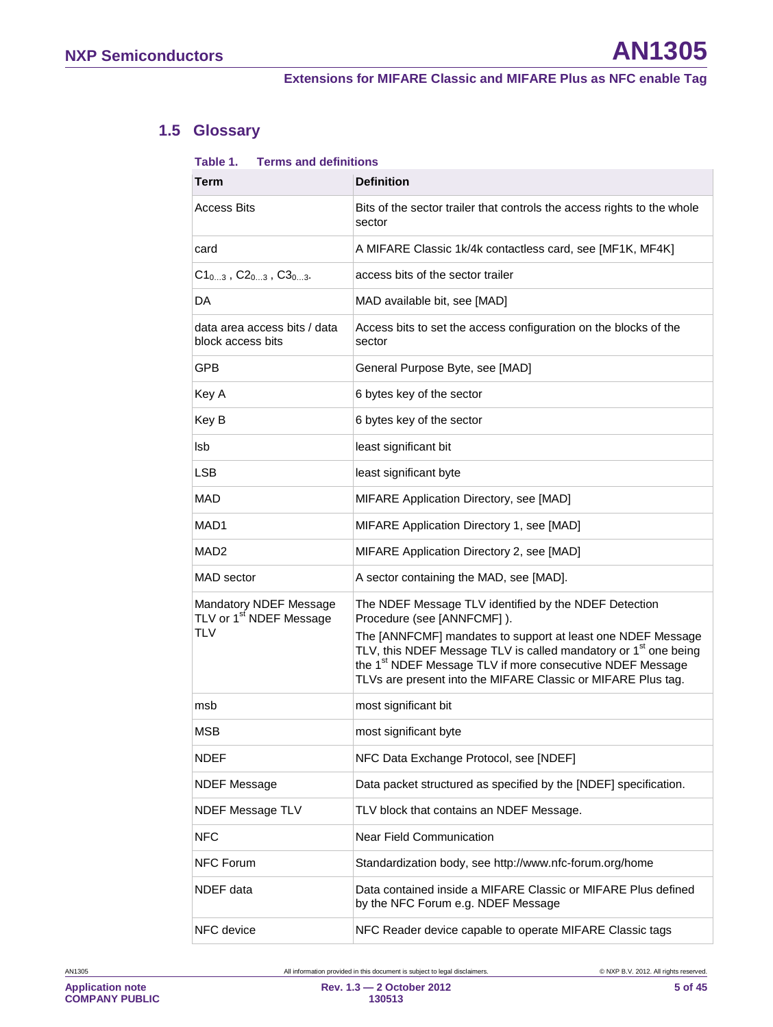# **1.5 Glossary**

#### <span id="page-4-0"></span>**Table 1. Terms and definitions**

| Term                                                                        | <b>Definition</b>                                                                                                                                                                                                                                                                                                                                                          |
|-----------------------------------------------------------------------------|----------------------------------------------------------------------------------------------------------------------------------------------------------------------------------------------------------------------------------------------------------------------------------------------------------------------------------------------------------------------------|
| <b>Access Bits</b>                                                          | Bits of the sector trailer that controls the access rights to the whole<br>sector                                                                                                                                                                                                                                                                                          |
| card                                                                        | A MIFARE Classic 1k/4k contactless card, see [MF1K, MF4K]                                                                                                                                                                                                                                                                                                                  |
| $C1_{03}$ , $C2_{03}$ , $C3_{03}$ .                                         | access bits of the sector trailer                                                                                                                                                                                                                                                                                                                                          |
| DA                                                                          | MAD available bit, see [MAD]                                                                                                                                                                                                                                                                                                                                               |
| data area access bits / data<br>block access bits                           | Access bits to set the access configuration on the blocks of the<br>sector                                                                                                                                                                                                                                                                                                 |
| <b>GPB</b>                                                                  | General Purpose Byte, see [MAD]                                                                                                                                                                                                                                                                                                                                            |
| Key A                                                                       | 6 bytes key of the sector                                                                                                                                                                                                                                                                                                                                                  |
| Key B                                                                       | 6 bytes key of the sector                                                                                                                                                                                                                                                                                                                                                  |
| lsb                                                                         | least significant bit                                                                                                                                                                                                                                                                                                                                                      |
| LSB                                                                         | least significant byte                                                                                                                                                                                                                                                                                                                                                     |
| <b>MAD</b>                                                                  | MIFARE Application Directory, see [MAD]                                                                                                                                                                                                                                                                                                                                    |
| MAD <sub>1</sub>                                                            | MIFARE Application Directory 1, see [MAD]                                                                                                                                                                                                                                                                                                                                  |
| MAD2                                                                        | MIFARE Application Directory 2, see [MAD]                                                                                                                                                                                                                                                                                                                                  |
| MAD sector                                                                  | A sector containing the MAD, see [MAD].                                                                                                                                                                                                                                                                                                                                    |
| Mandatory NDEF Message<br>TLV or 1 <sup>st</sup> NDEF Message<br><b>TLV</b> | The NDEF Message TLV identified by the NDEF Detection<br>Procedure (see [ANNFCMF]).<br>The [ANNFCMF] mandates to support at least one NDEF Message<br>TLV, this NDEF Message TLV is called mandatory or 1 <sup>st</sup> one being<br>the 1 <sup>st</sup> NDEF Message TLV if more consecutive NDEF Message<br>TLVs are present into the MIFARE Classic or MIFARE Plus tag. |
| msb                                                                         | most significant bit                                                                                                                                                                                                                                                                                                                                                       |
| MSB                                                                         | most significant byte                                                                                                                                                                                                                                                                                                                                                      |
| <b>NDEF</b>                                                                 | NFC Data Exchange Protocol, see [NDEF]                                                                                                                                                                                                                                                                                                                                     |
| <b>NDEF Message</b>                                                         | Data packet structured as specified by the [NDEF] specification.                                                                                                                                                                                                                                                                                                           |
| NDEF Message TLV                                                            | TLV block that contains an NDEF Message.                                                                                                                                                                                                                                                                                                                                   |
| <b>NFC</b>                                                                  | Near Field Communication                                                                                                                                                                                                                                                                                                                                                   |
| <b>NFC Forum</b>                                                            | Standardization body, see http://www.nfc-forum.org/home                                                                                                                                                                                                                                                                                                                    |
| NDEF data                                                                   | Data contained inside a MIFARE Classic or MIFARE Plus defined<br>by the NFC Forum e.g. NDEF Message                                                                                                                                                                                                                                                                        |
| NFC device                                                                  | NFC Reader device capable to operate MIFARE Classic tags                                                                                                                                                                                                                                                                                                                   |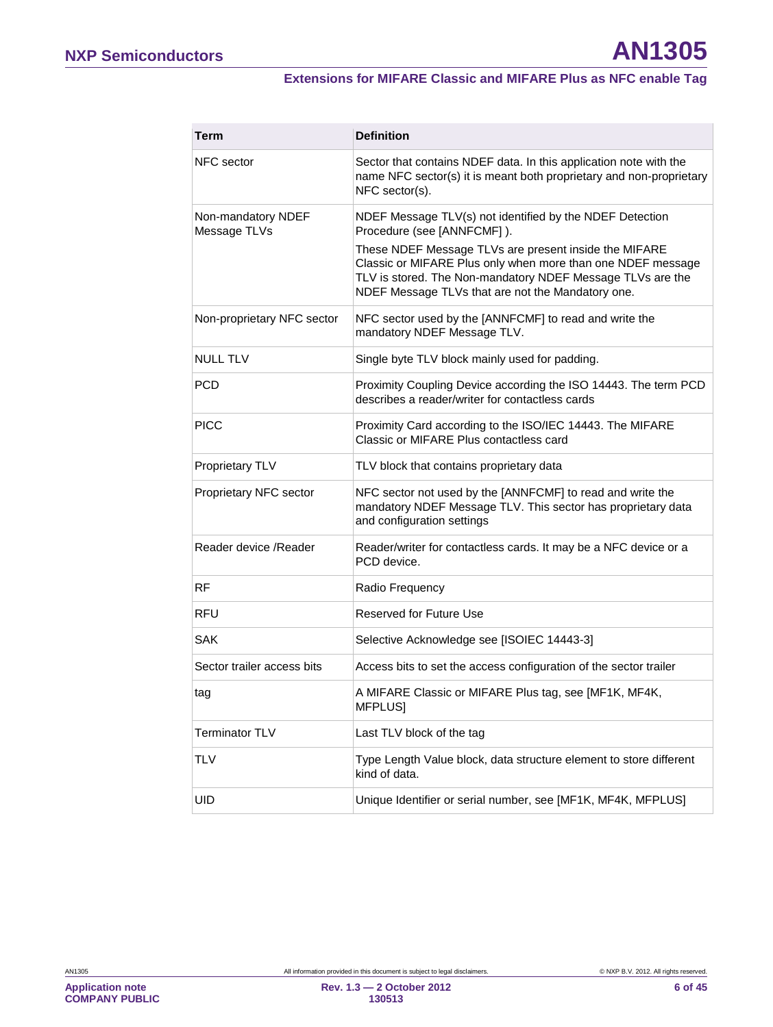### **Extensions for MIFARE Classic and MIFARE Plus as NFC enable Tag**

| Term                               | <b>Definition</b>                                                                                                                                                                                                                                                                                                                 |
|------------------------------------|-----------------------------------------------------------------------------------------------------------------------------------------------------------------------------------------------------------------------------------------------------------------------------------------------------------------------------------|
| NFC sector                         | Sector that contains NDEF data. In this application note with the<br>name NFC sector(s) it is meant both proprietary and non-proprietary<br>NFC sector(s).                                                                                                                                                                        |
| Non-mandatory NDEF<br>Message TLVs | NDEF Message TLV(s) not identified by the NDEF Detection<br>Procedure (see [ANNFCMF]).<br>These NDEF Message TLVs are present inside the MIFARE<br>Classic or MIFARE Plus only when more than one NDEF message<br>TLV is stored. The Non-mandatory NDEF Message TLVs are the<br>NDEF Message TLVs that are not the Mandatory one. |
| Non-proprietary NFC sector         | NFC sector used by the [ANNFCMF] to read and write the<br>mandatory NDEF Message TLV.                                                                                                                                                                                                                                             |
| <b>NULL TLV</b>                    | Single byte TLV block mainly used for padding.                                                                                                                                                                                                                                                                                    |
| <b>PCD</b>                         | Proximity Coupling Device according the ISO 14443. The term PCD<br>describes a reader/writer for contactless cards                                                                                                                                                                                                                |
| <b>PICC</b>                        | Proximity Card according to the ISO/IEC 14443. The MIFARE<br>Classic or MIFARE Plus contactless card                                                                                                                                                                                                                              |
| Proprietary TLV                    | TLV block that contains proprietary data                                                                                                                                                                                                                                                                                          |
| Proprietary NFC sector             | NFC sector not used by the [ANNFCMF] to read and write the<br>mandatory NDEF Message TLV. This sector has proprietary data<br>and configuration settings                                                                                                                                                                          |
| Reader device / Reader             | Reader/writer for contactless cards. It may be a NFC device or a<br>PCD device.                                                                                                                                                                                                                                                   |
| <b>RF</b>                          | Radio Frequency                                                                                                                                                                                                                                                                                                                   |
| <b>RFU</b>                         | <b>Reserved for Future Use</b>                                                                                                                                                                                                                                                                                                    |
| <b>SAK</b>                         | Selective Acknowledge see [ISOIEC 14443-3]                                                                                                                                                                                                                                                                                        |
| Sector trailer access bits         | Access bits to set the access configuration of the sector trailer                                                                                                                                                                                                                                                                 |
| tag                                | A MIFARE Classic or MIFARE Plus tag, see [MF1K, MF4K,<br>MFPLUS]                                                                                                                                                                                                                                                                  |
| <b>Terminator TLV</b>              | Last TLV block of the tag                                                                                                                                                                                                                                                                                                         |
| <b>TLV</b>                         | Type Length Value block, data structure element to store different<br>kind of data.                                                                                                                                                                                                                                               |
| UID                                | Unique Identifier or serial number, see [MF1K, MF4K, MFPLUS]                                                                                                                                                                                                                                                                      |

<span id="page-5-0"></span>**Application note COMPANY PUBLIC**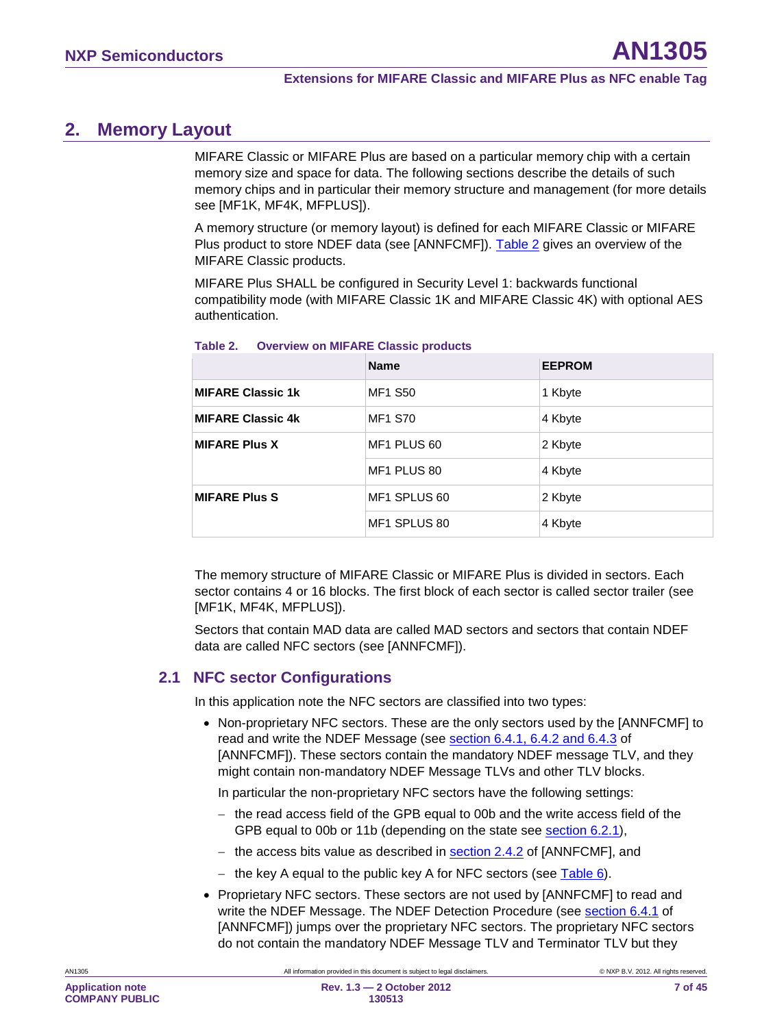# <span id="page-6-2"></span>**2. Memory Layout**

MIFARE Classic or MIFARE Plus are based on a particular memory chip with a certain memory size and space for data. The following sections describe the details of such memory chips and in particular their memory structure and management (for more details see [MF1K, MF4K, MFPLUS]).

A memory structure (or memory layout) is defined for each MIFARE Classic or MIFARE Plus product to store NDEF data (see [ANNFCMF]). [Table 2](#page-6-0) gives an overview of the MIFARE Classic products.

MIFARE Plus SHALL be configured in Security Level 1: backwards functional compatibility mode (with MIFARE Classic 1K and MIFARE Classic 4K) with optional AES authentication.

|                          | <b>Name</b>    | <b>EEPROM</b> |
|--------------------------|----------------|---------------|
| <b>MIFARE Classic 1k</b> | <b>MF1 S50</b> | 1 Kbyte       |
| <b>MIFARE Classic 4k</b> | <b>MF1 S70</b> | 4 Kbyte       |
| <b>MIFARE Plus X</b>     | MF1 PLUS 60    | 2 Kbyte       |
|                          | MF1 PLUS 80    | 4 Kbyte       |
| <b>MIFARE Plus S</b>     | MF1 SPLUS 60   | 2 Kbyte       |
|                          | MF1 SPLUS 80   | 4 Kbyte       |

#### <span id="page-6-0"></span>**Table 2. Overview on MIFARE Classic products**

The memory structure of MIFARE Classic or MIFARE Plus is divided in sectors. Each sector contains 4 or 16 blocks. The first block of each sector is called sector trailer (see [MF1K, MF4K, MFPLUS]).

Sectors that contain MAD data are called MAD sectors and sectors that contain NDEF data are called NFC sectors (see [ANNFCMF]).

### <span id="page-6-1"></span>**2.1 NFC sector Configurations**

In this application note the NFC sectors are classified into two types:

• Non-proprietary NFC sectors. These are the only sectors used by the [ANNFCMF] to read and write the NDEF Message (see **section 6.4.1, 6.4.2 and 6.4.3** of [ANNFCMF]). These sectors contain the mandatory NDEF message TLV, and they might contain non-mandatory NDEF Message TLVs and other TLV blocks.

In particular the non-proprietary NFC sectors have the following settings:

- − the read access field of the GPB equal to 00b and the write access field of the GPB equal to 00b or 11b (depending on the state see **section [6.2.1](#page-21-0)**),
- − the access bits value as described in <u>section 2.4.2</u> of [ANNFCMF], and
- − the key A equal to the public key A for NFC sectors (see <u>Table 6</u>).
- Proprietary NFC sectors. These sectors are not used by [ANNFCMF] to read and write the NDEF Message. The NDEF Detection Procedure (see section 6.4.1 of [ANNFCMF]) jumps over the proprietary NFC sectors. The proprietary NFC sectors do not contain the mandatory NDEF Message TLV and Terminator TLV but they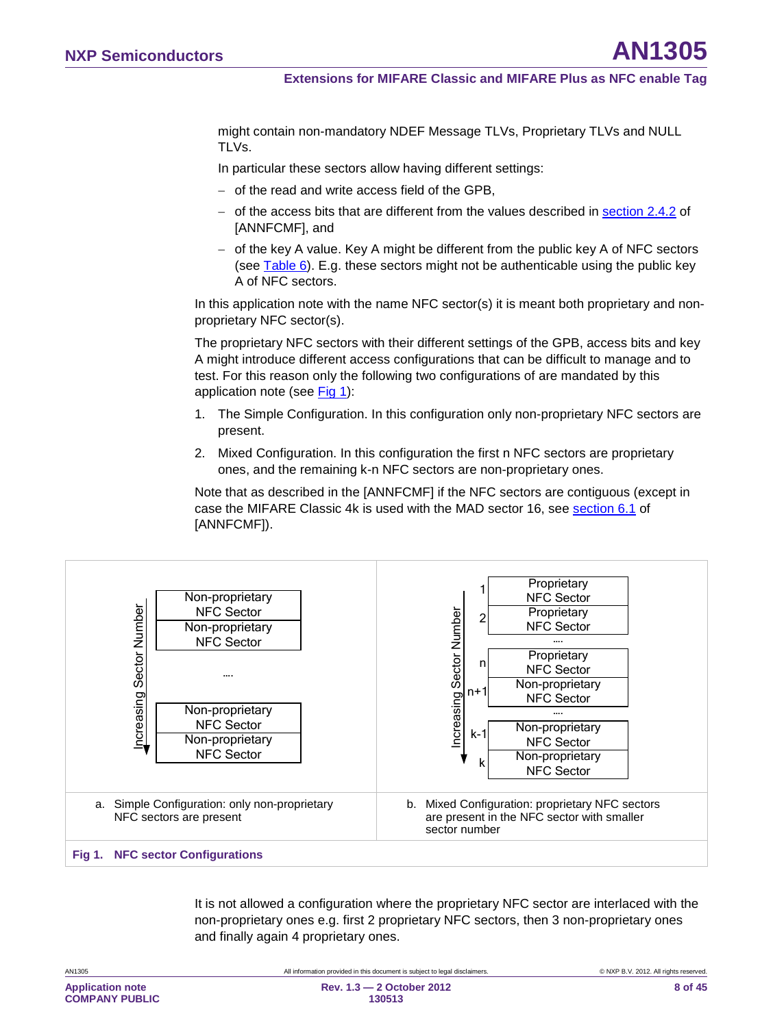might contain non-mandatory NDEF Message TLVs, Proprietary TLVs and NULL TLVs.

In particular these sectors allow having different settings:

- − of the read and write access field of the GPB,
- − of the access bits that are different from the values described in <u>section 2.4.2</u> of [ANNFCMF], and
- − of the key A value. Key A might be different from the public key A of NFC sectors (see <u>Table 6</u>). E.g. these sectors might not be authenticable using the public key A of NFC sectors.

In this application note with the name NFC sector(s) it is meant both proprietary and nonproprietary NFC sector(s).

The proprietary NFC sectors with their different settings of the GPB, access bits and key A might introduce different access configurations that can be difficult to manage and to test. For this reason only the following two configurations of are mandated by this application note (see [Fig 1\)](#page-7-0):

- 1. The Simple Configuration. In this configuration only non-proprietary NFC sectors are present.
- 2. Mixed Configuration. In this configuration the first n NFC sectors are proprietary ones, and the remaining k-n NFC sectors are non-proprietary ones.

Note that as described in the [ANNFCMF] if the NFC sectors are contiguous (except in case the MIFARE Classic 4k is used with the MAD sector 16, see section 6.1 of [ANNFCMF]).



It is not allowed a configuration where the proprietary NFC sector are interlaced with the non-proprietary ones e.g. first 2 proprietary NFC sectors, then 3 non-proprietary ones and finally again 4 proprietary ones.

<span id="page-7-0"></span>

| All information provided in this document is subject to legal disclaimers. | © NXP B.V. 2012. All rights reserved. |
|----------------------------------------------------------------------------|---------------------------------------|
| Rev. $1.3 - 2$ October 2012                                                | 8 of 45                               |
|                                                                            | 130513                                |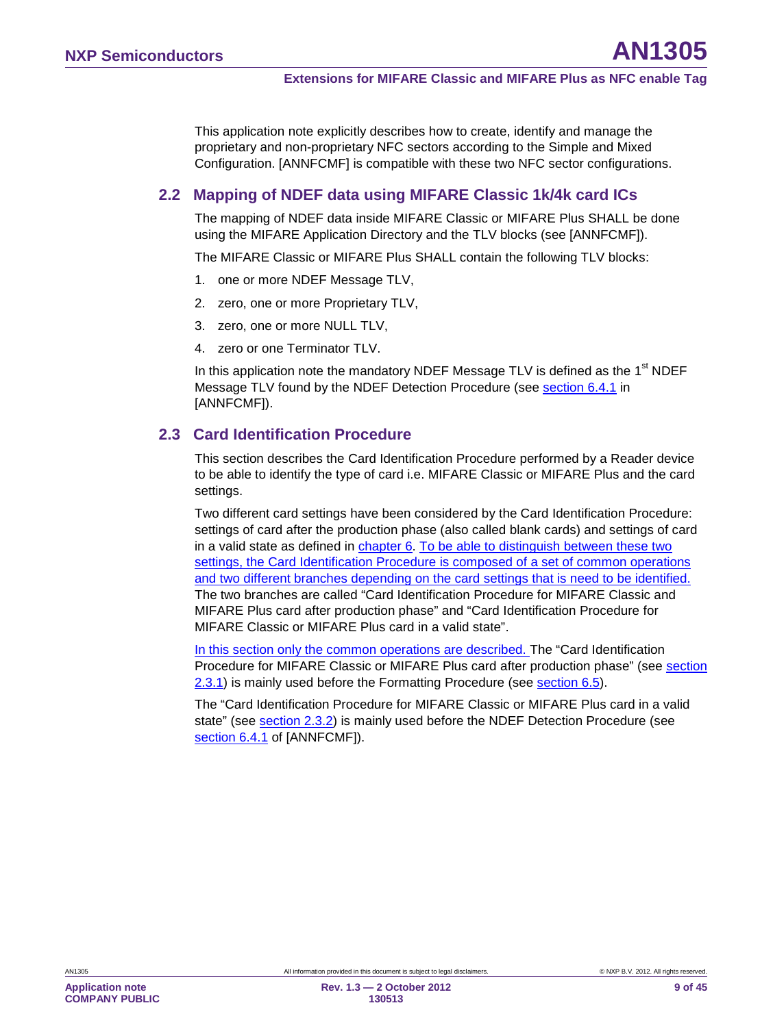This application note explicitly describes how to create, identify and manage the proprietary and non-proprietary NFC sectors according to the Simple and Mixed Configuration. [ANNFCMF] is compatible with these two NFC sector configurations.

### <span id="page-8-1"></span>**2.2 Mapping of NDEF data using MIFARE Classic 1k/4k card ICs**

The mapping of NDEF data inside MIFARE Classic or MIFARE Plus SHALL be done using the MIFARE Application Directory and the TLV blocks (see [ANNFCMF]).

The MIFARE Classic or MIFARE Plus SHALL contain the following TLV blocks:

- 1. one or more NDEF Message TLV,
- 2. zero, one or more Proprietary TLV,
- 3. zero, one or more NULL TLV,
- 4. zero or one Terminator TLV.

In this application note the mandatory NDEF Message TLV is defined as the  $1<sup>st</sup>$  NDEF Message TLV found by the NDEF Detection Procedure (see <u>section 6.4.1</u> in [ANNFCMF]).

### <span id="page-8-0"></span>**2.3 Card Identification Procedure**

This section describes the Card Identification Procedure performed by a Reader device to be able to identify the type of card i.e. MIFARE Classic or MIFARE Plus and the card settings.

Two different card settings have been considered by the Card Identification Procedure: settings of card after the production phase (also called blank cards) and settings of card in a valid state as defined in chapter [6.](#page-14-1) To be able to distinguish between these two settings, the Card Identification Procedure is composed of a set of common operations and two different branches depending on the card settings that is need to be identified. The two branches are called "Card Identification Procedure for MIFARE Classic and MIFARE Plus card after production phase" and "Card Identification Procedure for MIFARE Classic or MIFARE Plus card in a valid state".

In this section only the common operations are described. The "Card Identification Procedure for MIFARE Classic or MIFARE Plus card after production phase" (see section [2.3.1\)](#page-10-0) is mainly used before the Formatting Procedure (see **section [6.5](#page-30-0)**).

The "Card Identification Procedure for MIFARE Classic or MIFARE Plus card in a valid state" (see <u>section 2.3.2</u>) is mainly used before the NDEF Detection Procedure (see section 6.4.1 of [ANNFCMF]).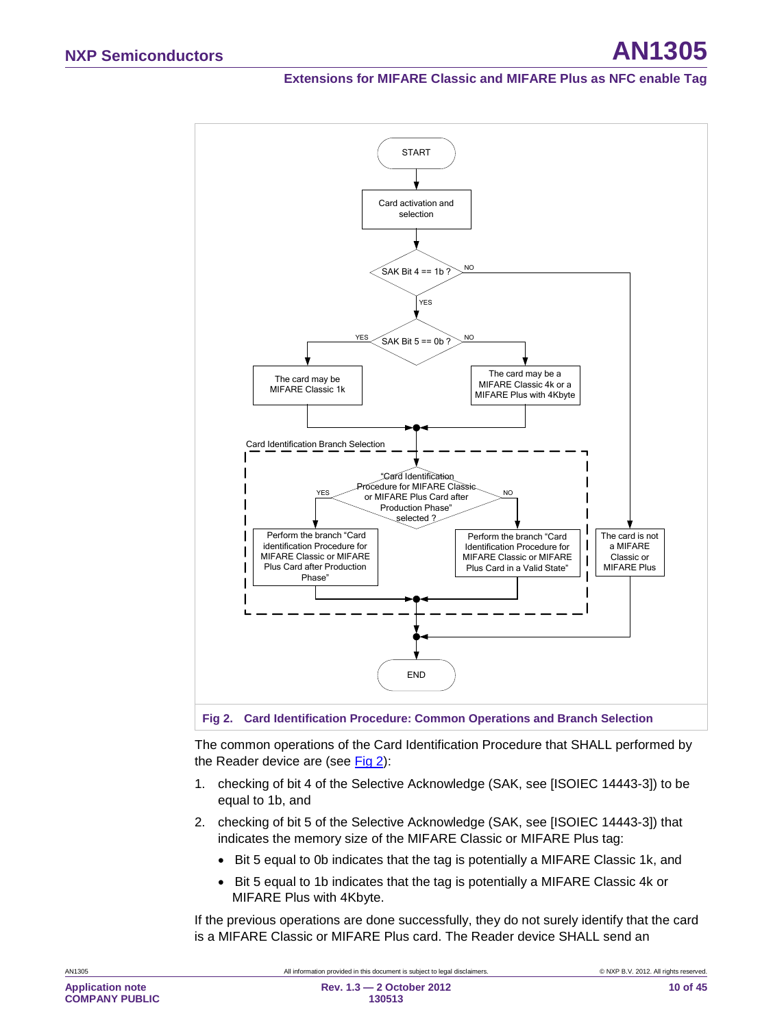#### **Extensions for MIFARE Classic and MIFARE Plus as NFC enable Tag**



<span id="page-9-0"></span>**Fig 2. Card Identification Procedure: Common Operations and Branch Selection**

The common operations of the Card Identification Procedure that SHALL performed by the Reader device are (see [Fig 2\)](#page-9-0):

- 1. checking of bit 4 of the Selective Acknowledge (SAK, see [ISOIEC 14443-3]) to be equal to 1b, and
- 2. checking of bit 5 of the Selective Acknowledge (SAK, see [ISOIEC 14443-3]) that indicates the memory size of the MIFARE Classic or MIFARE Plus tag:
	- Bit 5 equal to 0b indicates that the tag is potentially a MIFARE Classic 1k, and
	- Bit 5 equal to 1b indicates that the tag is potentially a MIFARE Classic 4k or MIFARE Plus with 4Kbyte.

If the previous operations are done successfully, they do not surely identify that the card is a MIFARE Classic or MIFARE Plus card. The Reader device SHALL send an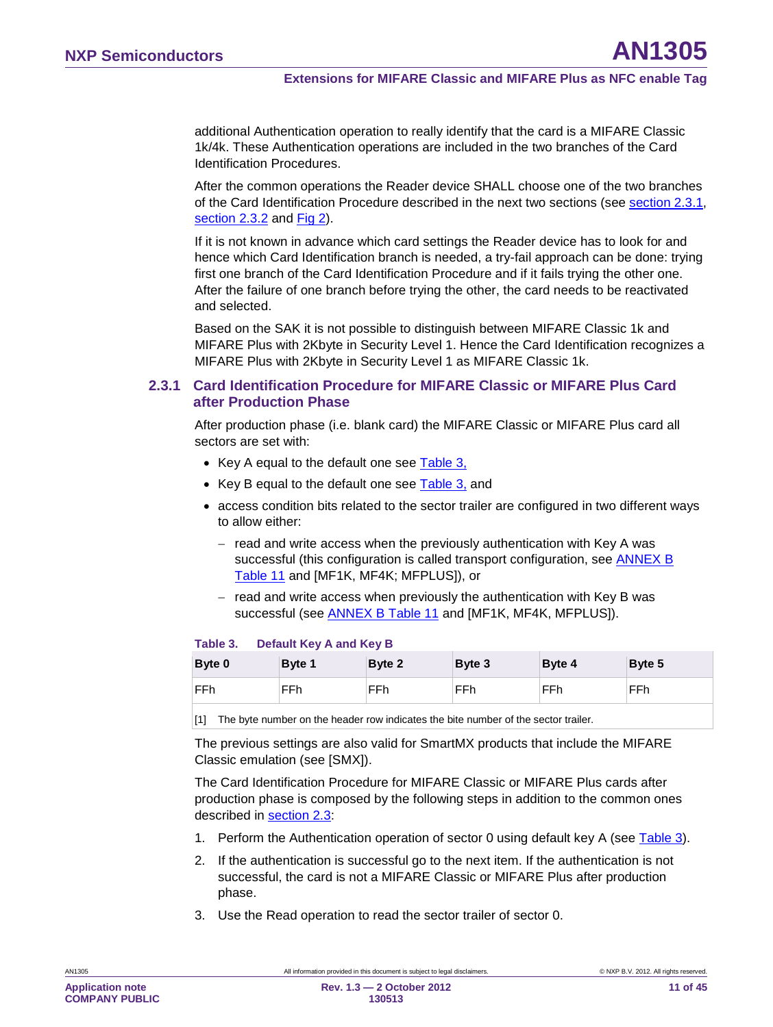additional Authentication operation to really identify that the card is a MIFARE Classic 1k/4k. These Authentication operations are included in the two branches of the Card Identification Procedures.

After the common operations the Reader device SHALL choose one of the two branches of the Card Identification Procedure described in the next two sections (see section [2.3.1,](#page-10-0) section [2.3.2](#page-13-0) and [Fig 2\)](#page-9-0).

If it is not known in advance which card settings the Reader device has to look for and hence which Card Identification branch is needed, a try-fail approach can be done: trying first one branch of the Card Identification Procedure and if it fails trying the other one. After the failure of one branch before trying the other, the card needs to be reactivated and selected.

Based on the SAK it is not possible to distinguish between MIFARE Classic 1k and MIFARE Plus with 2Kbyte in Security Level 1. Hence the Card Identification recognizes a MIFARE Plus with 2Kbyte in Security Level 1 as MIFARE Classic 1k.

#### <span id="page-10-0"></span>**2.3.1 Card Identification Procedure for MIFARE Classic or MIFARE Plus Card after Production Phase**

After production phase (i.e. blank card) the MIFARE Classic or MIFARE Plus card all sectors are set with:

- Key A equal to the default one see <u>[Table 3,](#page-10-1)</u>
- Key B equal to the default one see <u>[Table 3,](#page-10-1)</u> and
- access condition bits related to the sector trailer are configured in two different ways to allow either:
	- − read and write access when the previously authentication with Key A was successful (this configuration is called transport configuration, see **ANNEX B** [Table 11](#page-40-0) and [MF1K, MF4K; MFPLUS]), or
	- − read and write access when previously the authentication with Key B was successful (see <u>ANNEX B [Table 11](#page-40-0)</u> and [MF1K, MF4K, MFPLUS]).

#### <span id="page-10-1"></span>**Table 3. Default Key A and Key B**

| Byte 0 | Byte 1 | Byte 2 | Byte 3 | Byte 4 | Byte 5 |
|--------|--------|--------|--------|--------|--------|
| FFh    | FFh    | FFh    | FFh    | FFh    | FFh    |

[1] The byte number on the header row indicates the bite number of the sector trailer.

The previous settings are also valid for SmartMX products that include the MIFARE Classic emulation (see [SMX]).

The Card Identification Procedure for MIFARE Classic or MIFARE Plus cards after production phase is composed by the following steps in addition to the common ones described in <u>section [2.3](#page-8-0)</u>:

- 1. Perform the Authentication operation of sector 0 using default key A (see [Table 3\)](#page-10-1).
- 2. If the authentication is successful go to the next item. If the authentication is not successful, the card is not a MIFARE Classic or MIFARE Plus after production phase.
- 3. Use the Read operation to read the sector trailer of sector 0.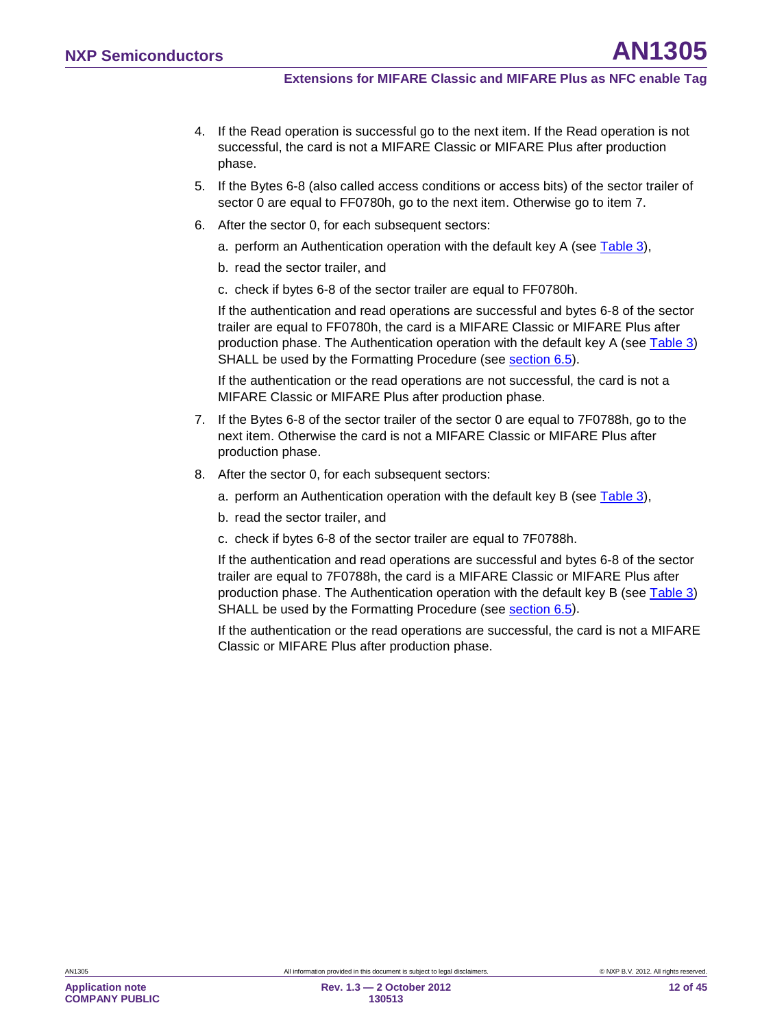- 4. If the Read operation is successful go to the next item. If the Read operation is not successful, the card is not a MIFARE Classic or MIFARE Plus after production phase.
- 5. If the Bytes 6-8 (also called access conditions or access bits) of the sector trailer of sector 0 are equal to FF0780h, go to the next item. Otherwise go to item 7.
- 6. After the sector 0, for each subsequent sectors:
	- a. perform an Authentication operation with the default key A (see [Table 3\)](#page-10-1),
	- b. read the sector trailer, and
	- c. check if bytes 6-8 of the sector trailer are equal to FF0780h.

If the authentication and read operations are successful and bytes 6-8 of the sector trailer are equal to FF0780h, the card is a MIFARE Classic or MIFARE Plus after production phase. The Authentication operation with the default key A (see [Table 3\)](#page-10-1) SHALL be used by the Formatting Procedure (see <u>section [6.5](#page-30-0)</u>).

If the authentication or the read operations are not successful, the card is not a MIFARE Classic or MIFARE Plus after production phase.

- 7. If the Bytes 6-8 of the sector trailer of the sector 0 are equal to 7F0788h, go to the next item. Otherwise the card is not a MIFARE Classic or MIFARE Plus after production phase.
- 8. After the sector 0, for each subsequent sectors:
	- a. perform an Authentication operation with the default key B (see [Table 3\)](#page-10-1),
	- b. read the sector trailer, and
	- c. check if bytes 6-8 of the sector trailer are equal to 7F0788h.

If the authentication and read operations are successful and bytes 6-8 of the sector trailer are equal to 7F0788h, the card is a MIFARE Classic or MIFARE Plus after production phase. The Authentication operation with the default key B (see [Table 3\)](#page-10-1) SHALL be used by the Formatting Procedure (see <u>section [6.5](#page-30-0)</u>).

If the authentication or the read operations are successful, the card is not a MIFARE Classic or MIFARE Plus after production phase.

**COMPANY PUBLIC**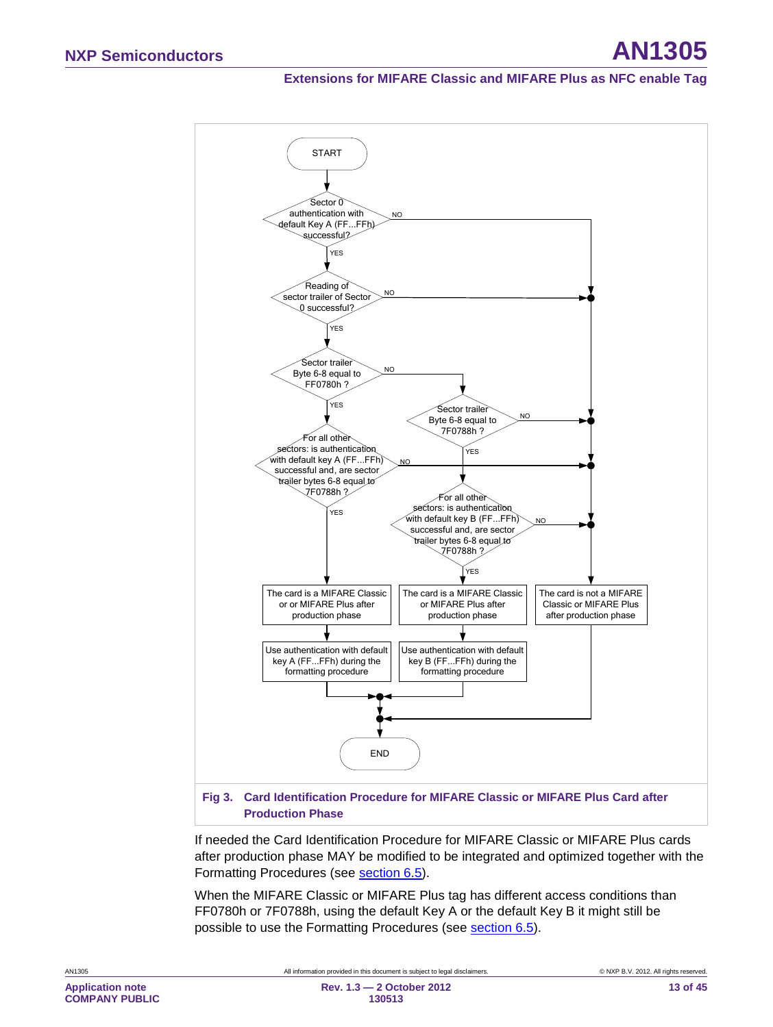### **Extensions for MIFARE Classic and MIFARE Plus as NFC enable Tag**



If needed the Card Identification Procedure for MIFARE Classic or MIFARE Plus cards after production phase MAY be modified to be integrated and optimized together with the Formatting Procedures (see **section [6.5](#page-30-0)**).

When the MIFARE Classic or MIFARE Plus tag has different access conditions than FF0780h or 7F0788h, using the default Key A or the default Key B it might still be possible to use the Formatting Procedures (see **section 6.5**).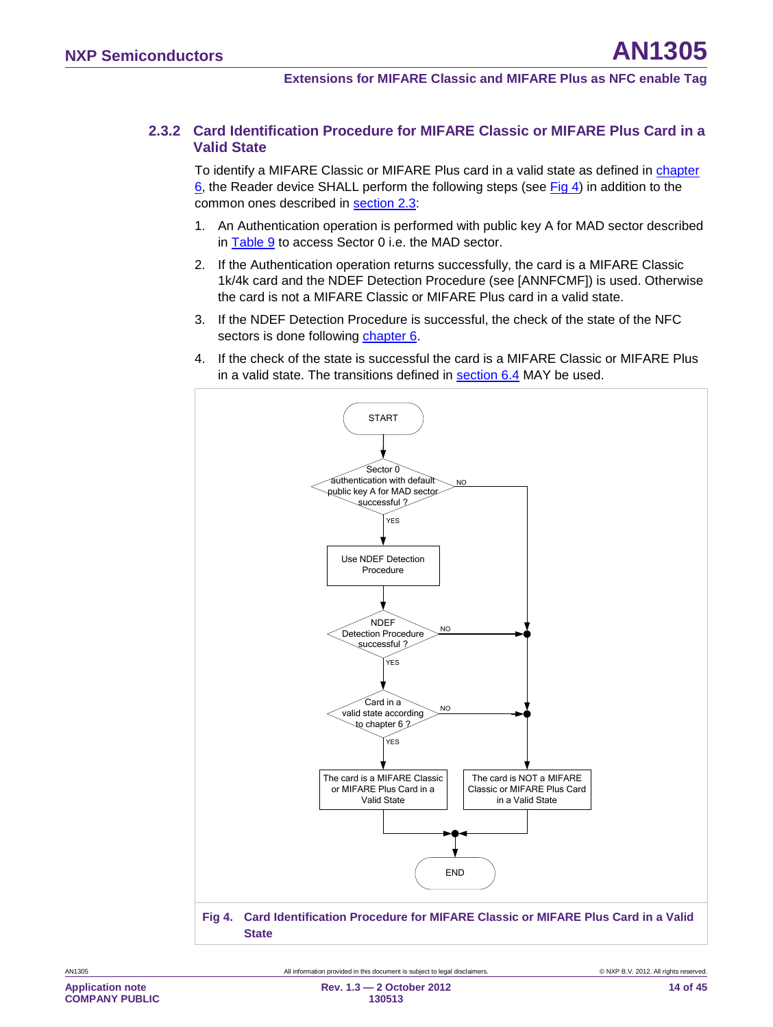### **2.3.2 Card Identification Procedure for MIFARE Classic or MIFARE Plus Card in a Valid State**

<span id="page-13-0"></span>To identify a MIFARE Classic or MIFARE Plus card in a valid state as defined in chapter [6,](#page-14-1) the Reader device SHALL perform the following steps (see [Fig 4\)](#page-13-1) in addition to the common ones described in <u>section [2.3](#page-8-0)</u>:

- 1. An Authentication operation is performed with public key A for MAD sector described in <u>[Table 9](#page-20-0)</u> to access Sector 0 i.e. the MAD sector.
- 2. If the Authentication operation returns successfully, the card is a MIFARE Classic 1k/4k card and the NDEF Detection Procedure (see [ANNFCMF]) is used. Otherwise the card is not a MIFARE Classic or MIFARE Plus card in a valid state.
- 3. If the NDEF Detection Procedure is successful, the check of the state of the NFC sectors is done following <u>chapter [6](#page-14-1)</u>.
- 4. If the check of the state is successful the card is a MIFARE Classic or MIFARE Plus in a valid state. The transitions defined in <u>section [6.4](#page-26-0)</u> MAY be used.

<span id="page-13-1"></span>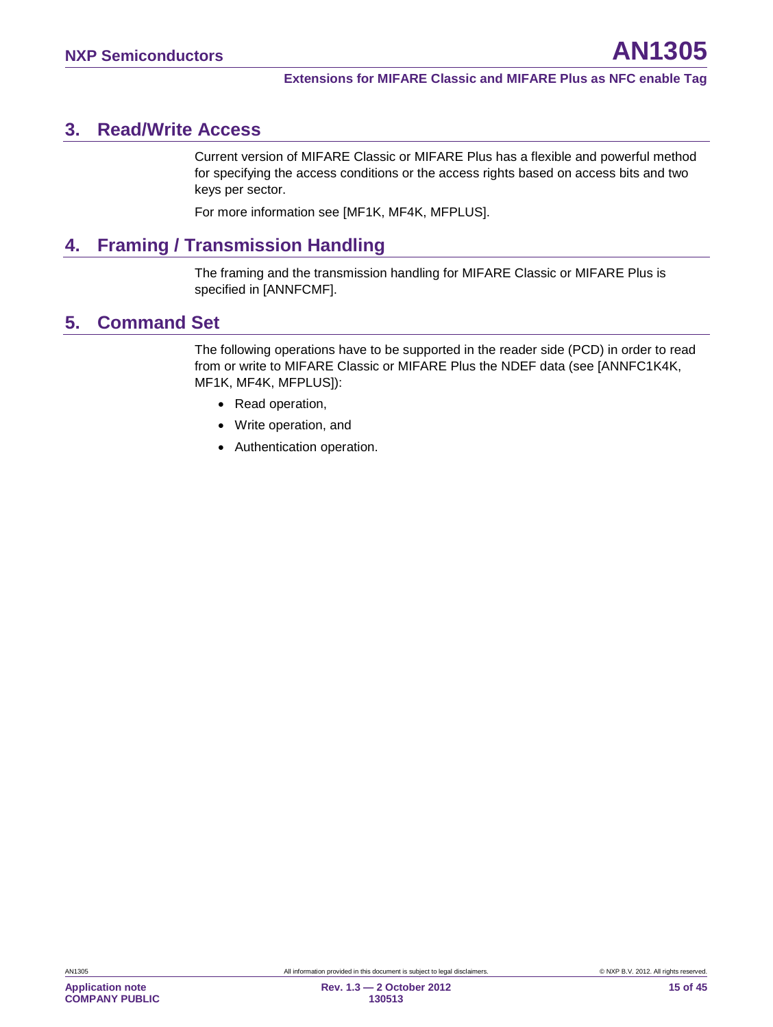# <span id="page-14-2"></span>**3. Read/Write Access**

Current version of MIFARE Classic or MIFARE Plus has a flexible and powerful method for specifying the access conditions or the access rights based on access bits and two keys per sector.

For more information see [MF1K, MF4K, MFPLUS].

# <span id="page-14-3"></span>**4. Framing / Transmission Handling**

The framing and the transmission handling for MIFARE Classic or MIFARE Plus is specified in [ANNFCMF].

# <span id="page-14-0"></span>**5. Command Set**

The following operations have to be supported in the reader side (PCD) in order to read from or write to MIFARE Classic or MIFARE Plus the NDEF data (see [ANNFC1K4K, MF1K, MF4K, MFPLUS]):

- Read operation,
- Write operation, and
- <span id="page-14-1"></span>• Authentication operation.

**Application note COMPANY PUBLIC**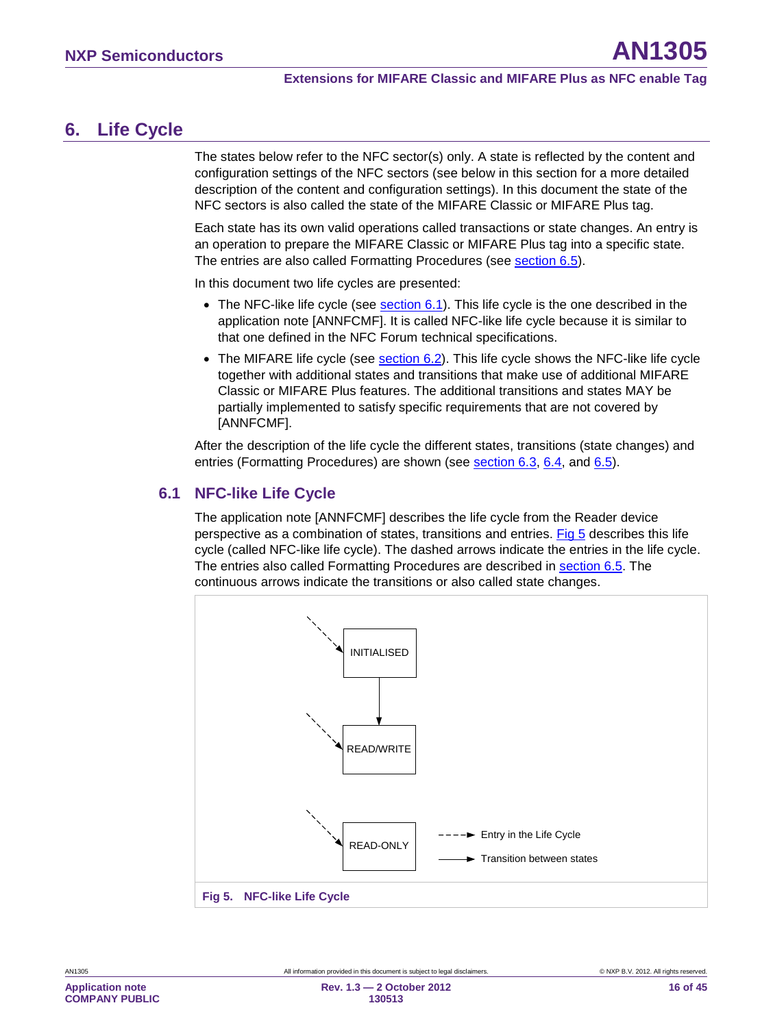# <span id="page-15-2"></span>**6. Life Cycle**

The states below refer to the NFC sector(s) only. A state is reflected by the content and configuration settings of the NFC sectors (see below in this section for a more detailed description of the content and configuration settings). In this document the state of the NFC sectors is also called the state of the MIFARE Classic or MIFARE Plus tag.

Each state has its own valid operations called transactions or state changes. An entry is an operation to prepare the MIFARE Classic or MIFARE Plus tag into a specific state. The entries are also called Formatting Procedures (see <u>section [6.5](#page-30-0)</u>).

In this document two life cycles are presented:

- $\bullet~$  The NFC-like life cycle (see  $\underline{\textrm{section 6.1}}$  $\underline{\textrm{section 6.1}}$  $\underline{\textrm{section 6.1}}$ ). This life cycle is the one described in the application note [ANNFCMF]. It is called NFC-like life cycle because it is similar to that one defined in the NFC Forum technical specifications.
- $\bullet~$  The MIFARE life cycle (see  $\frac{\text{section 6.2}}{\text{Section 6.2}}$  $\frac{\text{section 6.2}}{\text{Section 6.2}}$  $\frac{\text{section 6.2}}{\text{Section 6.2}}$  This life cycle shows the NFC-like life cycle together with additional states and transitions that make use of additional MIFARE Classic or MIFARE Plus features. The additional transitions and states MAY be partially implemented to satisfy specific requirements that are not covered by [ANNFCMF].

After the description of the life cycle the different states, transitions (state changes) and entries (Formatting Procedures) are shown (see <u>section [6.3,](#page-21-1) 6.4</u>, and <u>6.5</u>).

### <span id="page-15-0"></span>**6.1 NFC-like Life Cycle**

The application note [ANNFCMF] describes the life cycle from the Reader device perspective as a combination of states, transitions and entries. [Fig 5](#page-15-1) describes this life cycle (called NFC-like life cycle). The dashed arrows indicate the entries in the life cycle. The entries also called Formatting Procedures are described in **section [6.5](#page-30-0)**. The continuous arrows indicate the transitions or also called state changes.

<span id="page-15-1"></span>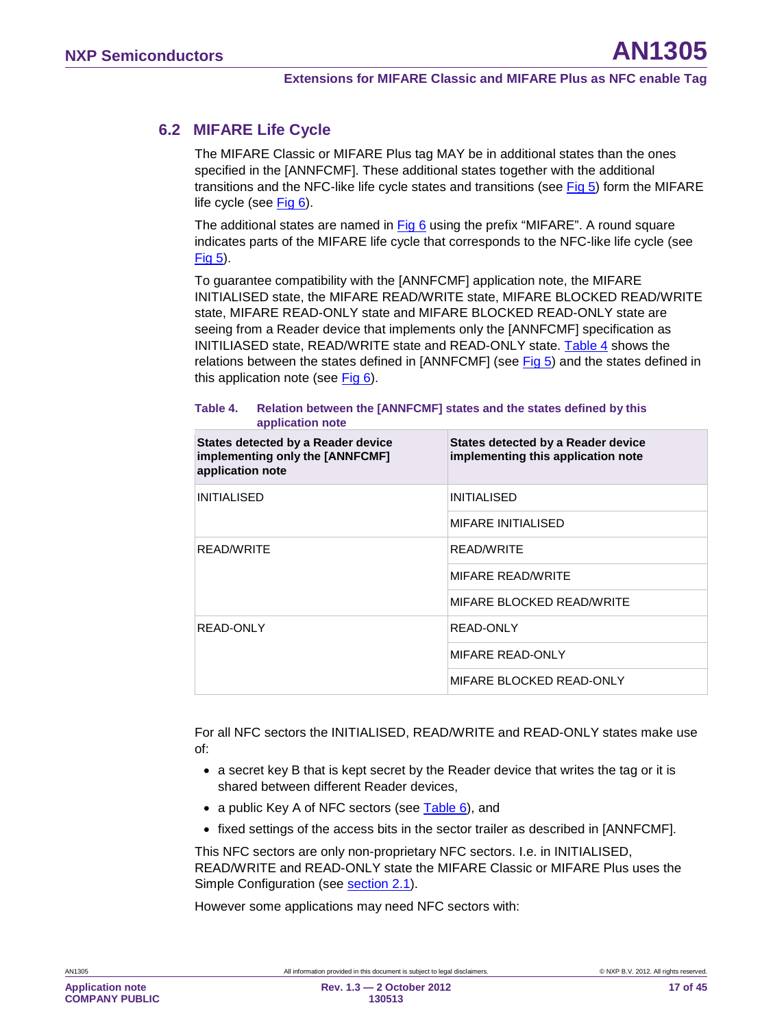### **6.2 MIFARE Life Cycle**

<span id="page-16-0"></span>The MIFARE Classic or MIFARE Plus tag MAY be in additional states than the ones specified in the [ANNFCMF]. These additional states together with the additional transitions and the NFC-like life cycle states and transitions (see [Fig 5\)](#page-15-1) form the MIFARE life cycle (see [Fig 6\)](#page-17-0).

The additional states are named in [Fig 6](#page-17-0) using the prefix "MIFARE". A round square indicates parts of the MIFARE life cycle that corresponds to the NFC-like life cycle (see [Fig 5\)](#page-15-1).

To guarantee compatibility with the [ANNFCMF] application note, the MIFARE INITIALISED state, the MIFARE READ/WRITE state, MIFARE BLOCKED READ/WRITE state, MIFARE READ-ONLY state and MIFARE BLOCKED READ-ONLY state are seeing from a Reader device that implements only the [ANNFCMF] specification as INITILIASED state, READ/WRITE state and READ-ONLY state. [Table 4](#page-16-1) shows the relations between the states defined in [ANNFCMF] (see [Fig 5\)](#page-15-1) and the states defined in this application note (see [Fig 6\)](#page-17-0).

#### <span id="page-16-1"></span>**Table 4. Relation between the [ANNFCMF] states and the states defined by this application note**

| States detected by a Reader device<br>implementing only the [ANNFCMF]<br>application note | States detected by a Reader device<br>implementing this application note |
|-------------------------------------------------------------------------------------------|--------------------------------------------------------------------------|
| <b>INITIALISED</b>                                                                        | <b>INITIALISED</b>                                                       |
|                                                                                           | <b>MIFARE INITIALISED</b>                                                |
| <b>READ/WRITE</b>                                                                         | READ/WRITE                                                               |
|                                                                                           | <b>MIFARE READ/WRITE</b>                                                 |
|                                                                                           | MIFARE BLOCKED READ/WRITE                                                |
| READ-ONLY                                                                                 | READ-ONLY                                                                |
|                                                                                           | MIFARE READ-ONLY                                                         |
|                                                                                           | MIFARE BLOCKED READ-ONLY                                                 |

For all NFC sectors the INITIALISED, READ/WRITE and READ-ONLY states make use of:

- a secret key B that is kept secret by the Reader device that writes the tag or it is shared between different Reader devices,
- a public Key A of NFC sectors (see [Table 6\)](#page-19-0), and
- fixed settings of the access bits in the sector trailer as described in [ANNFCMF].

This NFC sectors are only non-proprietary NFC sectors. I.e. in INITIALISED, READ/WRITE and READ-ONLY state the MIFARE Classic or MIFARE Plus uses the Simple Configuration (see **section [2.1](#page-6-1)**).

However some applications may need NFC sectors with: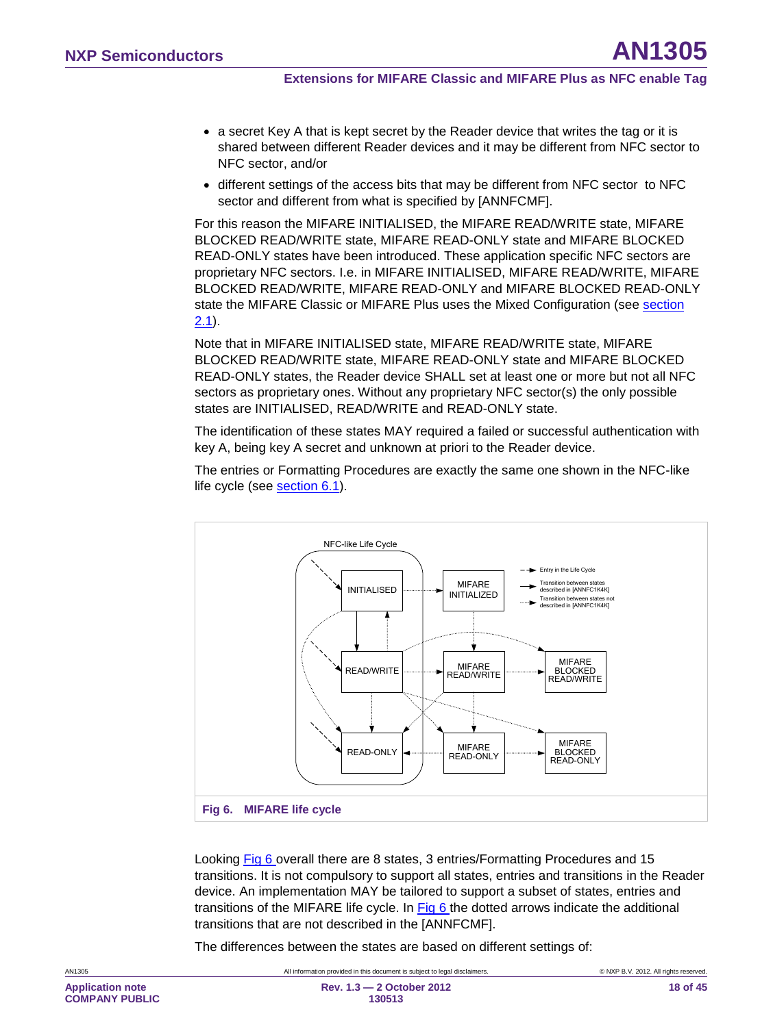- a secret Key A that is kept secret by the Reader device that writes the tag or it is shared between different Reader devices and it may be different from NFC sector to NFC sector, and/or
- different settings of the access bits that may be different from NFC sector to NFC sector and different from what is specified by [ANNFCMF].

For this reason the MIFARE INITIALISED, the MIFARE READ/WRITE state, MIFARE BLOCKED READ/WRITE state, MIFARE READ-ONLY state and MIFARE BLOCKED READ-ONLY states have been introduced. These application specific NFC sectors are proprietary NFC sectors. I.e. in MIFARE INITIALISED, MIFARE READ/WRITE, MIFARE BLOCKED READ/WRITE, MIFARE READ-ONLY and MIFARE BLOCKED READ-ONLY state the MIFARE Classic or MIFARE Plus uses the Mixed Configuration (see section <u>[2.1](#page-6-1)</u>).

Note that in MIFARE INITIALISED state, MIFARE READ/WRITE state, MIFARE BLOCKED READ/WRITE state, MIFARE READ-ONLY state and MIFARE BLOCKED READ-ONLY states, the Reader device SHALL set at least one or more but not all NFC sectors as proprietary ones. Without any proprietary NFC sector(s) the only possible states are INITIALISED, READ/WRITE and READ-ONLY state.

The identification of these states MAY required a failed or successful authentication with key A, being key A secret and unknown at priori to the Reader device.

The entries or Formatting Procedures are exactly the same one shown in the NFC-like life cycle (see section [6.1\)](#page-15-0).



<span id="page-17-0"></span>Looking [Fig 6](#page-17-0) overall there are 8 states, 3 entries/Formatting Procedures and 15 transitions. It is not compulsory to support all states, entries and transitions in the Reader device. An implementation MAY be tailored to support a subset of states, entries and transitions of the MIFARE life cycle. In **Fig 6** the dotted arrows indicate the additional transitions that are not described in the [ANNFCMF].

The differences between the states are based on different settings of: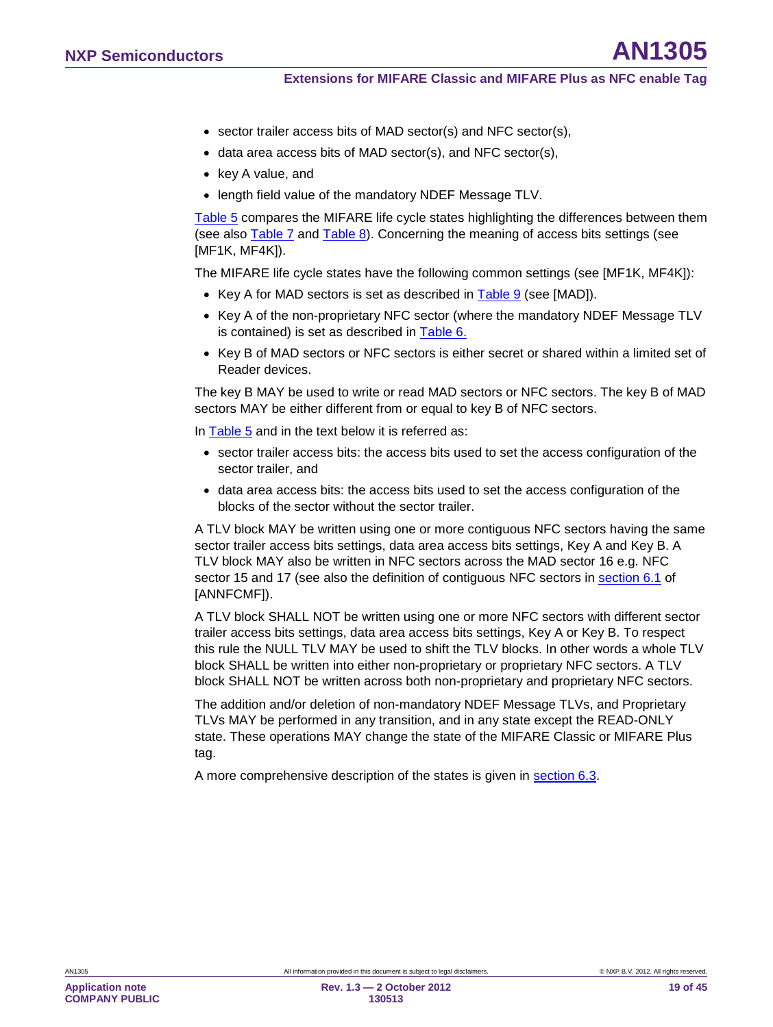- sector trailer access bits of MAD sector(s) and NFC sector(s),
- data area access bits of MAD sector(s), and NFC sector(s),
- key A value, and
- length field value of the mandatory NDEF Message TLV.

[Table 5](#page-19-1) compares the MIFARE life cycle states highlighting the differences between them (see also [Table 7](#page-19-2) and [Table 8\)](#page-20-1). Concerning the meaning of access bits settings (see [MF1K, MF4K]).

The MIFARE life cycle states have the following common settings (see [MF1K, MF4K]):

- Key A for MAD sectors is set as described in **Table 9** (see [MAD]).
- Key A of the non-proprietary NFC sector (where the mandatory NDEF Message TLV is contained) is set as described in <u>[Table 6.](#page-19-0)</u>
- Key B of MAD sectors or NFC sectors is either secret or shared within a limited set of Reader devices.

The key B MAY be used to write or read MAD sectors or NFC sectors. The key B of MAD sectors MAY be either different from or equal to key B of NFC sectors.

In [Table 5](#page-19-1) and in the text below it is referred as:

- sector trailer access bits: the access bits used to set the access configuration of the sector trailer, and
- data area access bits: the access bits used to set the access configuration of the blocks of the sector without the sector trailer.

A TLV block MAY be written using one or more contiguous NFC sectors having the same sector trailer access bits settings, data area access bits settings, Key A and Key B. A TLV block MAY also be written in NFC sectors across the MAD sector 16 e.g. NFC sector 15 and 17 (see also the definition of contiguous NFC sectors in <u>section 6.1</u> of [ANNFCMF]).

A TLV block SHALL NOT be written using one or more NFC sectors with different sector trailer access bits settings, data area access bits settings, Key A or Key B. To respect this rule the NULL TLV MAY be used to shift the TLV blocks. In other words a whole TLV block SHALL be written into either non-proprietary or proprietary NFC sectors. A TLV block SHALL NOT be written across both non-proprietary and proprietary NFC sectors.

The addition and/or deletion of non-mandatory NDEF Message TLVs, and Proprietary TLVs MAY be performed in any transition, and in any state except the READ-ONLY state. These operations MAY change the state of the MIFARE Classic or MIFARE Plus tag.

A more comprehensive description of the states is given in section [6.3.](#page-21-1)

**Application note COMPANY PUBLIC**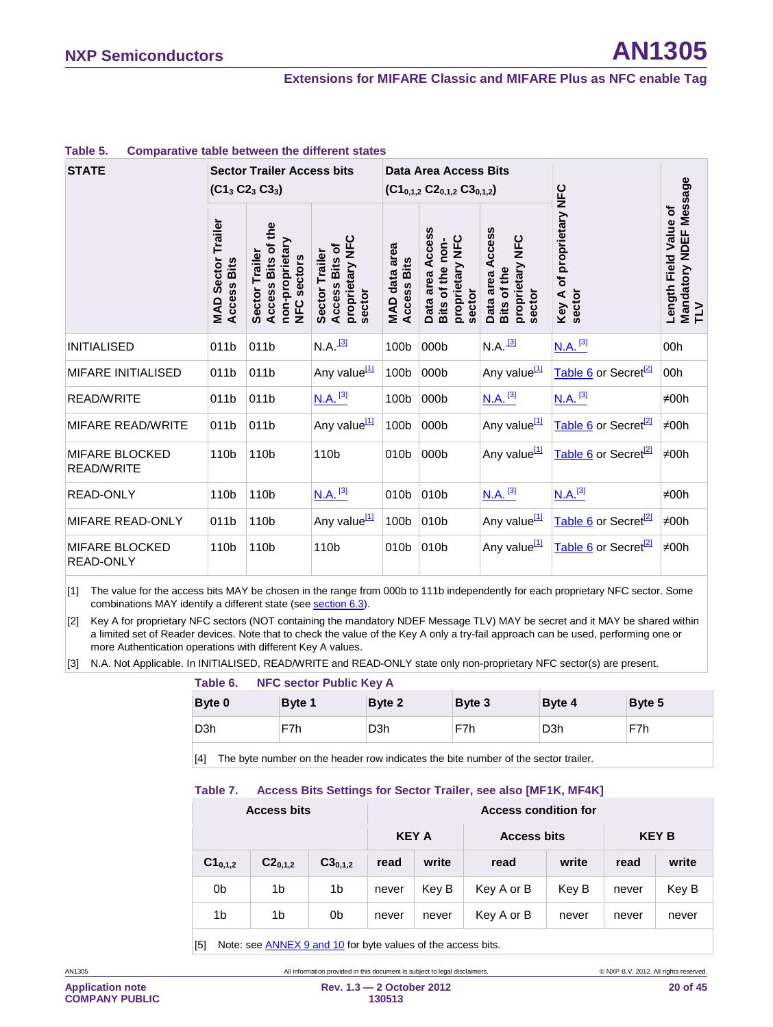#### **Extensions for MIFARE Classic and MIFARE Plus as NFC enable Tag**

| <b>STATE</b>                               | <b>Sector Trailer Access bits</b><br>$(C13 C23 C33)$ |                                                                               |                                                               | <b>Data Area Access Bits</b><br>$(C1_{0,1,2} C2_{0,1,2} C3_{0,1,2})$ |                                                                   |                                                              |                                       |                                                               |
|--------------------------------------------|------------------------------------------------------|-------------------------------------------------------------------------------|---------------------------------------------------------------|----------------------------------------------------------------------|-------------------------------------------------------------------|--------------------------------------------------------------|---------------------------------------|---------------------------------------------------------------|
|                                            | Trailer<br><b>MAD Sector</b><br><b>Access Bits</b>   | Access Bits of the<br>non-proprietary<br>Sector Trailer<br><b>NFC</b> sectors | proprietary NFC<br>Access Bits of<br>Sector Trailer<br>sector | MAD data area<br>Access Bits                                         | Data area Access<br>proprietary NFC<br>Bits of the non-<br>sector | Data area Access<br>proprietary NFC<br>Bits of the<br>sector | of proprietary NFC<br>sector<br>Key A | Mandatory NDEF Message<br>TLV<br><b>Length Field Value of</b> |
| <b>INITIALISED</b>                         | 011b                                                 | 011b                                                                          | $N.A.$ <sup>[3]</sup>                                         | 100b                                                                 | 000b                                                              | $N.A.$ <sup>[3]</sup>                                        | $N.A.$ <sup>[3]</sup>                 | 00h                                                           |
| <b>MIFARE INITIALISED</b>                  | 011b                                                 | 011b                                                                          | Any value <sup>[1]</sup>                                      | 100b                                                                 | 000b                                                              | Any value <sup>[1]</sup>                                     | Table 6 or Secret <sup>[2]</sup>      | 00h                                                           |
| <b>READ/WRITE</b>                          | 011b                                                 | 011b                                                                          | $N.A.$ <sup>[3]</sup>                                         | 100b                                                                 | 000b                                                              | $N.A.$ <sup>[3]</sup>                                        | $N.A.$ <sup>[3]</sup>                 | ≠00h                                                          |
| <b>MIFARE READ/WRITE</b>                   | 011b                                                 | 011b                                                                          | Any value <sup>[1]</sup>                                      | 100b                                                                 | 000b                                                              | Any value <sup>[1]</sup>                                     | Table 6 or Secret <sup>[2]</sup>      | $\neq$ 00h                                                    |
| <b>MIFARE BLOCKED</b><br><b>READ/WRITE</b> | 110b                                                 | 110b                                                                          | 110b                                                          | 010b                                                                 | 000b                                                              | Any value <sup>[1]</sup>                                     | Table 6 or Secret <sup>[2]</sup>      | $\neq$ 00h                                                    |
| <b>READ-ONLY</b>                           | 110b                                                 | 110b                                                                          | $N.A.$ <sup>[3]</sup>                                         | 010b                                                                 | 010b                                                              | $N.A.$ <sup>[3]</sup>                                        | N.A. <sup>[3]</sup>                   | $\neq$ 00h                                                    |
| MIFARE READ-ONLY                           | 011b                                                 | 110b                                                                          | Any value <sup>[1]</sup>                                      | 100b                                                                 | 010b                                                              | Any value <sup>[1]</sup>                                     | Table 6 or Secret <sup>[2]</sup>      | $\neq$ 00h                                                    |
| <b>MIFARE BLOCKED</b><br>READ-ONLY         | 110b                                                 | 110b                                                                          | 110 <sub>b</sub>                                              | 010 <sub>b</sub>                                                     | 010b                                                              | Any value <sup>[1]</sup>                                     | Table 6 or Secret <sup>[2]</sup>      | $\neq$ 00h                                                    |

#### <span id="page-19-1"></span>**Table 5. Comparative table between the different states**

<span id="page-19-4"></span>[1] The value for the access bits MAY be chosen in the range from 000b to 111b independently for each proprietary NFC sector. Some combinations MAY identify a different state (see <u>sectio[n 6.3](#page-21-1)</u>).

<span id="page-19-5"></span>[2] Key A for proprietary NFC sectors (NOT containing the mandatory NDEF Message TLV) MAY be secret and it MAY be shared within a limited set of Reader devices. Note that to check the value of the Key A only a try-fail approach can be used, performing one or more Authentication operations with different Key A values.

<span id="page-19-3"></span>[3] N.A. Not Applicable. In INITIALISED, READ/WRITE and READ-ONLY state only non-proprietary NFC sector(s) are present.

#### <span id="page-19-0"></span>**Table 6. NFC sector Public Key A**

| Byte 0           | Byte 1 | Byte 2           | Byte 3 | Byte 4           | Byte 5 |
|------------------|--------|------------------|--------|------------------|--------|
| D <sub>3</sub> h | F7h    | D <sub>3</sub> h | F7h    | D <sub>3</sub> h | F7h    |

<span id="page-19-2"></span>[4] The byte number on the header row indicates the bite number of the sector trailer.

#### **Table 7. Access Bits Settings for Sector Trailer, see also [MF1K, MF4K]**

| <b>Access bits</b> |              |                | <b>Access condition for</b>        |       |              |       |       |       |
|--------------------|--------------|----------------|------------------------------------|-------|--------------|-------|-------|-------|
|                    |              |                | <b>KEY A</b><br><b>Access bits</b> |       | <b>KEY B</b> |       |       |       |
| $C1_{0,1,2}$       | $C2_{0,1,2}$ | $C3_{0,1,2}$   | read                               | write | read         | write | read  | write |
| 0b                 | 1b           | 1 <sub>b</sub> | never                              | Key B | Key A or B   | Key B | never | Key B |
| 1b                 | 1b           | 0b             | never                              | never | Key A or B   | never | never | never |

[5] Note: see ANNE[X 9](#page-39-0) an[d 10](#page-40-1) for byte values of the access bits.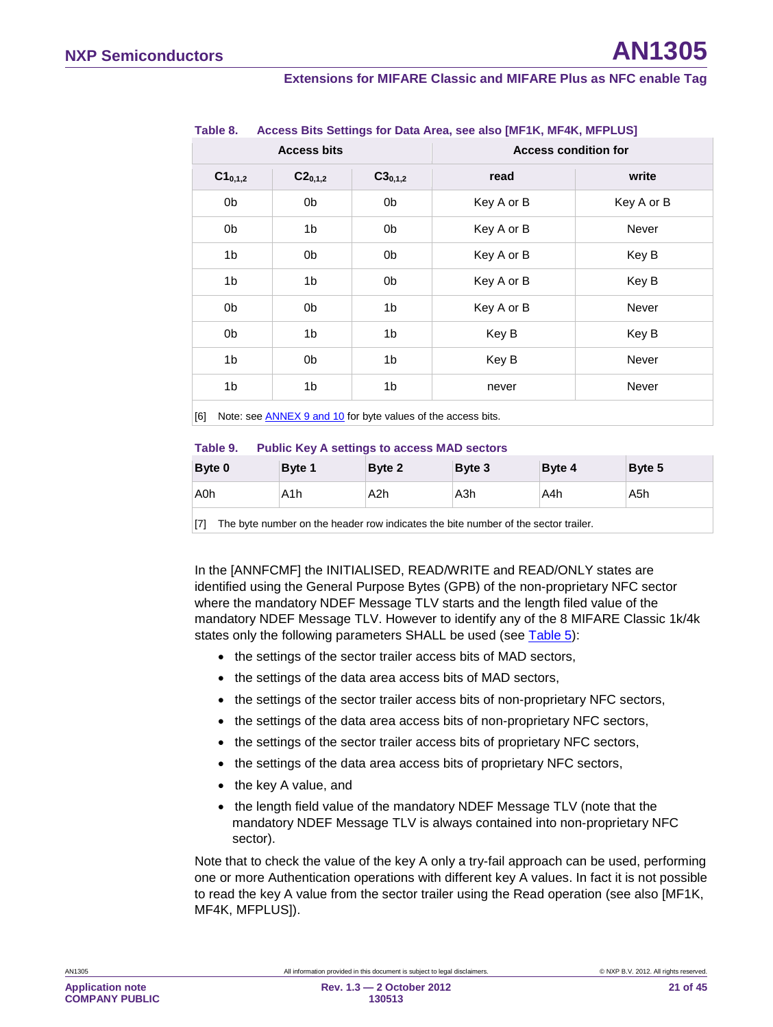#### **Extensions for MIFARE Classic and MIFARE Plus as NFC enable Tag**

|              | <b>Access bits</b> |                | <b>Access condition for</b> |              |  |
|--------------|--------------------|----------------|-----------------------------|--------------|--|
| $C1_{0,1,2}$ | $C2_{0,1,2}$       | $C3_{0,1,2}$   | read                        | write        |  |
| 0b           | 0b                 | 0b             | Key A or B                  | Key A or B   |  |
| 0b           | 1b                 | 0b             | Key A or B                  | <b>Never</b> |  |
| 1b           | 0b                 | 0b             | Key A or B                  | Key B        |  |
| 1b           | 1b                 | 0b             | Key A or B                  | Key B        |  |
| 0b           | 0b                 | 1 <sub>b</sub> | Key A or B                  | Never        |  |
| 0b           | 1b                 | 1 <sub>b</sub> | Key B                       | Key B        |  |
| 1b           | 0b                 | 1 <sub>b</sub> | Key B                       | <b>Never</b> |  |
| 1b           | 1 <sub>b</sub>     | 1 <sub>b</sub> | never                       | Never        |  |

#### <span id="page-20-1"></span>**Table 8. Access Bits Settings for Data Area, see also [MF1K, MF4K, MFPLUS]**

<span id="page-20-0"></span>[6] Note: see **ANNE[X 9](#page-39-0) an[d 10](#page-40-1)** for byte values of the access bits.

#### **Table 9. Public Key A settings to access MAD sectors**

| Byte 0 | Byte 1 | Byte 2 | Byte 3 | Byte 4 | Byte 5 |
|--------|--------|--------|--------|--------|--------|
| A0h    | A1h    | A2h    | A3h    | A4h    | A5h    |
|        |        |        |        |        |        |

[7] The byte number on the header row indicates the bite number of the sector trailer.

In the [ANNFCMF] the INITIALISED, READ/WRITE and READ/ONLY states are identified using the General Purpose Bytes (GPB) of the non-proprietary NFC sector where the mandatory NDEF Message TLV starts and the length filed value of the mandatory NDEF Message TLV. However to identify any of the 8 MIFARE Classic 1k/4k states only the following parameters SHALL be used (see [Table 5\)](#page-19-1):

- the settings of the sector trailer access bits of MAD sectors,
- the settings of the data area access bits of MAD sectors,
- the settings of the sector trailer access bits of non-proprietary NFC sectors,
- the settings of the data area access bits of non-proprietary NFC sectors,
- the settings of the sector trailer access bits of proprietary NFC sectors,
- the settings of the data area access bits of proprietary NFC sectors,
- the key A value, and
- the length field value of the mandatory NDEF Message TLV (note that the mandatory NDEF Message TLV is always contained into non-proprietary NFC sector).

Note that to check the value of the key A only a try-fail approach can be used, performing one or more Authentication operations with different key A values. In fact it is not possible to read the key A value from the sector trailer using the Read operation (see also [MF1K, MF4K, MFPLUS]).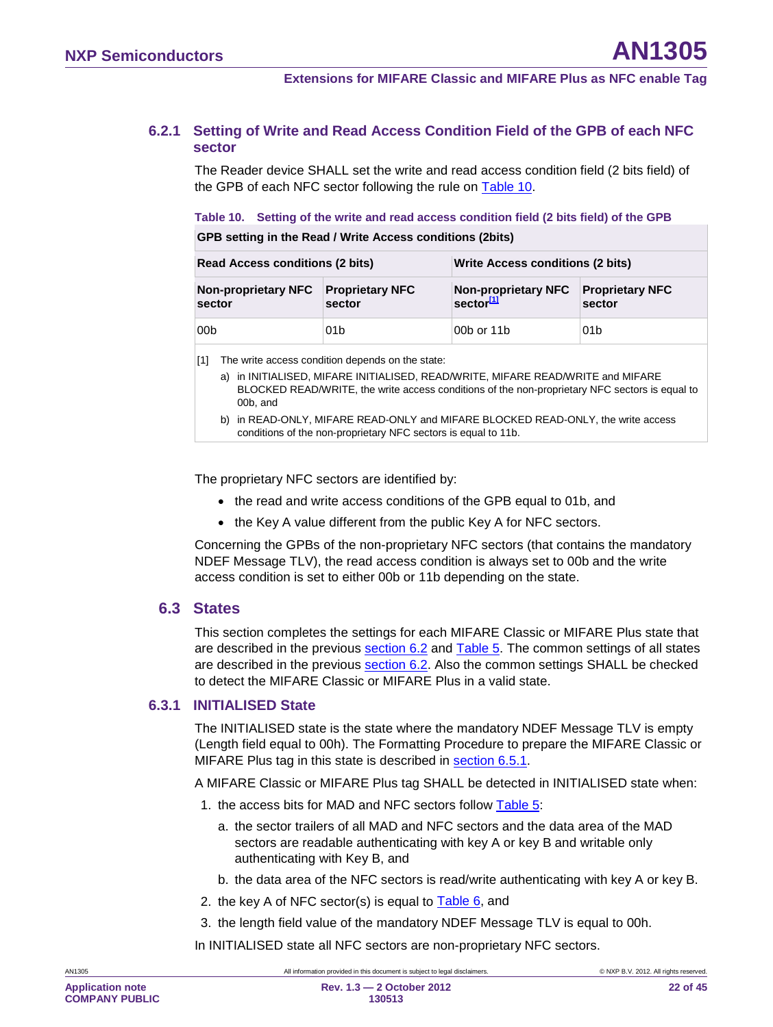#### **6.2.1 Setting of Write and Read Access Condition Field of the GPB of each NFC sector**

<span id="page-21-0"></span>The Reader device SHALL set the write and read access condition field (2 bits field) of the GPB of each NFC sector following the rule on [Table 10.](#page-21-2)

<span id="page-21-2"></span>**Table 10. Setting of the write and read access condition field (2 bits field) of the GPB**

**GPB setting in the Read / Write Access conditions (2bits)**

| <b>Read Access conditions (2 bits)</b> |                                  | Write Access conditions (2 bits)                             |                 |  |  |
|----------------------------------------|----------------------------------|--------------------------------------------------------------|-----------------|--|--|
| <b>Non-proprietary NFC</b><br>sector   | <b>Proprietary NFC</b><br>sector | Non-proprietary NFC Proprietary NFC<br>sector <sup>[1]</sup> | sector          |  |  |
| 00b                                    | 01 <sub>b</sub>                  | 00b or 11b                                                   | 01 <sub>b</sub> |  |  |

<span id="page-21-3"></span>[1] The write access condition depends on the state:

- a) in INITIALISED, MIFARE INITIALISED, READ/WRITE, MIFARE READ/WRITE and MIFARE BLOCKED READ/WRITE, the write access conditions of the non-proprietary NFC sectors is equal to 00b, and
- b) in READ-ONLY, MIFARE READ-ONLY and MIFARE BLOCKED READ-ONLY, the write access conditions of the non-proprietary NFC sectors is equal to 11b.

The proprietary NFC sectors are identified by:

- the read and write access conditions of the GPB equal to 01b, and
- the Key A value different from the public Key A for NFC sectors.

Concerning the GPBs of the non-proprietary NFC sectors (that contains the mandatory NDEF Message TLV), the read access condition is always set to 00b and the write access condition is set to either 00b or 11b depending on the state.

#### <span id="page-21-1"></span>**6.3 States**

This section completes the settings for each MIFARE Classic or MIFARE Plus state that are described in the previous section [6.2](#page-16-0) and [Table 5.](#page-19-1) The common settings of all states are described in the previous **section [6.2](#page-16-0)**. Also the common settings SHALL be checked to detect the MIFARE Classic or MIFARE Plus in a valid state.

#### **6.3.1 INITIALISED State**

<span id="page-21-4"></span>The INITIALISED state is the state where the mandatory NDEF Message TLV is empty (Length field equal to 00h). The Formatting Procedure to prepare the MIFARE Classic or MIFARE Plus tag in this state is described in **section [6.5.1](#page-30-1)**.

A MIFARE Classic or MIFARE Plus tag SHALL be detected in INITIALISED state when:

- 1. the access bits for MAD and NFC sectors follow [Table 5:](#page-19-1)
	- a. the sector trailers of all MAD and NFC sectors and the data area of the MAD sectors are readable authenticating with key A or key B and writable only authenticating with Key B, and
	- b. the data area of the NFC sectors is read/write authenticating with key A or key B.
- 2. the key A of NFC sector(s) is equal to  $Table 6$ , and
- 3. the length field value of the mandatory NDEF Message TLV is equal to 00h.

In INITIALISED state all NFC sectors are non-proprietary NFC sectors.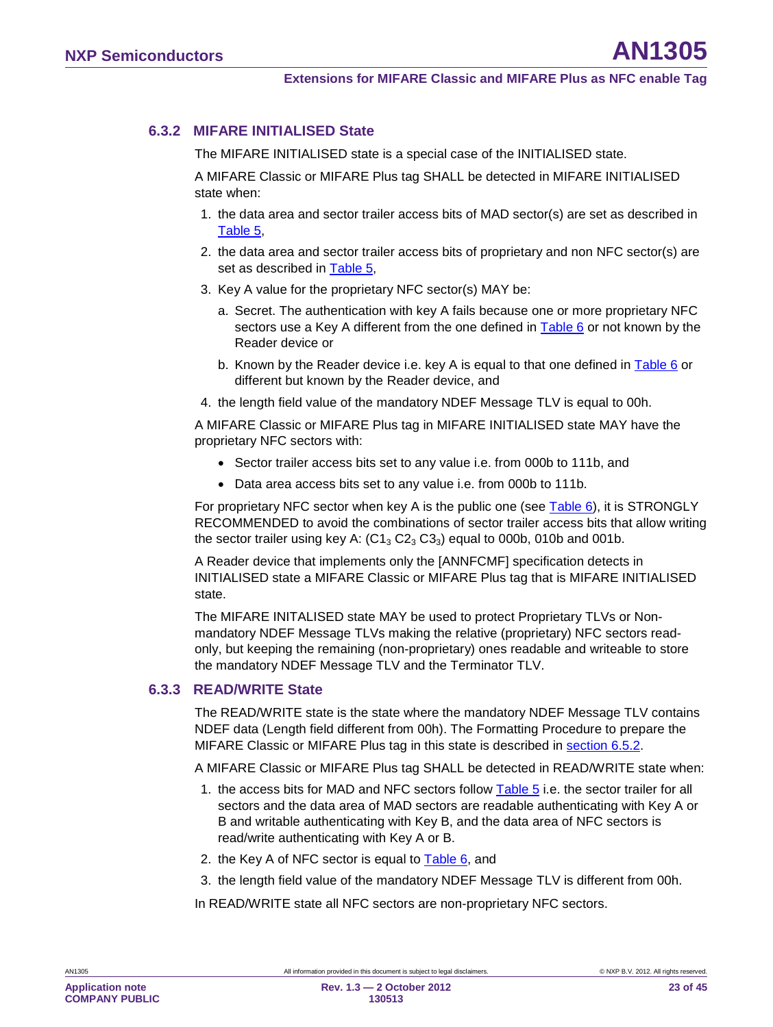### **6.3.2 MIFARE INITIALISED State**

<span id="page-22-0"></span>The MIFARE INITIALISED state is a special case of the INITIALISED state.

A MIFARE Classic or MIFARE Plus tag SHALL be detected in MIFARE INITIALISED state when:

- 1. the data area and sector trailer access bits of MAD sector(s) are set as described in [Table 5,](#page-19-1)
- 2. the data area and sector trailer access bits of proprietary and non NFC sector(s) are set as described in [Table 5,](#page-19-1)
- 3. Key A value for the proprietary NFC sector(s) MAY be:
	- a. Secret. The authentication with key A fails because one or more proprietary NFC sectors use a Key A different from the one defined in Table  $6$  or not known by the Reader device or
	- b. Known by the Reader device i.e. key A is equal to that one defined in [Table 6](#page-19-0) or different but known by the Reader device, and
- 4. the length field value of the mandatory NDEF Message TLV is equal to 00h.

A MIFARE Classic or MIFARE Plus tag in MIFARE INITIALISED state MAY have the proprietary NFC sectors with:

- Sector trailer access bits set to any value i.e. from 000b to 111b, and
- Data area access bits set to any value i.e. from 000b to 111b.

For proprietary NFC sector when key A is the public one (see [Table 6\)](#page-19-0), it is STRONGLY RECOMMENDED to avoid the combinations of sector trailer access bits that allow writing the sector trailer using key A:  $(C1<sub>3</sub> C2<sub>3</sub> C3<sub>3</sub>)$  equal to 000b, 010b and 001b.

A Reader device that implements only the [ANNFCMF] specification detects in INITIALISED state a MIFARE Classic or MIFARE Plus tag that is MIFARE INITIALISED state.

The MIFARE INITALISED state MAY be used to protect Proprietary TLVs or Nonmandatory NDEF Message TLVs making the relative (proprietary) NFC sectors readonly, but keeping the remaining (non-proprietary) ones readable and writeable to store the mandatory NDEF Message TLV and the Terminator TLV.

### **6.3.3 READ/WRITE State**

<span id="page-22-1"></span>The READ/WRITE state is the state where the mandatory NDEF Message TLV contains NDEF data (Length field different from 00h). The Formatting Procedure to prepare the MIFARE Classic or MIFARE Plus tag in this state is described in **section [6.5.2](#page-32-0)**.

A MIFARE Classic or MIFARE Plus tag SHALL be detected in READ/WRITE state when:

- 1. the access bits for MAD and NFC sectors follow [Table 5](#page-19-1) i.e. the sector trailer for all sectors and the data area of MAD sectors are readable authenticating with Key A or B and writable authenticating with Key B, and the data area of NFC sectors is read/write authenticating with Key A or B.
- 2. the Key A of NFC sector is equal to [Table 6,](#page-19-0) and
- 3. the length field value of the mandatory NDEF Message TLV is different from 00h.

In READ/WRITE state all NFC sectors are non-proprietary NFC sectors.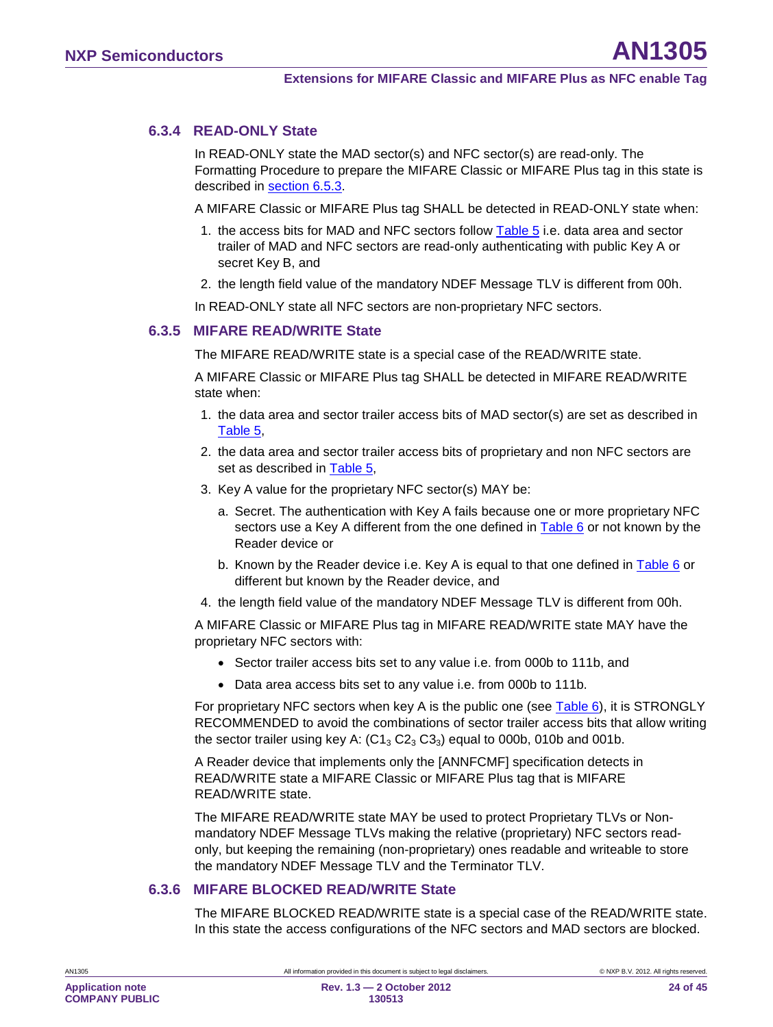### **6.3.4 READ-ONLY State**

<span id="page-23-0"></span>In READ-ONLY state the MAD sector(s) and NFC sector(s) are read-only. The Formatting Procedure to prepare the MIFARE Classic or MIFARE Plus tag in this state is described in <u>section [6.5.3](#page-32-1)</u>.

A MIFARE Classic or MIFARE Plus tag SHALL be detected in READ-ONLY state when:

- 1. the access bits for MAD and NFC sectors follow [Table 5](#page-19-1) i.e. data area and sector trailer of MAD and NFC sectors are read-only authenticating with public Key A or secret Key B, and
- 2. the length field value of the mandatory NDEF Message TLV is different from 00h.

<span id="page-23-1"></span>In READ-ONLY state all NFC sectors are non-proprietary NFC sectors.

#### **6.3.5 MIFARE READ/WRITE State**

The MIFARE READ/WRITE state is a special case of the READ/WRITE state.

A MIFARE Classic or MIFARE Plus tag SHALL be detected in MIFARE READ/WRITE state when:

- 1. the data area and sector trailer access bits of MAD sector(s) are set as described in [Table 5,](#page-19-1)
- 2. the data area and sector trailer access bits of proprietary and non NFC sectors are set as described in [Table 5,](#page-19-1)
- 3. Key A value for the proprietary NFC sector(s) MAY be:
	- a. Secret. The authentication with Key A fails because one or more proprietary NFC sectors use a Key A different from the one defined in Table  $6$  or not known by the Reader device or
	- b. Known by the Reader device i.e. Key A is equal to that one defined in [Table 6](#page-19-0) or different but known by the Reader device, and
- 4. the length field value of the mandatory NDEF Message TLV is different from 00h.

A MIFARE Classic or MIFARE Plus tag in MIFARE READ/WRITE state MAY have the proprietary NFC sectors with:

- Sector trailer access bits set to any value i.e. from 000b to 111b, and
- Data area access bits set to any value i.e. from 000b to 111b.

For proprietary NFC sectors when key A is the public one (see [Table 6\)](#page-19-0), it is STRONGLY RECOMMENDED to avoid the combinations of sector trailer access bits that allow writing the sector trailer using key A:  $(C1<sub>3</sub> C2<sub>3</sub> C3<sub>3</sub>)$  equal to 000b, 010b and 001b.

A Reader device that implements only the [ANNFCMF] specification detects in READ/WRITE state a MIFARE Classic or MIFARE Plus tag that is MIFARE READ/WRITE state.

The MIFARE READ/WRITE state MAY be used to protect Proprietary TLVs or Nonmandatory NDEF Message TLVs making the relative (proprietary) NFC sectors readonly, but keeping the remaining (non-proprietary) ones readable and writeable to store the mandatory NDEF Message TLV and the Terminator TLV.

#### **6.3.6 MIFARE BLOCKED READ/WRITE State**

<span id="page-23-2"></span>The MIFARE BLOCKED READ/WRITE state is a special case of the READ/WRITE state. In this state the access configurations of the NFC sectors and MAD sectors are blocked.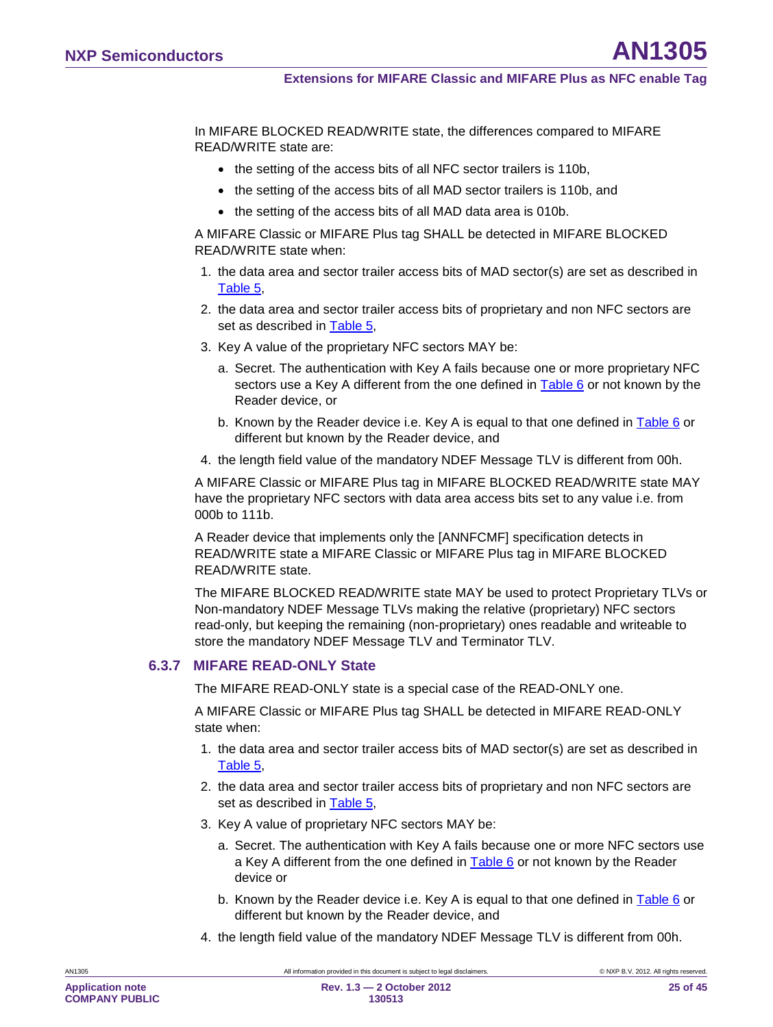In MIFARE BLOCKED READ/WRITE state, the differences compared to MIFARE READ/WRITE state are:

- the setting of the access bits of all NFC sector trailers is 110b.
- the setting of the access bits of all MAD sector trailers is 110b, and
- the setting of the access bits of all MAD data area is 010b.

A MIFARE Classic or MIFARE Plus tag SHALL be detected in MIFARE BLOCKED READ/WRITE state when:

- 1. the data area and sector trailer access bits of MAD sector(s) are set as described in [Table 5,](#page-19-1)
- 2. the data area and sector trailer access bits of proprietary and non NFC sectors are set as described in [Table 5,](#page-19-1)
- 3. Key A value of the proprietary NFC sectors MAY be:
	- a. Secret. The authentication with Key A fails because one or more proprietary NFC sectors use a Key A different from the one defined in [Table 6](#page-19-0) or not known by the Reader device, or
	- b. Known by the Reader device i.e. Key A is equal to that one defined in [Table 6](#page-19-0) or different but known by the Reader device, and
- 4. the length field value of the mandatory NDEF Message TLV is different from 00h.

A MIFARE Classic or MIFARE Plus tag in MIFARE BLOCKED READ/WRITE state MAY have the proprietary NFC sectors with data area access bits set to any value i.e. from 000b to 111b.

A Reader device that implements only the [ANNFCMF] specification detects in READ/WRITE state a MIFARE Classic or MIFARE Plus tag in MIFARE BLOCKED READ/WRITE state.

The MIFARE BLOCKED READ/WRITE state MAY be used to protect Proprietary TLVs or Non-mandatory NDEF Message TLVs making the relative (proprietary) NFC sectors read-only, but keeping the remaining (non-proprietary) ones readable and writeable to store the mandatory NDEF Message TLV and Terminator TLV.

#### **6.3.7 MIFARE READ-ONLY State**

<span id="page-24-0"></span>The MIFARE READ-ONLY state is a special case of the READ-ONLY one.

A MIFARE Classic or MIFARE Plus tag SHALL be detected in MIFARE READ-ONLY state when:

- 1. the data area and sector trailer access bits of MAD sector(s) are set as described in [Table 5,](#page-19-1)
- 2. the data area and sector trailer access bits of proprietary and non NFC sectors are set as described in [Table 5,](#page-19-1)
- 3. Key A value of proprietary NFC sectors MAY be:
	- a. Secret. The authentication with Key A fails because one or more NFC sectors use a Key A different from the one defined in [Table 6](#page-19-0) or not known by the Reader device or
	- b. Known by the Reader device i.e. Key A is equal to that one defined in [Table 6](#page-19-0) or different but known by the Reader device, and
- 4. the length field value of the mandatory NDEF Message TLV is different from 00h.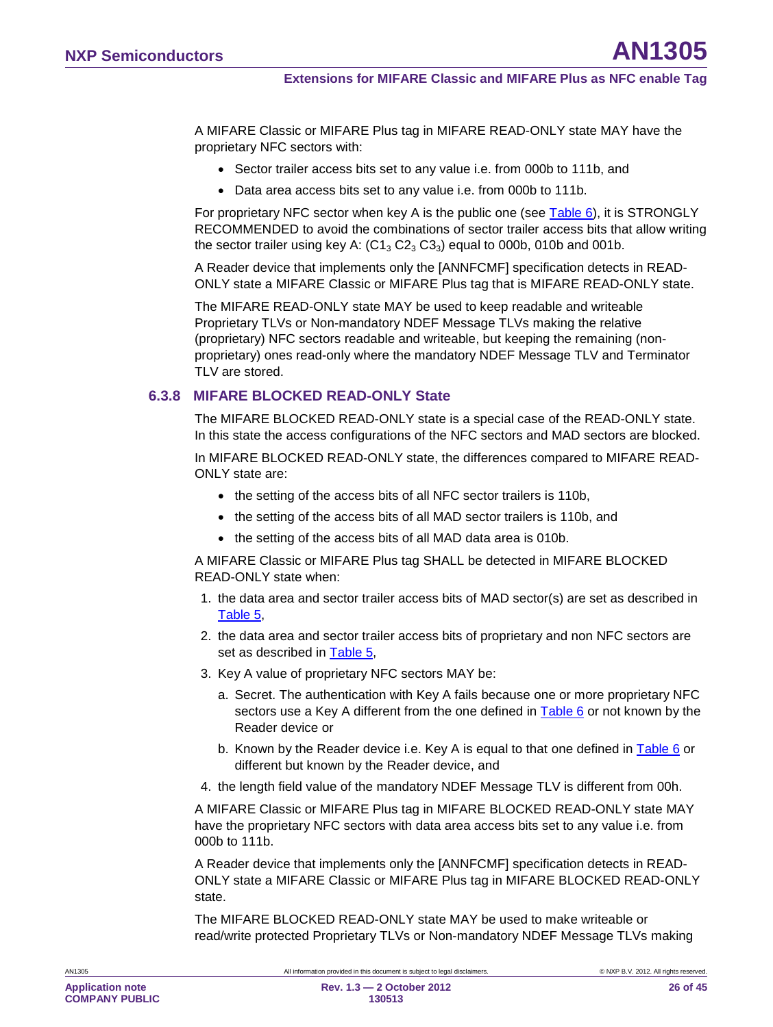A MIFARE Classic or MIFARE Plus tag in MIFARE READ-ONLY state MAY have the proprietary NFC sectors with:

- Sector trailer access bits set to any value i.e. from 000b to 111b, and
- Data area access bits set to any value i.e. from 000b to 111b.

For proprietary NFC sector when key A is the public one (see [Table 6\)](#page-19-0), it is STRONGLY RECOMMENDED to avoid the combinations of sector trailer access bits that allow writing the sector trailer using key A:  $(C1<sub>3</sub> C2<sub>3</sub> C3<sub>3</sub>)$  equal to 000b, 010b and 001b.

A Reader device that implements only the [ANNFCMF] specification detects in READ-ONLY state a MIFARE Classic or MIFARE Plus tag that is MIFARE READ-ONLY state.

The MIFARE READ-ONLY state MAY be used to keep readable and writeable Proprietary TLVs or Non-mandatory NDEF Message TLVs making the relative (proprietary) NFC sectors readable and writeable, but keeping the remaining (nonproprietary) ones read-only where the mandatory NDEF Message TLV and Terminator TLV are stored.

### **6.3.8 MIFARE BLOCKED READ-ONLY State**

<span id="page-25-0"></span>The MIFARE BLOCKED READ-ONLY state is a special case of the READ-ONLY state. In this state the access configurations of the NFC sectors and MAD sectors are blocked.

In MIFARE BLOCKED READ-ONLY state, the differences compared to MIFARE READ-ONLY state are:

- the setting of the access bits of all NFC sector trailers is 110b,
- the setting of the access bits of all MAD sector trailers is 110b, and
- the setting of the access bits of all MAD data area is 010b.

A MIFARE Classic or MIFARE Plus tag SHALL be detected in MIFARE BLOCKED READ-ONLY state when:

- 1. the data area and sector trailer access bits of MAD sector(s) are set as described in [Table 5,](#page-19-1)
- 2. the data area and sector trailer access bits of proprietary and non NFC sectors are set as described in [Table 5,](#page-19-1)
- 3. Key A value of proprietary NFC sectors MAY be:
	- a. Secret. The authentication with Key A fails because one or more proprietary NFC sectors use a Key A different from the one defined in [Table 6](#page-19-0) or not known by the Reader device or
	- b. Known by the Reader device i.e. Key A is equal to that one defined in [Table 6](#page-19-0) or different but known by the Reader device, and
- 4. the length field value of the mandatory NDEF Message TLV is different from 00h.

A MIFARE Classic or MIFARE Plus tag in MIFARE BLOCKED READ-ONLY state MAY have the proprietary NFC sectors with data area access bits set to any value i.e. from 000b to 111b.

A Reader device that implements only the [ANNFCMF] specification detects in READ-ONLY state a MIFARE Classic or MIFARE Plus tag in MIFARE BLOCKED READ-ONLY state.

The MIFARE BLOCKED READ-ONLY state MAY be used to make writeable or read/write protected Proprietary TLVs or Non-mandatory NDEF Message TLVs making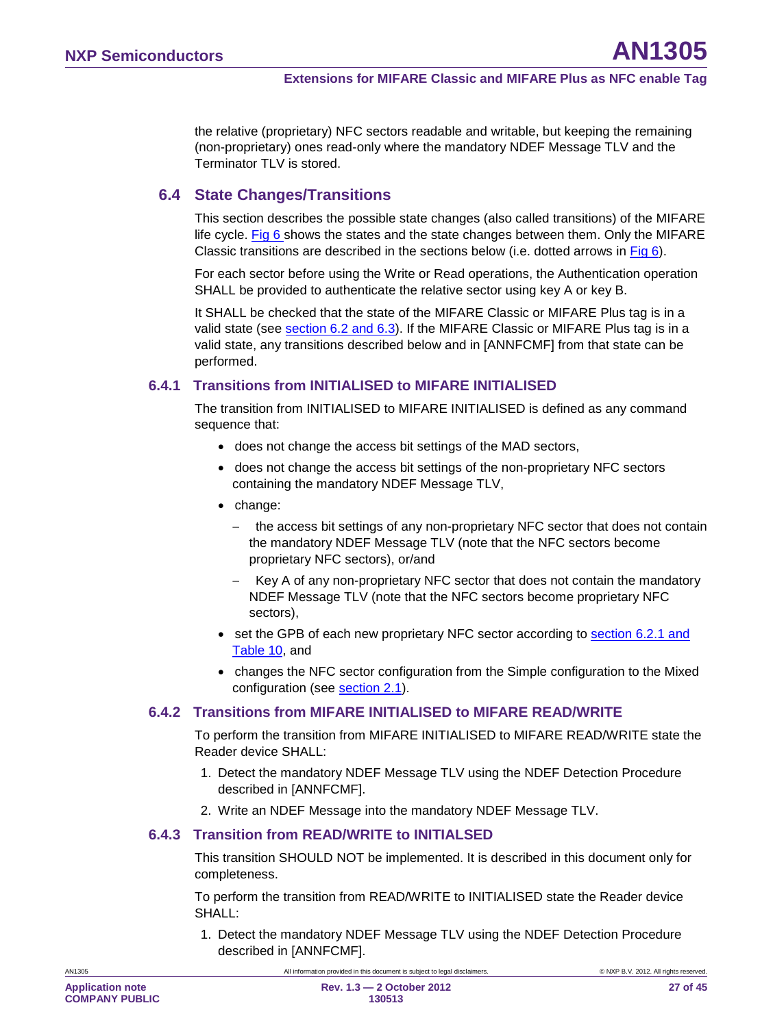the relative (proprietary) NFC sectors readable and writable, but keeping the remaining (non-proprietary) ones read-only where the mandatory NDEF Message TLV and the Terminator TLV is stored.

### <span id="page-26-0"></span>**6.4 State Changes/Transitions**

This section describes the possible state changes (also called transitions) of the MIFARE life cycle. [Fig 6](#page-17-0) shows the states and the state changes between them. Only the MIFARE Classic transitions are described in the sections below (i.e. dotted arrows in [Fig 6\)](#page-17-0).

For each sector before using the Write or Read operations, the Authentication operation SHALL be provided to authenticate the relative sector using key A or key B.

It SHALL be checked that the state of the MIFARE Classic or MIFARE Plus tag is in a valid state (see <u>section [6.2](#page-16-0) and [6.3](#page-21-1)</u>). If the MIFARE Classic or MIFARE Plus tag is in a valid state, any transitions described below and in [ANNFCMF] from that state can be performed.

### **6.4.1 Transitions from INITIALISED to MIFARE INITIALISED**

<span id="page-26-1"></span>The transition from INITIALISED to MIFARE INITIALISED is defined as any command sequence that:

- does not change the access bit settings of the MAD sectors,
- does not change the access bit settings of the non-proprietary NFC sectors containing the mandatory NDEF Message TLV,
- change:
	- the access bit settings of any non-proprietary NFC sector that does not contain the mandatory NDEF Message TLV (note that the NFC sectors become proprietary NFC sectors), or/and
	- − Key A of any non-proprietary NFC sector that does not contain the mandatory NDEF Message TLV (note that the NFC sectors become proprietary NFC sectors),
- set the GPB of each new proprietary NFC sector according to section [6.2.1](#page-21-0) and <u>[Table 10](#page-21-2)</u>, and
- changes the NFC sector configuration from the Simple configuration to the Mixed configuration (see <u>section [2.1](#page-6-1)</u>).

#### **6.4.2 Transitions from MIFARE INITIALISED to MIFARE READ/WRITE**

<span id="page-26-2"></span>To perform the transition from MIFARE INITIALISED to MIFARE READ/WRITE state the Reader device SHALL:

- 1. Detect the mandatory NDEF Message TLV using the NDEF Detection Procedure described in [ANNFCMF].
- <span id="page-26-3"></span>2. Write an NDEF Message into the mandatory NDEF Message TLV.

#### **6.4.3 Transition from READ/WRITE to INITIALSED**

This transition SHOULD NOT be implemented. It is described in this document only for completeness.

To perform the transition from READ/WRITE to INITIALISED state the Reader device SHALL:

1. Detect the mandatory NDEF Message TLV using the NDEF Detection Procedure described in [ANNFCMF].

AN1305 All information provided in this document is subject to legal disclaimers. © NXP B.V. 2012. All rights reserved.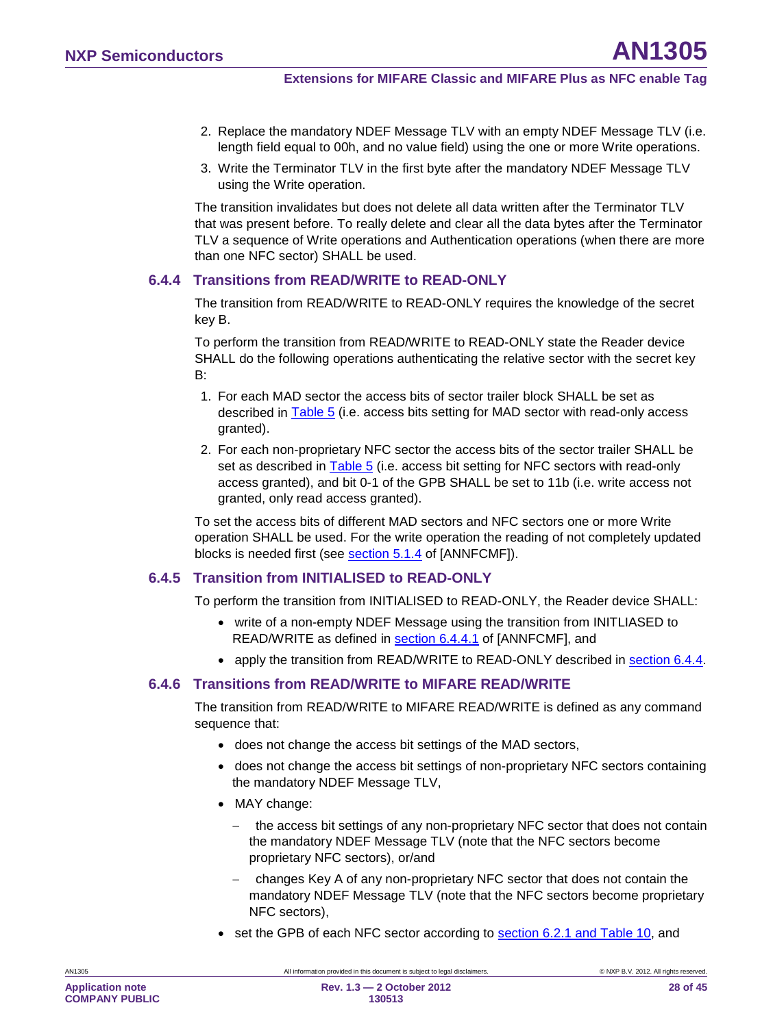- 2. Replace the mandatory NDEF Message TLV with an empty NDEF Message TLV (i.e. length field equal to 00h, and no value field) using the one or more Write operations.
- 3. Write the Terminator TLV in the first byte after the mandatory NDEF Message TLV using the Write operation.

The transition invalidates but does not delete all data written after the Terminator TLV that was present before. To really delete and clear all the data bytes after the Terminator TLV a sequence of Write operations and Authentication operations (when there are more than one NFC sector) SHALL be used.

#### **6.4.4 Transitions from READ/WRITE to READ-ONLY**

<span id="page-27-0"></span>The transition from READ/WRITE to READ-ONLY requires the knowledge of the secret key B.

To perform the transition from READ/WRITE to READ-ONLY state the Reader device SHALL do the following operations authenticating the relative sector with the secret key B:

- 1. For each MAD sector the access bits of sector trailer block SHALL be set as described in [Table 5](#page-19-1) (i.e. access bits setting for MAD sector with read-only access granted).
- 2. For each non-proprietary NFC sector the access bits of the sector trailer SHALL be set as described in **Table 5** (i.e. access bit setting for NFC sectors with read-only access granted), and bit 0-1 of the GPB SHALL be set to 11b (i.e. write access not granted, only read access granted).

To set the access bits of different MAD sectors and NFC sectors one or more Write operation SHALL be used. For the write operation the reading of not completely updated blocks is needed first (see <u>section 5.1.4</u> of [ANNFCMF]).

### **6.4.5 Transition from INITIALISED to READ-ONLY**

<span id="page-27-2"></span>To perform the transition from INITIALISED to READ-ONLY, the Reader device SHALL:

- write of a non-empty NDEF Message using the transition from INITLIASED to READ/WRITE as defined in <u>section 6.4.4.1</u> of [ANNFCMF], and
- <span id="page-27-1"></span>• apply the transition from READ/WRITE to READ-ONLY described in section [6.4.4](#page-27-0)

#### **6.4.6 Transitions from READ/WRITE to MIFARE READ/WRITE**

The transition from READ/WRITE to MIFARE READ/WRITE is defined as any command sequence that:

- does not change the access bit settings of the MAD sectors,
- does not change the access bit settings of non-proprietary NFC sectors containing the mandatory NDEF Message TLV,
- MAY change:
	- − the access bit settings of any non-proprietary NFC sector that does not contain the mandatory NDEF Message TLV (note that the NFC sectors become proprietary NFC sectors), or/and
	- − changes Key A of any non-proprietary NFC sector that does not contain the mandatory NDEF Message TLV (note that the NFC sectors become proprietary NFC sectors),
- set the GPB of each NFC sector according to section [6.2.1](#page-21-0) and [Table 10,](#page-21-2) and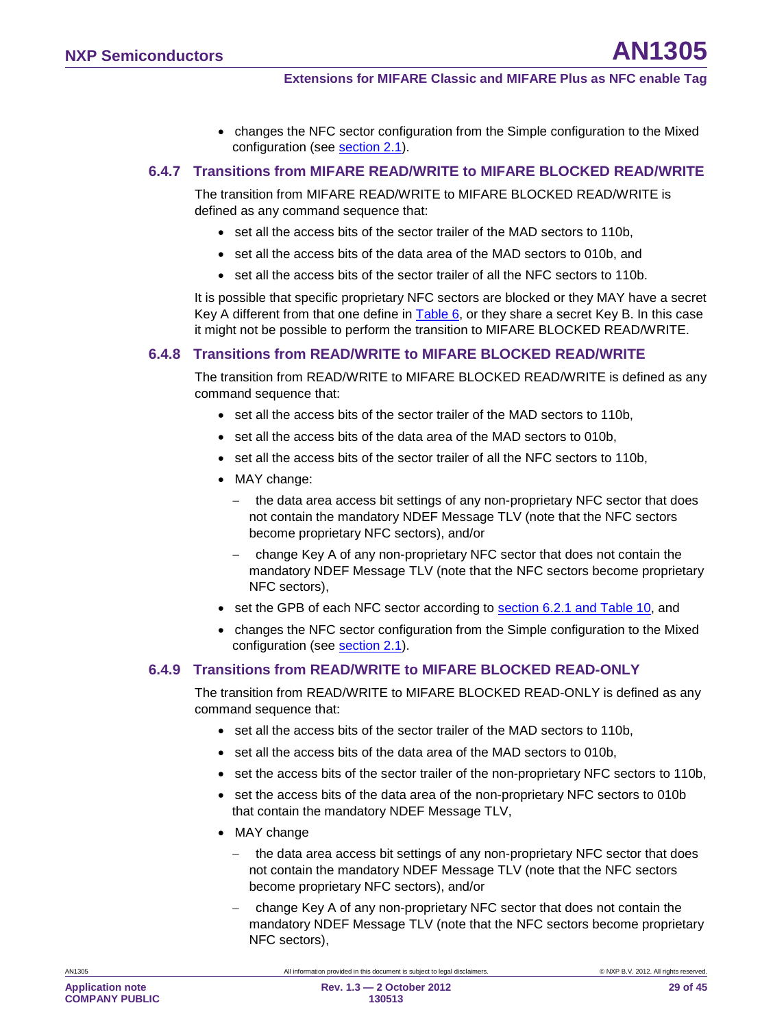• changes the NFC sector configuration from the Simple configuration to the Mixed configuration (see <u>section [2.1](#page-6-1)</u>).

### **6.4.7 Transitions from MIFARE READ/WRITE to MIFARE BLOCKED READ/WRITE**

<span id="page-28-1"></span>The transition from MIFARE READ/WRITE to MIFARE BLOCKED READ/WRITE is defined as any command sequence that:

- set all the access bits of the sector trailer of the MAD sectors to 110b,
- set all the access bits of the data area of the MAD sectors to 010b, and
- set all the access bits of the sector trailer of all the NFC sectors to 110b.

It is possible that specific proprietary NFC sectors are blocked or they MAY have a secret Key A different from that one define in [Table 6,](#page-19-0) or they share a secret Key B. In this case it might not be possible to perform the transition to MIFARE BLOCKED READ/WRITE.

#### **6.4.8 Transitions from READ/WRITE to MIFARE BLOCKED READ/WRITE**

<span id="page-28-0"></span>The transition from READ/WRITE to MIFARE BLOCKED READ/WRITE is defined as any command sequence that:

- set all the access bits of the sector trailer of the MAD sectors to 110b,
- set all the access bits of the data area of the MAD sectors to 010b,
- set all the access bits of the sector trailer of all the NFC sectors to 110b,
- MAY change:
	- the data area access bit settings of any non-proprietary NFC sector that does not contain the mandatory NDEF Message TLV (note that the NFC sectors become proprietary NFC sectors), and/or
	- − change Key A of any non-proprietary NFC sector that does not contain the mandatory NDEF Message TLV (note that the NFC sectors become proprietary NFC sectors),
- set the GPB of each NFC sector according to **section [6.2.1](#page-21-0) and [Table 10](#page-21-2)**, and
- changes the NFC sector configuration from the Simple configuration to the Mixed configuration (see <u>section [2.1](#page-6-1)</u>).

#### **6.4.9 Transitions from READ/WRITE to MIFARE BLOCKED READ-ONLY**

<span id="page-28-2"></span>The transition from READ/WRITE to MIFARE BLOCKED READ-ONLY is defined as any command sequence that:

- set all the access bits of the sector trailer of the MAD sectors to 110b,
- set all the access bits of the data area of the MAD sectors to 010b,
- set the access bits of the sector trailer of the non-proprietary NFC sectors to 110b,
- set the access bits of the data area of the non-proprietary NFC sectors to 010b that contain the mandatory NDEF Message TLV,
- MAY change
	- − the data area access bit settings of any non-proprietary NFC sector that does not contain the mandatory NDEF Message TLV (note that the NFC sectors become proprietary NFC sectors), and/or
	- − change Key A of any non-proprietary NFC sector that does not contain the mandatory NDEF Message TLV (note that the NFC sectors become proprietary NFC sectors),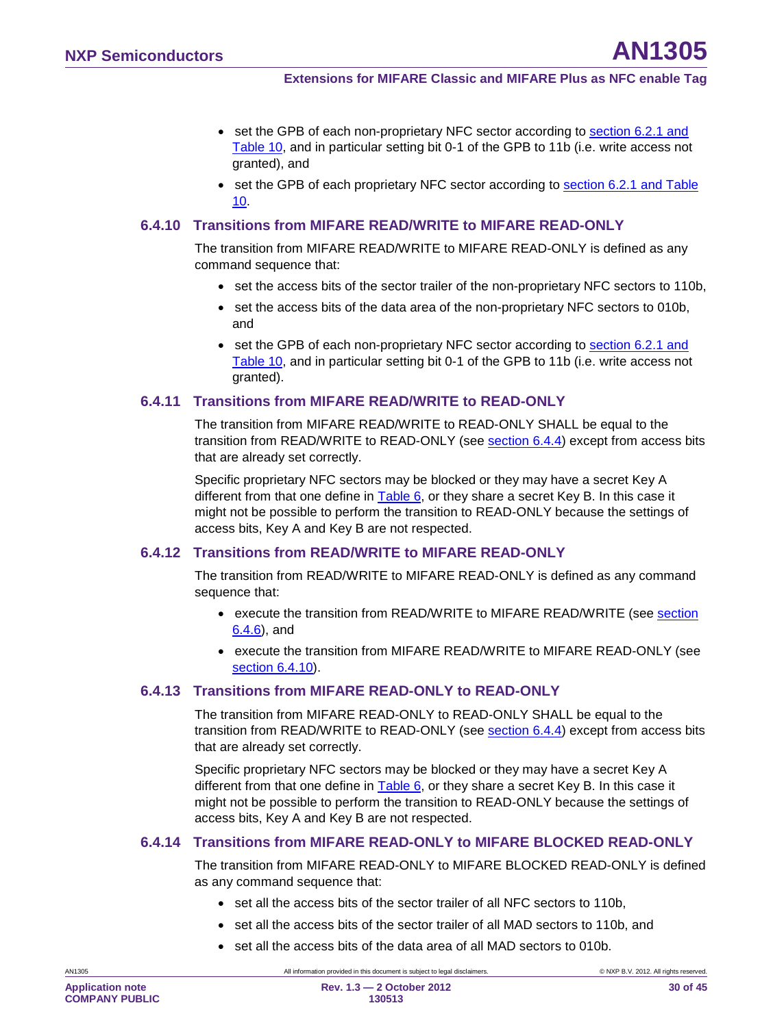- set the GPB of each non-proprietary NFC sector according to section [6.2.1](#page-21-0) and [Table 10](#page-21-2) , and in particular setting bit 0-1 of the GPB to 11b (i.e. write access not granted), and
- set the GPB of each proprietary NFC sector according to **section [6.2.1](#page-21-0) and Table** [10](#page-21-2) .

#### **6.4.10 Transitions from MIFARE READ/WRITE to MIFARE READ-ONLY**

<span id="page-29-0"></span>The transition from MIFARE READ/WRITE to MIFARE READ-ONLY is defined as any command sequence that:

- set the access bits of the sector trailer of the non-proprietary NFC sectors to 110b,
- set the access bits of the data area of the non-proprietary NFC sectors to 010b, and
- set the GPB of each non-proprietary NFC sector according to section [6.2.1](#page-21-0) and [Table 10](#page-21-2) , and in particular setting bit 0-1 of the GPB to 11b (i.e. write access not granted).

### **6.4.11 Transitions from MIFARE READ/WRITE to READ-ONLY**

<span id="page-29-1"></span>The transition from MIFARE READ/WRITE to READ-ONLY SHALL be equal to the transition from READ/WRITE to READ-ONLY (see <u>section [6.4.4](#page-27-0)</u>) except from access bits that are already set correctly.

Specific proprietary NFC sectors may be blocked or they may have a secret Key A different from that one define in <u>[Table 6,](#page-19-0)</u> or they share a secret Key B. In this case it might not be possible to perform the transition to READ-ONLY because the settings of access bits, Key A and Key B are not respected.

#### **6.4.12 Transitions from READ/WRITE to MIFARE READ-ONLY**

<span id="page-29-2"></span>The transition from READ/WRITE to MIFARE READ-ONLY is defined as any command sequence that:

- execute the transition from READ/WRITE to MIFARE READ/WRITE (see section <u>[6.4.6](#page-27-1)</u>), and
- execute the transition from MIFARE READ/WRITE to MIFARE READ-ONLY (see section [6.4.10](#page-29-0) ).

### **6.4.13 Transitions from MIFARE READ-ONLY to READ-ONLY**

<span id="page-29-3"></span>The transition from MIFARE READ-ONLY to READ-ONLY SHALL be equal to the transition from READ/WRITE to READ-ONLY (see <u>section [6.4.4](#page-27-0)</u>) except from access bits that are already set correctly.

Specific proprietary NFC sectors may be blocked or they may have a secret Key A different from that one define in [Table 6,](#page-19-0) or they share a secret Key B. In this case it might not be possible to perform the transition to READ-ONLY because the settings of access bits, Key A and Key B are not respected.

#### **6.4.14 Transitions from MIFARE READ-ONLY to MIFARE BLOCKED READ-ONLY**

<span id="page-29-4"></span>The transition from MIFARE READ-ONLY to MIFARE BLOCKED READ-ONLY is defined as any command sequence that:

- set all the access bits of the sector trailer of all NFC sectors to 110b,
- set all the access bits of the sector trailer of all MAD sectors to 110b, and
- set all the access bits of the data area of all MAD sectors to 010b.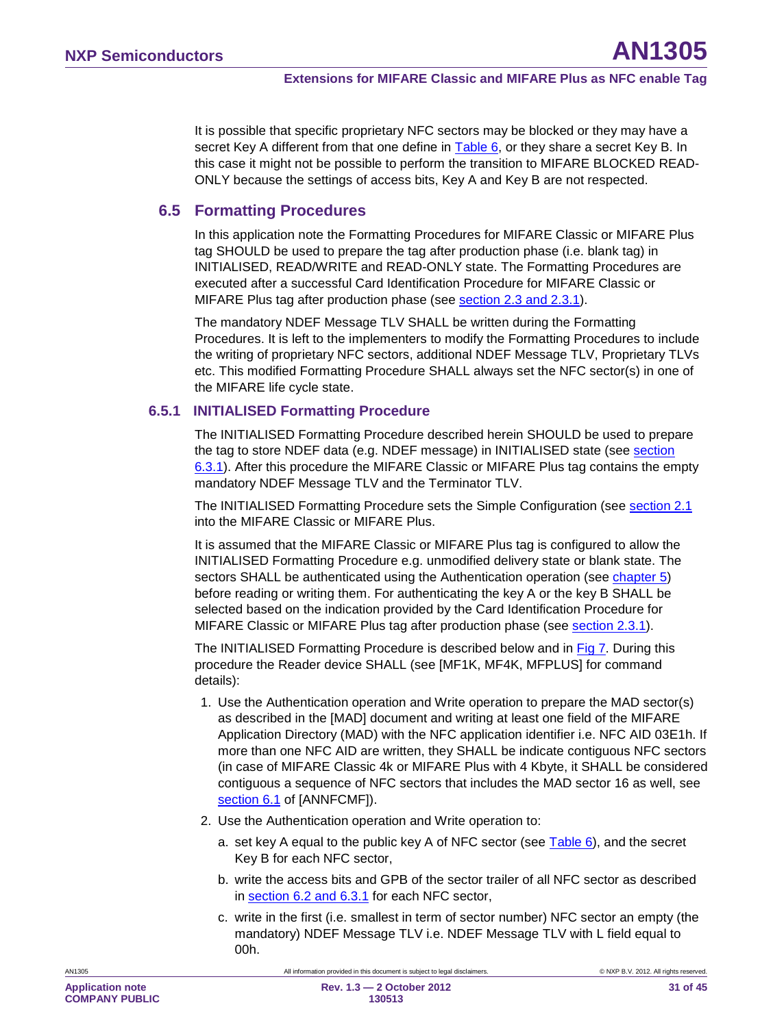It is possible that specific proprietary NFC sectors may be blocked or they may have a secret Key A different from that one define in [Table 6,](#page-19-0) or they share a secret Key B. In this case it might not be possible to perform the transition to MIFARE BLOCKED READ-ONLY because the settings of access bits, Key A and Key B are not respected.

### **6.5 Formatting Procedures**

<span id="page-30-0"></span>In this application note the Formatting Procedures for MIFARE Classic or MIFARE Plus tag SHOULD be used to prepare the tag after production phase (i.e. blank tag) in INITIALISED, READ/WRITE and READ-ONLY state. The Formatting Procedures are executed after a successful Card Identification Procedure for MIFARE Classic or MIFARE Plus tag after production phase (see <u>section [2.3](#page-8-0) and [2.3.1](#page-10-0)</u>).

The mandatory NDEF Message TLV SHALL be written during the Formatting Procedures. It is left to the implementers to modify the Formatting Procedures to include the writing of proprietary NFC sectors, additional NDEF Message TLV, Proprietary TLVs etc. This modified Formatting Procedure SHALL always set the NFC sector(s) in one of the MIFARE life cycle state.

### **6.5.1 INITIALISED Formatting Procedure**

<span id="page-30-1"></span>The INITIALISED Formatting Procedure described herein SHOULD be used to prepare the tag to store NDEF data (e.g. NDEF message) in INITIALISED state (see section <u>[6.3.1](#page-21-4)</u>). After this procedure the MIFARE Classic or MIFARE Plus tag contains the empty mandatory NDEF Message TLV and the Terminator TLV.

The INITIALISED Formatting Procedure sets the Simple Configuration (see <u>section [2.1](#page-6-1)</u> into the MIFARE Classic or MIFARE Plus.

It is assumed that the MIFARE Classic or MIFARE Plus tag is configured to allow the INITIALISED Formatting Procedure e.g. unmodified delivery state or blank state. The sectors SHALL be authenticated using the Authentication operation (see **chapter 5**) before reading or writing them. For authenticating the key A or the key B SHALL be selected based on the indication provided by the Card Identification Procedure for MIFARE Classic or MIFARE Plus tag after production phase (see <u>section [2.3.1](#page-10-0)</u>).

The INITIALISED Formatting Procedure is described below and in <u>Fig 7</u>. During this procedure the Reader device SHALL (see [MF1K, MF4K, MFPLUS] for command details):

- 1. Use the Authentication operation and Write operation to prepare the MAD sector(s) as described in the [MAD] document and writing at least one field of the MIFARE Application Directory (MAD) with the NFC application identifier i.e. NFC AID 03E1h. If more than one NFC AID are written, they SHALL be indicate contiguous NFC sectors (in case of MIFARE Classic 4k or MIFARE Plus with 4 Kbyte, it SHALL be considered contiguous a sequence of NFC sectors that includes the MAD sector 16 as well, see <u>section 6.1</u> of [ANNFCMF]).
- 2. Use the Authentication operation and Write operation to:
	- a. set key A equal to the public key A of NFC sector (see [Table 6\)](#page-19-0), and the secret Key B for each NFC sector,
	- b. write the access bits and GPB of the sector trailer of all NFC sector as described in <u>section [6.2](#page-16-0) and [6.3.1](#page-21-4)</u> for each NFC sector,
	- c. write in the first (i.e. smallest in term of sector number) NFC sector an empty (the mandatory) NDEF Message TLV i.e. NDEF Message TLV with L field equal to 00h.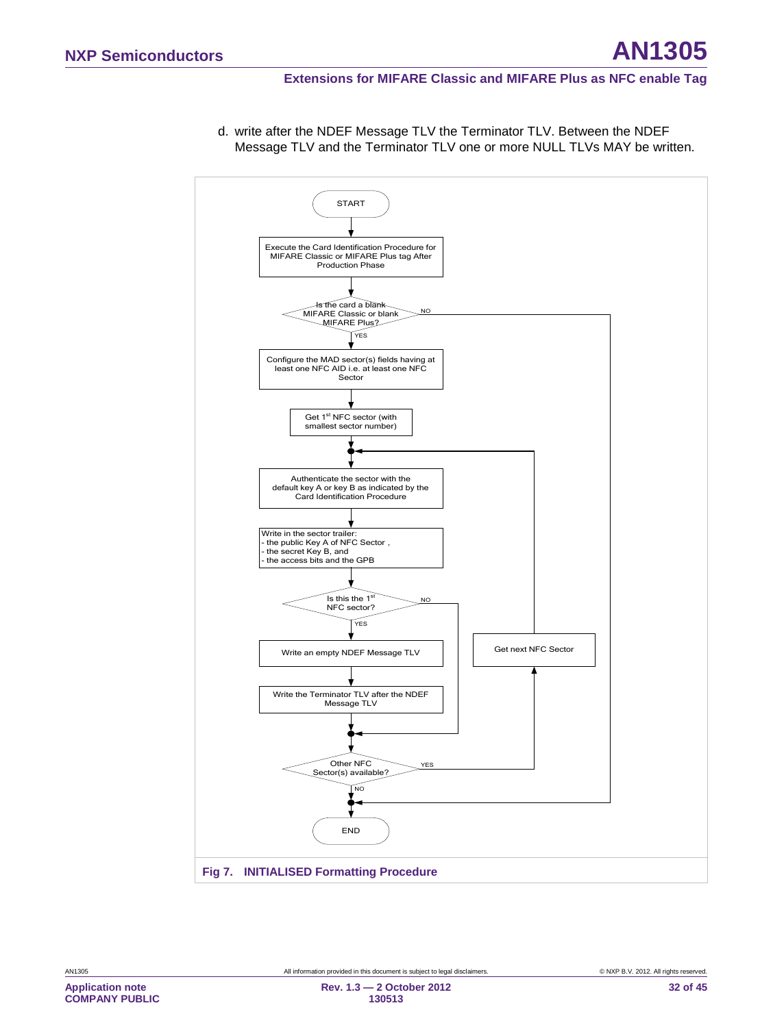#### **Extensions for MIFARE Classic and MIFARE Plus as NFC enable Tag**

<span id="page-31-0"></span>

d. write after the NDEF Message TLV the Terminator TLV. Between the NDEF Message TLV and the Terminator TLV one or more NULL TLVs MAY be written.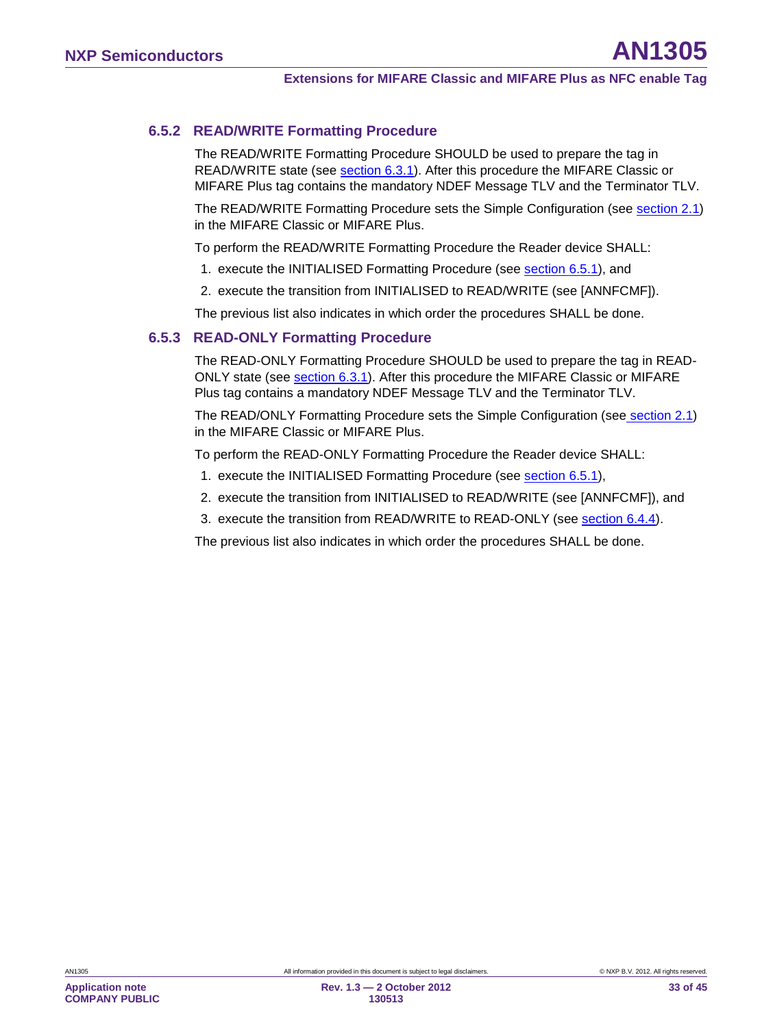### **6.5.2 READ/WRITE Formatting Procedure**

<span id="page-32-0"></span>The READ/WRITE Formatting Procedure SHOULD be used to prepare the tag in READ/WRITE state (see <u>section [6.3.1](#page-21-4)</u>). After this procedure the MIFARE Classic or MIFARE Plus tag contains the mandatory NDEF Message TLV and the Terminator TLV.

The READ/WRITE Formatting Procedure sets the Simple Configuration (see <u>section [2.1](#page-6-1)</u>) in the MIFARE Classic or MIFARE Plus.

To perform the READ/WRITE Formatting Procedure the Reader device SHALL:

- 1. execute the INITIALISED Formatting Procedure (see <u>section [6.5.1](#page-30-1)</u>), and
- 2. execute the transition from INITIALISED to READ/WRITE (see [ANNFCMF]).

<span id="page-32-1"></span>The previous list also indicates in which order the procedures SHALL be done.

### **6.5.3 READ-ONLY Formatting Procedure**

The READ-ONLY Formatting Procedure SHOULD be used to prepare the tag in READ-ONLY state (see <u>section [6.3.1](#page-21-4)</u>). After this procedure the MIFARE Classic or MIFARE Plus tag contains a mandatory NDEF Message TLV and the Terminator TLV.

The READ/ONLY Formatting Procedure sets the Simple Configuration (see<u> section [2.1](#page-6-1)</u>) in the MIFARE Classic or MIFARE Plus.

To perform the READ-ONLY Formatting Procedure the Reader device SHALL:

- 1. execute the INITIALISED Formatting Procedure (see **section [6.5.1](#page-30-1)**),
- 2. execute the transition from INITIALISED to READ/WRITE (see [ANNFCMF]), and
- 3. execute the transition from READ/WRITE to READ-ONLY (see <u>section [6.4.4](#page-27-0)</u>).

The previous list also indicates in which order the procedures SHALL be done.

**COMPANY PUBLIC**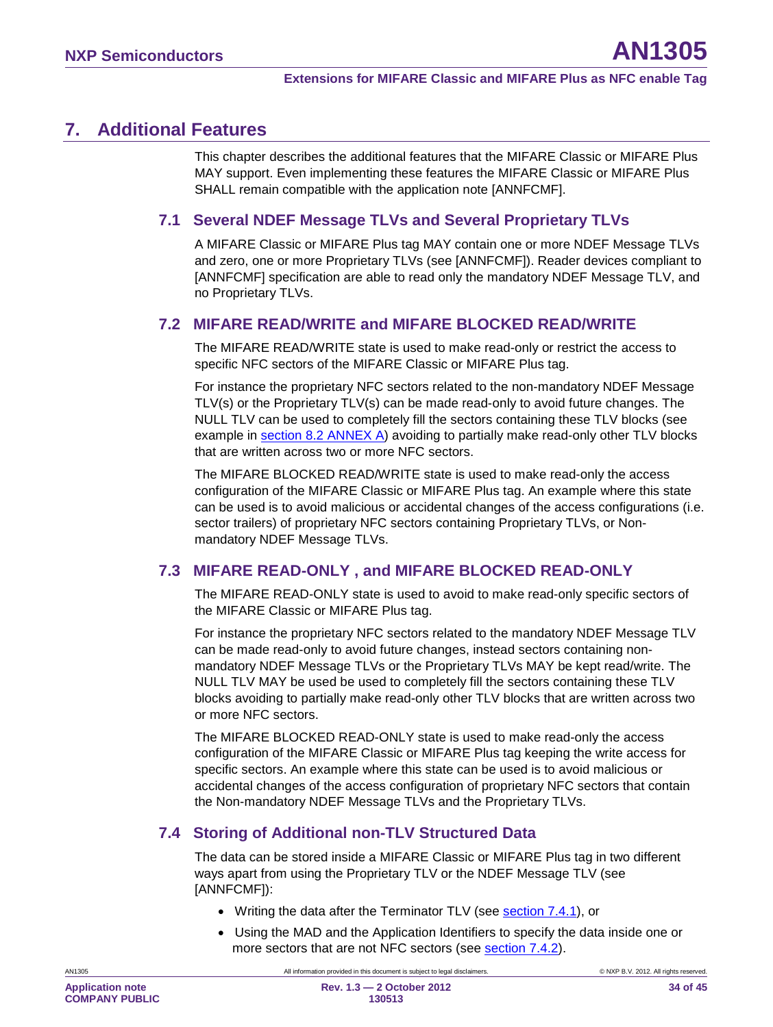# <span id="page-33-0"></span>**7. Additional Features**

This chapter describes the additional features that the MIFARE Classic or MIFARE Plus MAY support. Even implementing these features the MIFARE Classic or MIFARE Plus SHALL remain compatible with the application note [ANNFCMF].

# <span id="page-33-1"></span>**7.1 Several NDEF Message TLVs and Several Proprietary TLVs**

A MIFARE Classic or MIFARE Plus tag MAY contain one or more NDEF Message TLVs and zero, one or more Proprietary TLVs (see [ANNFCMF]). Reader devices compliant to [ANNFCMF] specification are able to read only the mandatory NDEF Message TLV, and no Proprietary TLVs.

### <span id="page-33-2"></span>**7.2 MIFARE READ/WRITE and MIFARE BLOCKED READ/WRITE**

The MIFARE READ/WRITE state is used to make read-only or restrict the access to specific NFC sectors of the MIFARE Classic or MIFARE Plus tag.

For instance the proprietary NFC sectors related to the non-mandatory NDEF Message TLV(s) or the Proprietary TLV(s) can be made read-only to avoid future changes. The NULL TLV can be used to completely fill the sectors containing these TLV blocks (see example in section [8.2](#page-38-0) ANNEX A) avoiding to partially make read-only other TLV blocks that are written across two or more NFC sectors.

The MIFARE BLOCKED READ/WRITE state is used to make read-only the access configuration of the MIFARE Classic or MIFARE Plus tag. An example where this state can be used is to avoid malicious or accidental changes of the access configurations (i.e. sector trailers) of proprietary NFC sectors containing Proprietary TLVs, or Nonmandatory NDEF Message TLVs.

# <span id="page-33-3"></span>**7.3 MIFARE READ-ONLY , and MIFARE BLOCKED READ-ONLY**

The MIFARE READ-ONLY state is used to avoid to make read-only specific sectors of the MIFARE Classic or MIFARE Plus tag.

For instance the proprietary NFC sectors related to the mandatory NDEF Message TLV can be made read-only to avoid future changes, instead sectors containing nonmandatory NDEF Message TLVs or the Proprietary TLVs MAY be kept read/write. The NULL TLV MAY be used be used to completely fill the sectors containing these TLV blocks avoiding to partially make read-only other TLV blocks that are written across two or more NFC sectors.

The MIFARE BLOCKED READ-ONLY state is used to make read-only the access configuration of the MIFARE Classic or MIFARE Plus tag keeping the write access for specific sectors. An example where this state can be used is to avoid malicious or accidental changes of the access configuration of proprietary NFC sectors that contain the Non-mandatory NDEF Message TLVs and the Proprietary TLVs.

# <span id="page-33-4"></span>**7.4 Storing of Additional non-TLV Structured Data**

The data can be stored inside a MIFARE Classic or MIFARE Plus tag in two different ways apart from using the Proprietary TLV or the NDEF Message TLV (see [ANNFCMF]):

- Writing the data after the Terminator TLV (see **section [7.4.1](#page-34-0)**), or
- Using the MAD and the Application Identifiers to specify the data inside one or more sectors that are not NFC sectors (see **section 7.4.2**).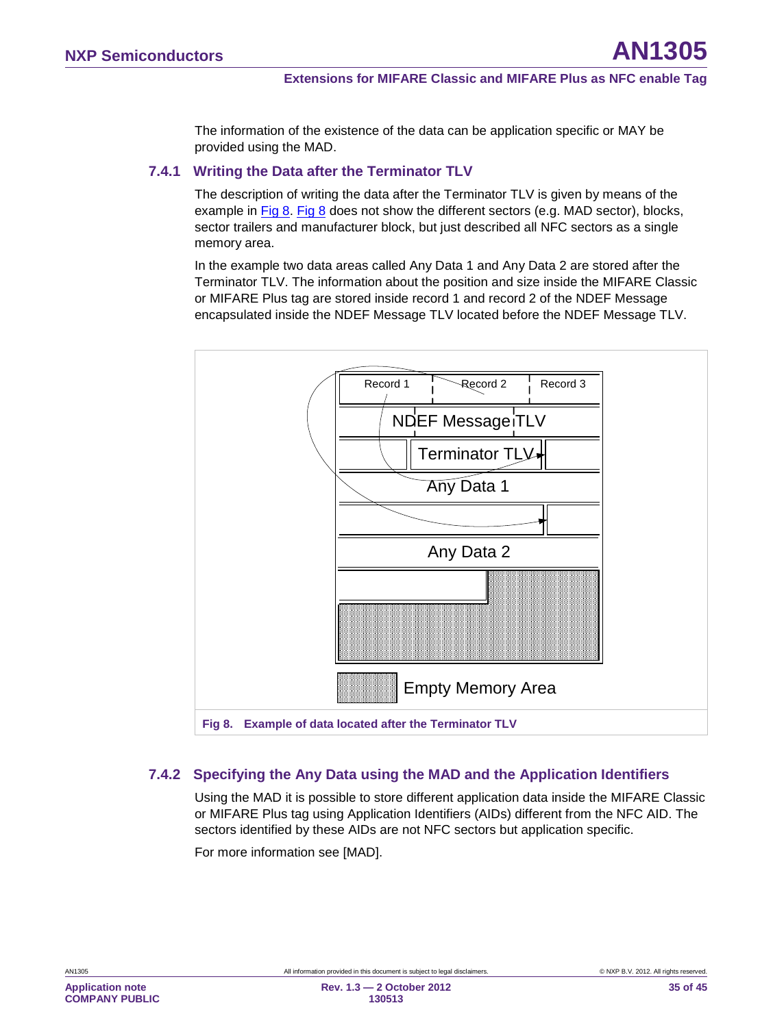The information of the existence of the data can be application specific or MAY be provided using the MAD.

#### **7.4.1 Writing the Data after the Terminator TLV**

<span id="page-34-0"></span>The description of writing the data after the Terminator TLV is given by means of the example in [Fig 8. Fig 8](#page-34-2) does not show the different sectors (e.g. MAD sector), blocks, sector trailers and manufacturer block, but just described all NFC sectors as a single memory area.

In the example two data areas called Any Data 1 and Any Data 2 are stored after the Terminator TLV. The information about the position and size inside the MIFARE Classic or MIFARE Plus tag are stored inside record 1 and record 2 of the NDEF Message encapsulated inside the NDEF Message TLV located before the NDEF Message TLV.



### <span id="page-34-2"></span>**7.4.2 Specifying the Any Data using the MAD and the Application Identifiers**

<span id="page-34-1"></span>Using the MAD it is possible to store different application data inside the MIFARE Classic or MIFARE Plus tag using Application Identifiers (AIDs) different from the NFC AID. The sectors identified by these AIDs are not NFC sectors but application specific.

For more information see [MAD].

**Application note COMPANY PUBLIC**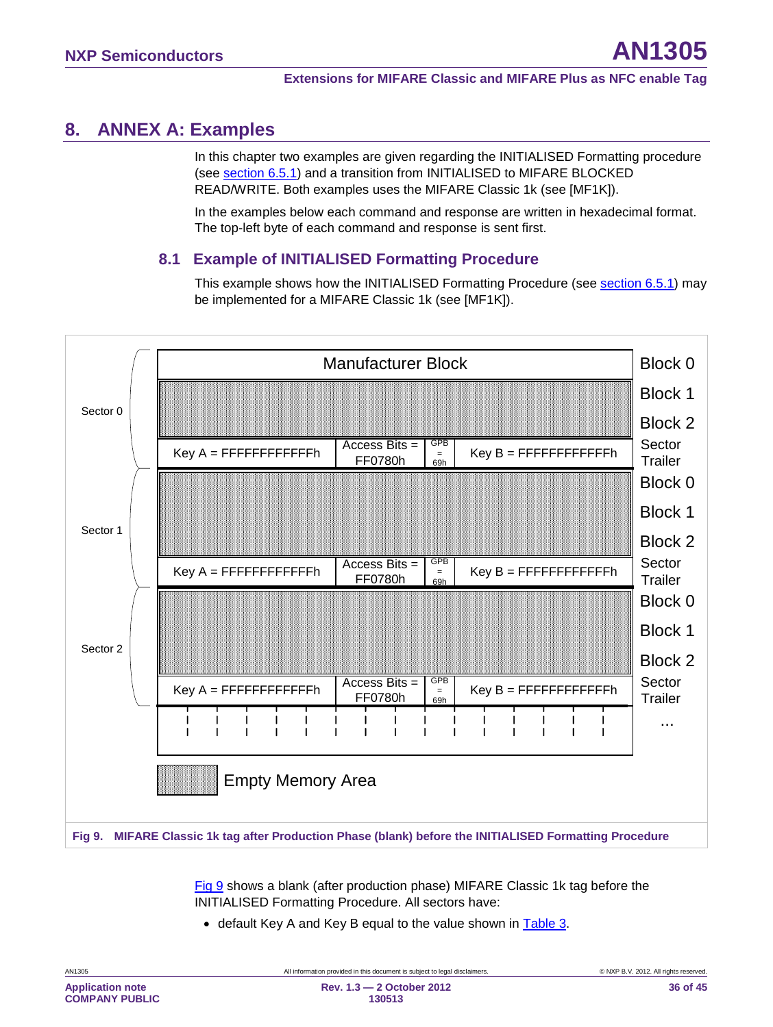# <span id="page-35-1"></span>**8. ANNEX A: Examples**

In this chapter two examples are given regarding the INITIALISED Formatting procedure (see <u>section [6.5.1](#page-30-1)</u>) and a transition from INITIALISED to MIFARE BLOCKED READ/WRITE. Both examples uses the MIFARE Classic 1k (see [MF1K]).

In the examples below each command and response are written in hexadecimal format. The top-left byte of each command and response is sent first.

### <span id="page-35-2"></span>**8.1 Example of INITIALISED Formatting Procedure**

This example shows how the INITIALISED Formatting Procedure (see section [6.5.1\)](#page-30-1) may be implemented for a MIFARE Classic 1k (see [MF1K]).



<span id="page-35-0"></span>[Fig 9](#page-35-0) shows a blank (after production phase) MIFARE Classic 1k tag before the INITIALISED Formatting Procedure. All sectors have:

• default Key A and Key B equal to the value shown in [Table 3.](#page-10-1)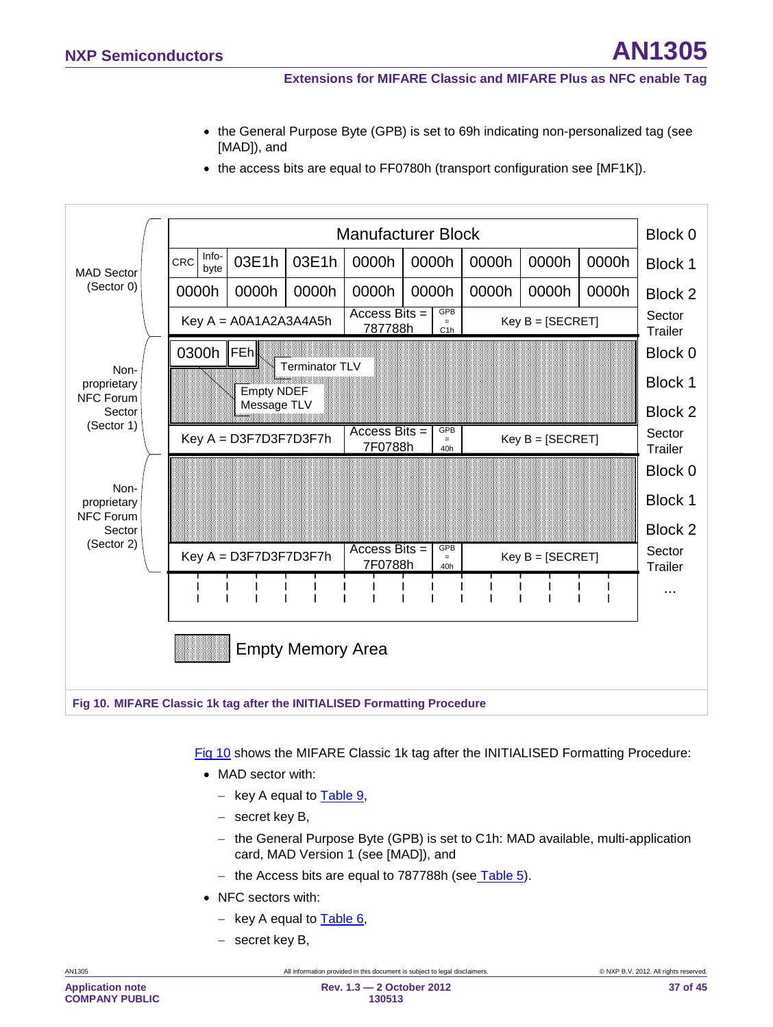• the General Purpose Byte (GPB) is set to 69h indicating non-personalized tag (see [MAD]), and





<span id="page-36-0"></span>[Fig 10](#page-36-0) shows the MIFARE Classic 1k tag after the INITIALISED Formatting Procedure:

- MAD sector with:
	- − key A equal to [Table 9,](#page-20-0)
	- − secret key B,
	- − the General Purpose Byte (GPB) is set to C1h: MAD available, multi-application card, MAD Version 1 (see [MAD]), and
	- − the Access bits are equal to 787788h (see<u> [Table 5](#page-19-1)</u>).
- NFC sectors with:
	- − key A equal to [Table 6,](#page-19-0)
	- − secret key B,

**COMPANY PUBLIC**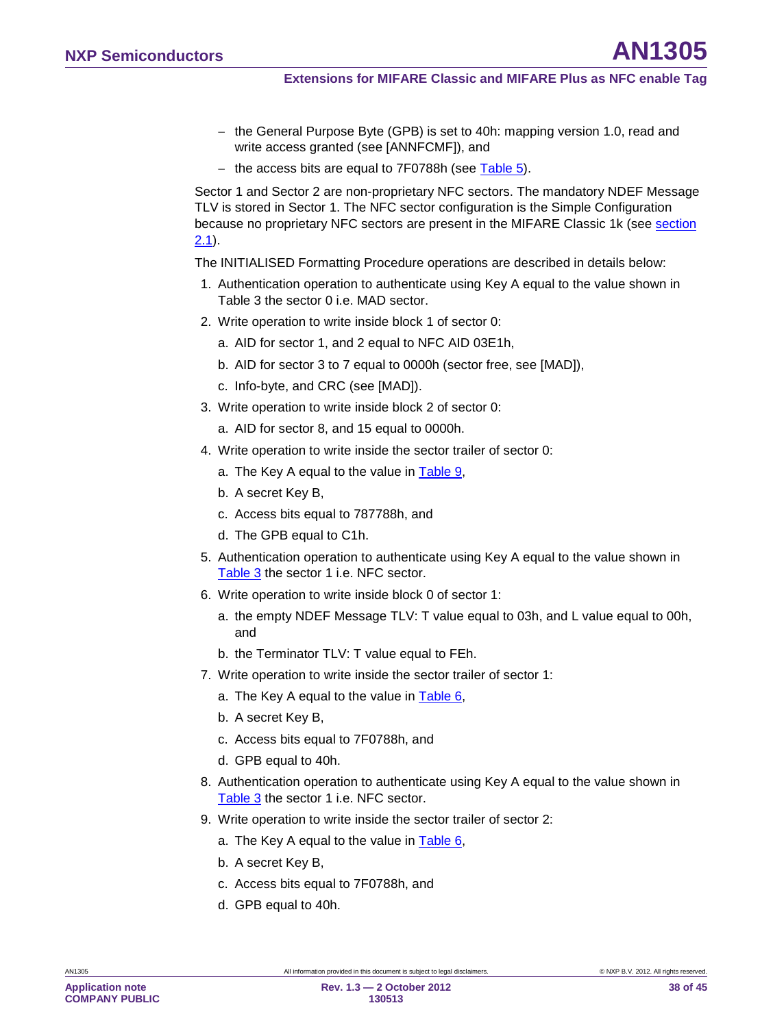- − the General Purpose Byte (GPB) is set to 40h: mapping version 1.0, read and write access granted (see [ANNFCMF]), and
- − the access bits are equal to 7F0788h (see [Table 5\)](#page-19-1).

Sector 1 and Sector 2 are non-proprietary NFC sectors. The mandatory NDEF Message TLV is stored in Sector 1. The NFC sector configuration is the Simple Configuration because no proprietary NFC sectors are present in the MIFARE Classic 1k (see section <u>[2.1](#page-6-1)</u>).

The INITIALISED Formatting Procedure operations are described in details below:

- 1. Authentication operation to authenticate using Key A equal to the value shown in [Table 3](#page-10-1) the sector 0 i.e. MAD sector.
- 2. Write operation to write inside block 1 of sector 0:
	- a. AID for sector 1, and 2 equal to NFC AID 03E1h,
	- b. AID for sector 3 to 7 equal to 0000h (sector free, see [MAD]),
	- c. Info-byte, and CRC (see [MAD]).
- 3. Write operation to write inside block 2 of sector 0:
	- a. AID for sector 8, and 15 equal to 0000h.
- 4. Write operation to write inside the sector trailer of sector 0:
	- a. The Key A equal to the value in [Table 9,](#page-20-0)
	- b. A secret Key B,
	- c. Access bits equal to 787788h, and
	- d. The GPB equal to C1h.
- 5. Authentication operation to authenticate using Key A equal to the value shown in [Table 3](#page-10-1) the sector 1 i.e. NFC sector.
- 6. Write operation to write inside block 0 of sector 1:
	- a. the empty NDEF Message TLV: T value equal to 03h, and L value equal to 00h, and
	- b. the Terminator TLV: T value equal to FEh.
- 7. Write operation to write inside the sector trailer of sector 1:
	- a. The Key A equal to the value in [Table 6,](#page-19-0)
	- b. A secret Key B,
	- c. Access bits equal to 7F0788h, and
	- d. GPB equal to 40h.
- 8. Authentication operation to authenticate using Key A equal to the value shown in [Table 3](#page-10-1) the sector 1 i.e. NFC sector.
- 9. Write operation to write inside the sector trailer of sector 2:
	- a. The Key A equal to the value in **Table 6**,
	- b. A secret Key B,
	- c. Access bits equal to 7F0788h, and
	- d. GPB equal to 40h.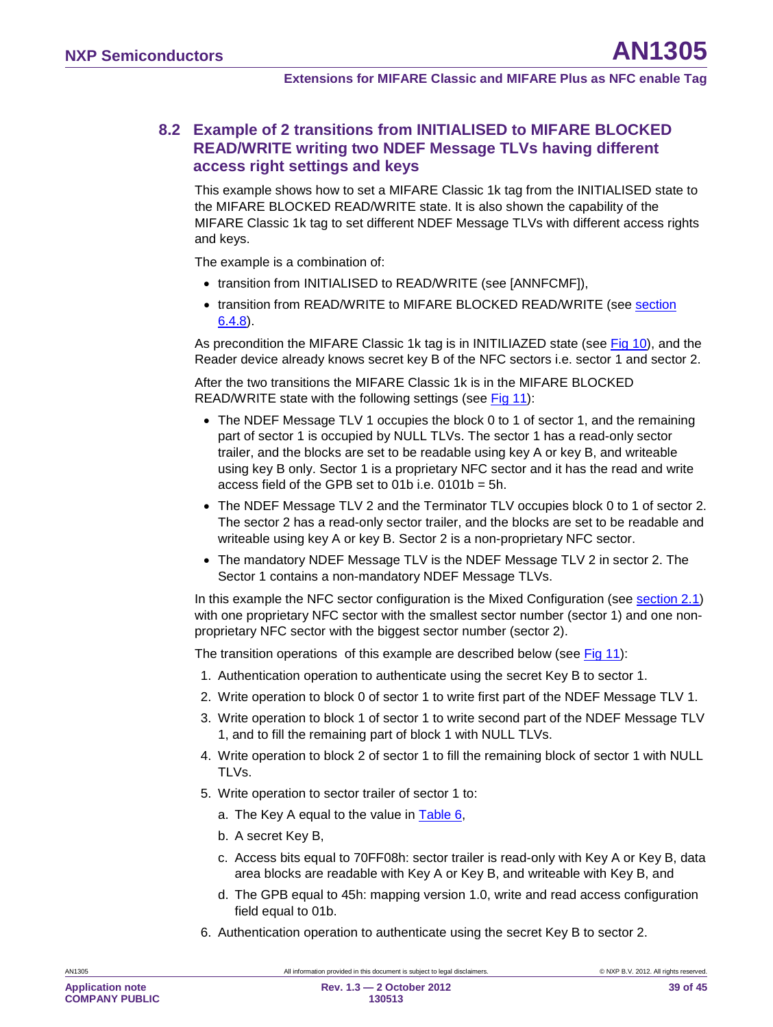### <span id="page-38-0"></span>**8.2 Example of 2 transitions from INITIALISED to MIFARE BLOCKED READ/WRITE writing two NDEF Message TLVs having different access right settings and keys**

This example shows how to set a MIFARE Classic 1k tag from the INITIALISED state to the MIFARE BLOCKED READ/WRITE state. It is also shown the capability of the MIFARE Classic 1k tag to set different NDEF Message TLVs with different access rights and keys.

The example is a combination of:

- transition from INITIALISED to READ/WRITE (see [ANNFCMF]),
- transition from READ/WRITE to MIFARE BLOCKED READ/WRITE (see section <u>[6.4.8](#page-28-0)</u>).

As precondition the MIFARE Classic 1k tag is in INITILIAZED state (see <u>[Fig 10\)](#page-36-0),</u> and the Reader device already knows secret key B of the NFC sectors i.e. sector 1 and sector 2.

After the two transitions the MIFARE Classic 1k is in the MIFARE BLOCKED READ/WRITE state with the following settings (see [Fig 11\)](#page-39-1):

- The NDEF Message TLV 1 occupies the block 0 to 1 of sector 1, and the remaining part of sector 1 is occupied by NULL TLVs. The sector 1 has a read-only sector trailer, and the blocks are set to be readable using key A or key B, and writeable using key B only. Sector 1 is a proprietary NFC sector and it has the read and write access field of the GPB set to 01b i.e. 0101b = 5h.
- The NDEF Message TLV 2 and the Terminator TLV occupies block 0 to 1 of sector 2. The sector 2 has a read-only sector trailer, and the blocks are set to be readable and writeable using key A or key B. Sector 2 is a non-proprietary NFC sector.
- The mandatory NDEF Message TLV is the NDEF Message TLV 2 in sector 2. The Sector 1 contains a non-mandatory NDEF Message TLVs.

In this example the NFC sector configuration is the Mixed Configuration (see <u>section [2.1](#page-6-1)</u>) with one proprietary NFC sector with the smallest sector number (sector 1) and one nonproprietary NFC sector with the biggest sector number (sector 2).

The transition operations of this example are described below (see [Fig 11\)](#page-39-1):

- 1. Authentication operation to authenticate using the secret Key B to sector 1.
- 2. Write operation to block 0 of sector 1 to write first part of the NDEF Message TLV 1.
- 3. Write operation to block 1 of sector 1 to write second part of the NDEF Message TLV 1, and to fill the remaining part of block 1 with NULL TLVs.
- 4. Write operation to block 2 of sector 1 to fill the remaining block of sector 1 with NULL TLVs.
- 5. Write operation to sector trailer of sector 1 to:
	- a. The Key A equal to the value in [Table 6,](#page-19-0)
	- b. A secret Key B,
	- c. Access bits equal to 70FF08h: sector trailer is read-only with Key A or Key B, data area blocks are readable with Key A or Key B, and writeable with Key B, and
	- d. The GPB equal to 45h: mapping version 1.0, write and read access configuration field equal to 01b.
- 6. Authentication operation to authenticate using the secret Key B to sector 2.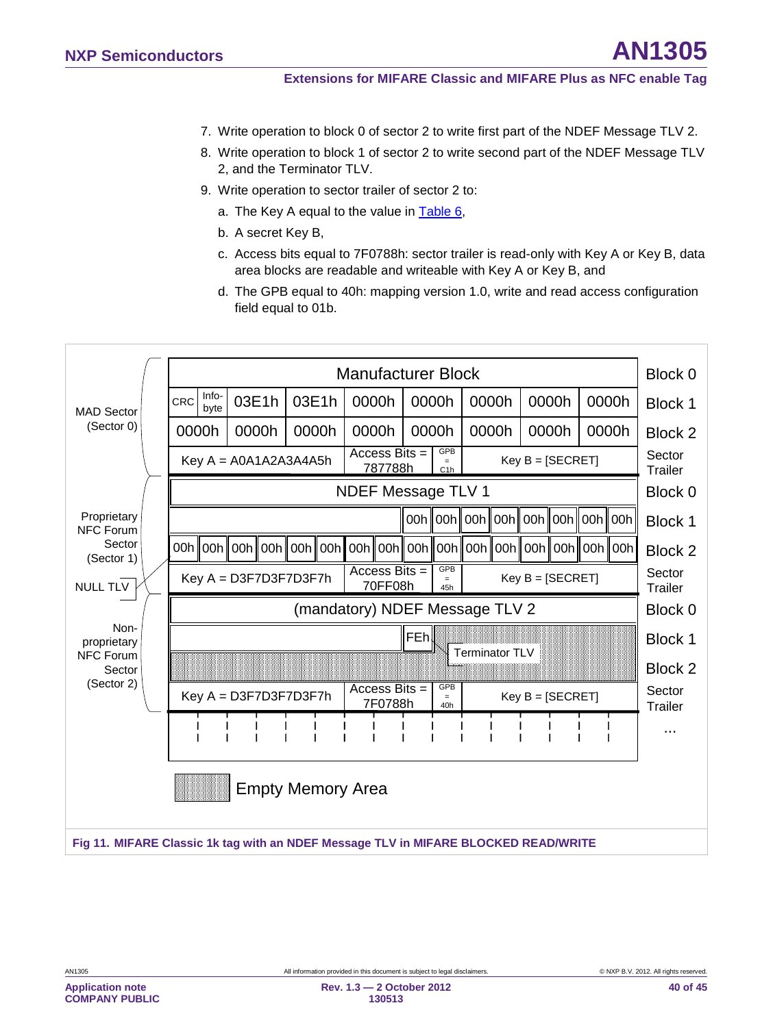- 7. Write operation to block 0 of sector 2 to write first part of the NDEF Message TLV 2.
- 8. Write operation to block 1 of sector 2 to write second part of the NDEF Message TLV 2, and the Terminator TLV.
- 9. Write operation to sector trailer of sector 2 to:
	- a. The Key A equal to the value in [Table 6,](#page-19-0)
	- b. A secret Key B,
	- c. Access bits equal to 7F0788h: sector trailer is read-only with Key A or Key B, data area blocks are readable and writeable with Key A or Key B, and
	- d. The GPB equal to 40h: mapping version 1.0, write and read access configuration field equal to 01b.



<span id="page-39-1"></span><span id="page-39-0"></span>**Application note COMPANY PUBLIC**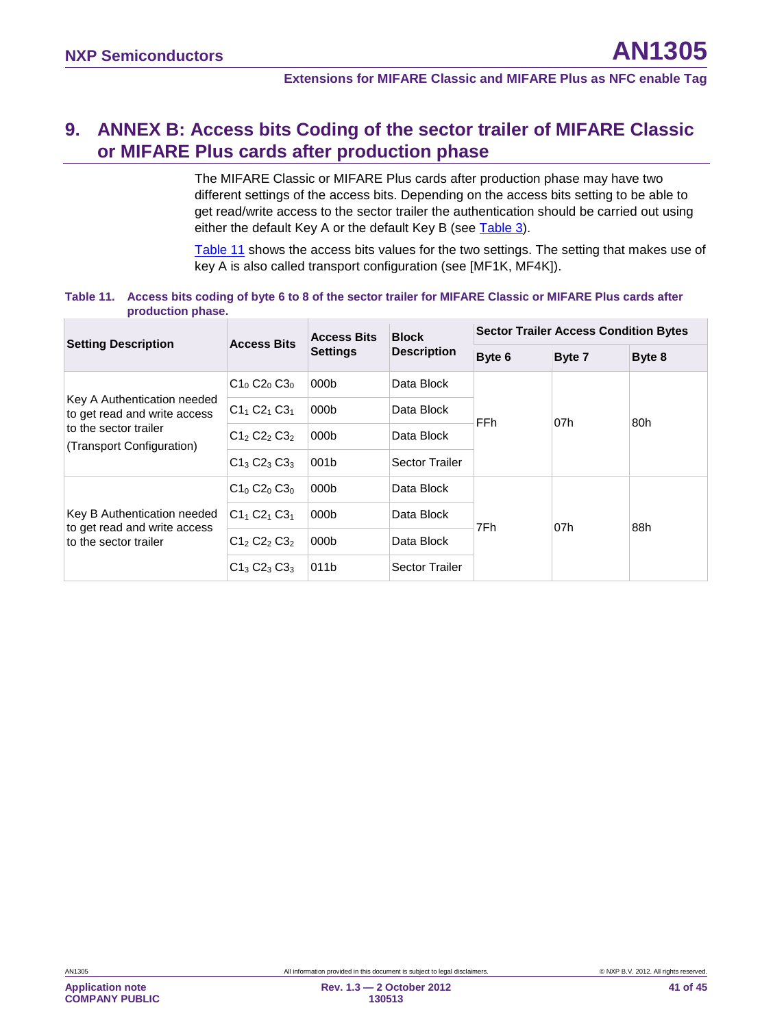# <span id="page-40-2"></span>**9. ANNEX B: Access bits Coding of the sector trailer of MIFARE Classic or MIFARE Plus cards after production phase**

The MIFARE Classic or MIFARE Plus cards after production phase may have two different settings of the access bits. Depending on the access bits setting to be able to get read/write access to the sector trailer the authentication should be carried out using either the default Key A or the default Key B (see [Table 3\)](#page-10-1).

[Table 11](#page-40-0) shows the access bits values for the two settings. The setting that makes use of key A is also called transport configuration (see [MF1K, MF4K]).

#### <span id="page-40-0"></span>**Table 11. Access bits coding of byte 6 to 8 of the sector trailer for MIFARE Classic or MIFARE Plus cards after production phase.**

<span id="page-40-1"></span>

| <b>Setting Description</b>                                  | <b>Access Bits</b> | <b>Access Bits</b> | <b>Block</b>          | <b>Sector Trailer Access Condition Bytes</b> |        |        |  |
|-------------------------------------------------------------|--------------------|--------------------|-----------------------|----------------------------------------------|--------|--------|--|
|                                                             |                    | <b>Settings</b>    | <b>Description</b>    | Byte 6                                       | Byte 7 | Byte 8 |  |
|                                                             | $C1_0 C2_0 C3_0$   | 000 <sub>b</sub>   | Data Block            | FFh                                          |        | 80h    |  |
| Key A Authentication needed<br>to get read and write access | $C1_1 C2_1 C3_1$   | 000 <sub>b</sub>   | Data Block            |                                              | 07h    |        |  |
| to the sector trailer<br>(Transport Configuration)          | $C12 C22 C32$      | 000 <sub>b</sub>   | Data Block            |                                              |        |        |  |
|                                                             | $C1_3 C2_3 C3_3$   | 001b               | <b>Sector Trailer</b> |                                              |        |        |  |
|                                                             | $C1_0 C2_0 C3_0$   | 000 <sub>b</sub>   | Data Block            | 7Fh                                          | 07h    | 88h    |  |
| Key B Authentication needed<br>to get read and write access | $C1_1 C2_1 C3_1$   | 000 <sub>b</sub>   | Data Block            |                                              |        |        |  |
| to the sector trailer                                       | $C12 C22 C32$      | 000b               | Data Block            |                                              |        |        |  |
|                                                             | $C1_3 C2_3 C3_3$   | 011b               | <b>Sector Trailer</b> |                                              |        |        |  |

**COMPANY PUBLIC**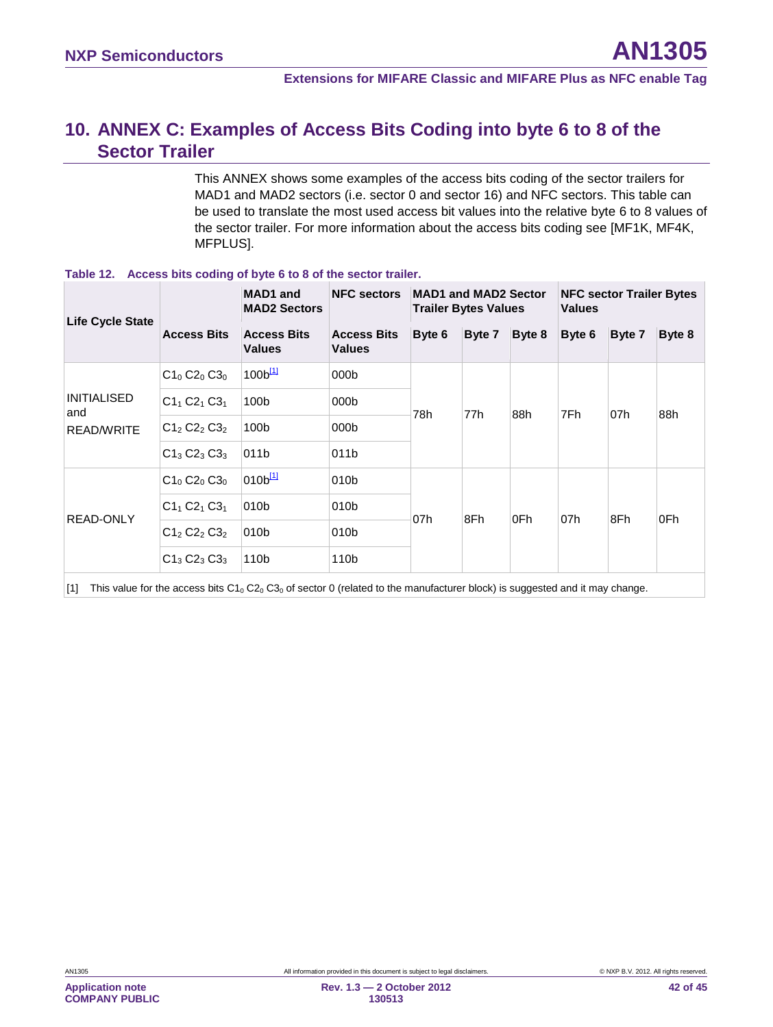# <span id="page-41-1"></span>**10. ANNEX C: Examples of Access Bits Coding into byte 6 to 8 of the Sector Trailer**

This ANNEX shows some examples of the access bits coding of the sector trailers for MAD1 and MAD2 sectors (i.e. sector 0 and sector 16) and NFC sectors. This table can be used to translate the most used access bit values into the relative byte 6 to 8 values of the sector trailer. For more information about the access bits coding see [MF1K, MF4K, MFPLUS].

| <b>Life Cycle State</b>   |                    | <b>MAD1</b> and<br><b>NFC sectors</b><br><b>MAD2 Sectors</b> |                                     |        | <b>MAD1 and MAD2 Sector</b><br><b>Trailer Bytes Values</b> |        |        | <b>NFC sector Trailer Bytes</b><br><b>Values</b> |        |  |
|---------------------------|--------------------|--------------------------------------------------------------|-------------------------------------|--------|------------------------------------------------------------|--------|--------|--------------------------------------------------|--------|--|
|                           | <b>Access Bits</b> | <b>Access Bits</b><br><b>Values</b>                          | <b>Access Bits</b><br><b>Values</b> | Byte 6 | Byte 7                                                     | Byte 8 | Byte 6 | Byte 7                                           | Byte 8 |  |
|                           | $C1_0 C2_0 C3_0$   | 100 <sup>[11]</sup>                                          | 000 <sub>b</sub>                    | 78h    | 77h                                                        | 88h    | 7Fh    | 07h                                              | 88h    |  |
| <b>INITIALISED</b><br>and | $C1_1 C2_1 C3_1$   | 100b                                                         | 000b                                |        |                                                            |        |        |                                                  |        |  |
| READ/WRITE                | $C12 C22 C32$      | 100b                                                         | 000 <sub>b</sub>                    |        |                                                            |        |        |                                                  |        |  |
|                           | $C1_3 C2_3 C3_3$   | 011b                                                         | 011b                                |        |                                                            |        |        |                                                  |        |  |
|                           | $C1_0 C2_0 C3_0$   | 010 <sup>[11]</sup>                                          | 010 <sub>b</sub>                    | 07h    | 8Fh                                                        | 0Fh    | 07h    | 8Fh                                              | 0Fh    |  |
| <b>READ-ONLY</b>          | $C1_1 C2_1 C3_1$   | 010b                                                         | 010 <sub>b</sub>                    |        |                                                            |        |        |                                                  |        |  |
|                           | $C1_2 C2_2 C3_2$   | 010 <sub>b</sub>                                             | 010 <sub>b</sub>                    |        |                                                            |        |        |                                                  |        |  |
|                           | $C1_3 C2_3 C3_3$   | 110b                                                         | 110b                                |        |                                                            |        |        |                                                  |        |  |

#### **Table 12. Access bits coding of byte 6 to 8 of the sector trailer.**

<span id="page-41-0"></span>[1] This value for the access bits  $C1_0 C2_0 C3_0$  of sector 0 (related to the manufacturer block) is suggested and it may change.

**COMPANY PUBLIC**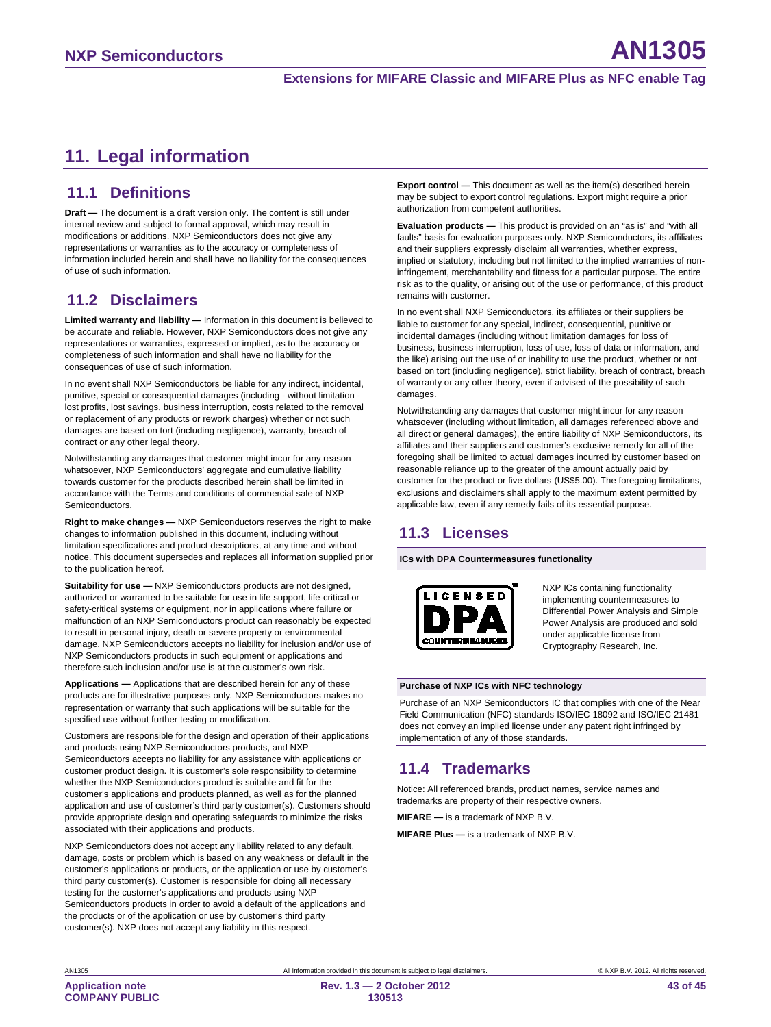# <span id="page-42-0"></span>**11. Legal information**

### <span id="page-42-1"></span>**11.1 Definitions**

**Draft —** The document is a draft version only. The content is still under internal review and subject to formal approval, which may result in modifications or additions. NXP Semiconductors does not give any representations or warranties as to the accuracy or completeness of information included herein and shall have no liability for the consequences of use of such information.

# <span id="page-42-2"></span>**11.2 Disclaimers**

<span id="page-42-3"></span>**Limited warranty and liability —** Information in this document is believed to be accurate and reliable. However, NXP Semiconductors does not give any representations or warranties, expressed or implied, as to the accuracy or completeness of such information and shall have no liability for the consequences of use of such information.

In no event shall NXP Semiconductors be liable for any indirect, incidental, punitive, special or consequential damages (including - without limitation lost profits, lost savings, business interruption, costs related to the removal or replacement of any products or rework charges) whether or not such damages are based on tort (including negligence), warranty, breach of contract or any other legal theory.

Notwithstanding any damages that customer might incur for any reason whatsoever, NXP Semiconductors' aggregate and cumulative liability towards customer for the products described herein shall be limited in accordance with the Terms and conditions of commercial sale of NXP **Semiconductors** 

**Right to make changes —** NXP Semiconductors reserves the right to make changes to information published in this document, including without limitation specifications and product descriptions, at any time and without notice. This document supersedes and replaces all information supplied prior to the publication hereof.

**Suitability for use —** NXP Semiconductors products are not designed, authorized or warranted to be suitable for use in life support, life-critical or safety-critical systems or equipment, nor in applications where failure or malfunction of an NXP Semiconductors product can reasonably be expected to result in personal injury, death or severe property or environmental damage. NXP Semiconductors accepts no liability for inclusion and/or use of NXP Semiconductors products in such equipment or applications and therefore such inclusion and/or use is at the customer's own risk.

**Applications —** Applications that are described herein for any of these products are for illustrative purposes only. NXP Semiconductors makes no representation or warranty that such applications will be suitable for the specified use without further testing or modification.

Customers are responsible for the design and operation of their applications and products using NXP Semiconductors products, and NXP Semiconductors accepts no liability for any assistance with applications or customer product design. It is customer's sole responsibility to determine whether the NXP Semiconductors product is suitable and fit for the customer's applications and products planned, as well as for the planned application and use of customer's third party customer(s). Customers should provide appropriate design and operating safeguards to minimize the risks associated with their applications and products.

NXP Semiconductors does not accept any liability related to any default, damage, costs or problem which is based on any weakness or default in the customer's applications or products, or the application or use by customer's third party customer(s). Customer is responsible for doing all necessary testing for the customer's applications and products using NXP Semiconductors products in order to avoid a default of the applications and the products or of the application or use by customer's third party customer(s). NXP does not accept any liability in this respect.

**Export control —** This document as well as the item(s) described herein may be subject to export control regulations. Export might require a prior authorization from competent authorities.

**Evaluation products —** This product is provided on an "as is" and "with all faults" basis for evaluation purposes only. NXP Semiconductors, its affiliates and their suppliers expressly disclaim all warranties, whether express, implied or statutory, including but not limited to the implied warranties of noninfringement, merchantability and fitness for a particular purpose. The entire risk as to the quality, or arising out of the use or performance, of this product remains with customer.

In no event shall NXP Semiconductors, its affiliates or their suppliers be liable to customer for any special, indirect, consequential, punitive or incidental damages (including without limitation damages for loss of business, business interruption, loss of use, loss of data or information, and the like) arising out the use of or inability to use the product, whether or not based on tort (including negligence), strict liability, breach of contract, breach of warranty or any other theory, even if advised of the possibility of such damages.

Notwithstanding any damages that customer might incur for any reason whatsoever (including without limitation, all damages referenced above and all direct or general damages), the entire liability of NXP Semiconductors, its affiliates and their suppliers and customer's exclusive remedy for all of the foregoing shall be limited to actual damages incurred by customer based on reasonable reliance up to the greater of the amount actually paid by customer for the product or five dollars (US\$5.00). The foregoing limitations, exclusions and disclaimers shall apply to the maximum extent permitted by applicable law, even if any remedy fails of its essential purpose.

# **11.3 Licenses**

**ICs with DPA Countermeasures functionality**



NXP ICs containing functionality implementing countermeasures to Differential Power Analysis and Simple Power Analysis are produced and sold under applicable license from Cryptography Research, Inc.

#### **Purchase of NXP ICs with NFC technology**

Purchase of an NXP Semiconductors IC that complies with one of the Near Field Communication (NFC) standards ISO/IEC 18092 and ISO/IEC 21481 does not convey an implied license under any patent right infringed by implementation of any of those standards.

# <span id="page-42-4"></span>**11.4 Trademarks**

Notice: All referenced brands, product names, service names and trademarks are property of their respective owners.

**MIFARE —** is a trademark of NXP B.V.

**MIFARE Plus —** is a trademark of NXP B.V.

**Application note**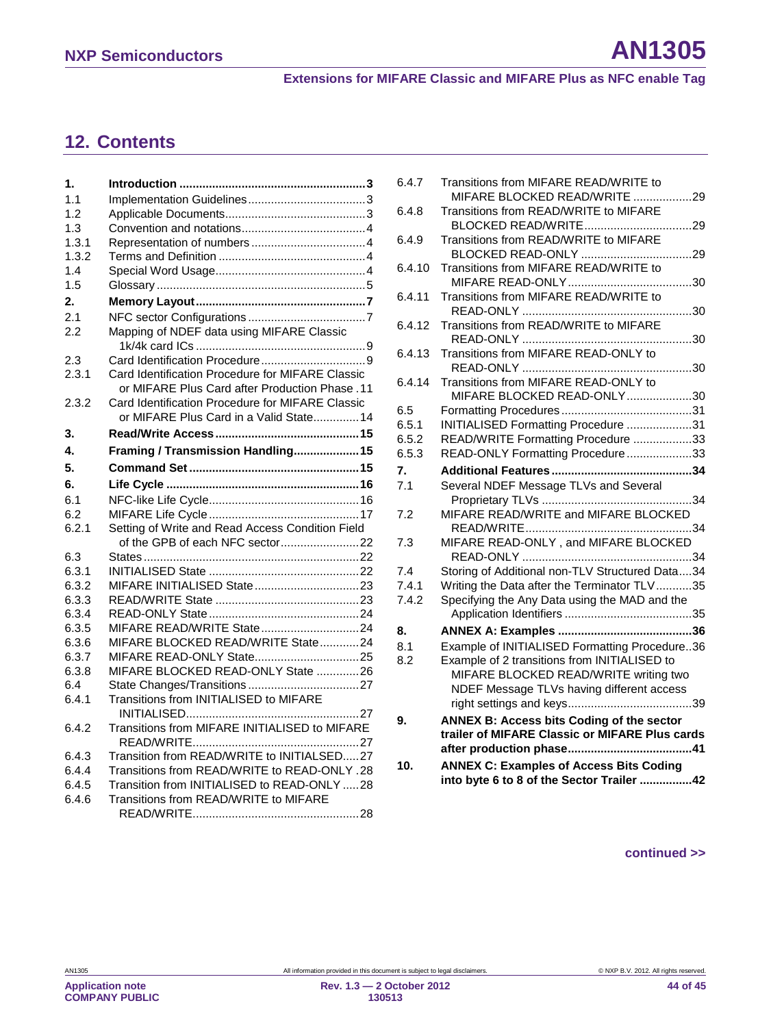# <span id="page-43-0"></span>**12. Contents**

| 1.    |                                                                                                    |
|-------|----------------------------------------------------------------------------------------------------|
| 1.1   |                                                                                                    |
| 1.2   |                                                                                                    |
| 1.3   |                                                                                                    |
| 1.3.1 |                                                                                                    |
| 1.3.2 |                                                                                                    |
| 1.4   |                                                                                                    |
| 1.5   |                                                                                                    |
| 2.    |                                                                                                    |
| 21    |                                                                                                    |
| 2.2   | Mapping of NDEF data using MIFARE Classic                                                          |
| 2.3   |                                                                                                    |
| 2.3.1 | Card Identification Procedure for MIFARE Classic<br>or MIFARE Plus Card after Production Phase .11 |
| 2.3.2 | Card Identification Procedure for MIFARE Classic                                                   |
|       | or MIFARE Plus Card in a Valid State14                                                             |
| 3.    |                                                                                                    |
| 4.    | Framing / Transmission Handling15                                                                  |
| 5.    |                                                                                                    |
| 6.    |                                                                                                    |
| 6.1   |                                                                                                    |
| 6.2   |                                                                                                    |
| 6.2.1 | Setting of Write and Read Access Condition Field                                                   |
|       |                                                                                                    |
| 6.3   |                                                                                                    |
| 6.3.1 |                                                                                                    |
| 6.3.2 |                                                                                                    |
| 6.3.3 |                                                                                                    |
| 6.3.4 |                                                                                                    |
| 6.3.5 | MIFARE READ/WRITE State24                                                                          |
| 6.3.6 | MIFARE BLOCKED READ/WRITE State24                                                                  |
| 6.3.7 |                                                                                                    |
| 6.3.8 | MIFARE BLOCKED READ-ONLY State 26                                                                  |
| 6.4   |                                                                                                    |
| 6.4.1 | Transitions from INITIALISED to MIFARE                                                             |
| 6.4.2 | Transitions from MIFARE INITIALISED to MIFARE                                                      |
| 6.4.3 | Transition from READ/WRITE to INITIALSED27                                                         |
| 6.4.4 | Transitions from READ/WRITE to READ-ONLY .28                                                       |
| 6.4.5 | Transition from INITIALISED to READ-ONLY 28                                                        |
| 6.4.6 | Transitions from READ/WRITE to MIFARE                                                              |
|       |                                                                                                    |

| 6.4.7  | Transitions from MIFARE READ/WRITE to<br>MIFARE BLOCKED READ/WRITE 29 |
|--------|-----------------------------------------------------------------------|
| 6.4.8  | Transitions from READ/WRITE to MIFARE                                 |
|        |                                                                       |
| 6.4.9  | Transitions from READ/WRITE to MIFARE                                 |
|        | Transitions from MIFARE READ/WRITE to                                 |
| 6.4.10 |                                                                       |
| 6.4.11 | Transitions from MIFARE READ/WRITE to                                 |
|        |                                                                       |
| 6.4.12 | Transitions from READ/WRITE to MIFARE                                 |
|        |                                                                       |
| 6.4.13 | Transitions from MIFARE READ-ONLY to                                  |
|        |                                                                       |
| 6.4.14 | Transitions from MIFARE READ-ONLY to                                  |
|        | MIFARE BLOCKED READ-ONLY30                                            |
| 6.5    |                                                                       |
| 6.5.1  | INITIALISED Formatting Procedure 31                                   |
| 6.5.2  | READ/WRITE Formatting Procedure 33                                    |
| 6.5.3  | READ-ONLY Formatting Procedure33                                      |
| 7.     |                                                                       |
| 7.1    | Several NDEF Message TLVs and Several                                 |
|        |                                                                       |
| 7.2    | MIFARE READ/WRITE and MIFARE BLOCKED                                  |
| 7.3    | MIFARE READ-ONLY, and MIFARE BLOCKED                                  |
|        |                                                                       |
| 7.4    | Storing of Additional non-TLV Structured Data34                       |
| 7.4.1  | Writing the Data after the Terminator TLV35                           |
| 7.4.2  | Specifying the Any Data using the MAD and the                         |
|        |                                                                       |
| 8.     |                                                                       |
| 8.1    | Example of INITIALISED Formatting Procedure36                         |
| 8.2    | Example of 2 transitions from INITIALISED to                          |
|        | MIFARE BLOCKED READ/WRITE writing two                                 |
|        | NDEF Message TLVs having different access                             |
|        |                                                                       |
| 9.     | ANNEX B: Access bits Coding of the sector                             |
|        | trailer of MIFARE Classic or MIFARE Plus cards                        |
|        |                                                                       |
| 10.    | <b>ANNEX C: Examples of Access Bits Coding</b>                        |
|        | into byte 6 to 8 of the Sector Trailer 42                             |
|        |                                                                       |

#### **continued >>**

**Application note COMPANY PUBLIC**